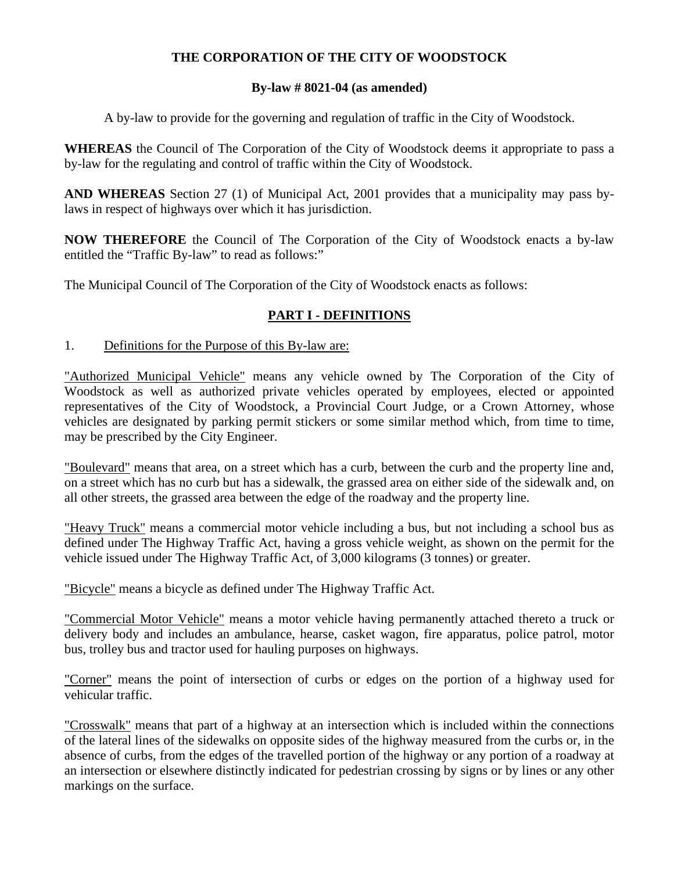# **THE CORPORATION OF THE CITY OF WOODSTOCK**

# **By-law # 8021-04 (as amended)**

A by-law to provide for the governing and regulation of traffic in the City of Woodstock.

**WHEREAS** the Council of The Corporation of the City of Woodstock deems it appropriate to pass a by-law for the regulating and control of traffic within the City of Woodstock.

**AND WHEREAS** Section 27 (1) of Municipal Act, 2001 provides that a municipality may pass bylaws in respect of highways over which it has jurisdiction.

**NOW THEREFORE** the Council of The Corporation of the City of Woodstock enacts a by-law entitled the "Traffic By-law" to read as follows:"

The Municipal Council of The Corporation of the City of Woodstock enacts as follows:

# **PART I - DEFINITIONS**

## 1. Definitions for the Purpose of this By-law are:

"Authorized Municipal Vehicle" means any vehicle owned by The Corporation of the City of Woodstock as well as authorized private vehicles operated by employees, elected or appointed representatives of the City of Woodstock, a Provincial Court Judge, or a Crown Attorney, whose vehicles are designated by parking permit stickers or some similar method which, from time to time, may be prescribed by the City Engineer.

"Boulevard" means that area, on a street which has a curb, between the curb and the property line and, on a street which has no curb but has a sidewalk, the grassed area on either side of the sidewalk and, on all other streets, the grassed area between the edge of the roadway and the property line.

"Heavy Truck" means a commercial motor vehicle including a bus, but not including a school bus as defined under The Highway Traffic Act, having a gross vehicle weight, as shown on the permit for the vehicle issued under The Highway Traffic Act, of 3,000 kilograms (3 tonnes) or greater.

"Bicycle" means a bicycle as defined under The Highway Traffic Act.

"Commercial Motor Vehicle" means a motor vehicle having permanently attached thereto a truck or delivery body and includes an ambulance, hearse, casket wagon, fire apparatus, police patrol, motor bus, trolley bus and tractor used for hauling purposes on highways.

"Corner" means the point of intersection of curbs or edges on the portion of a highway used for vehicular traffic.

"Crosswalk" means that part of a highway at an intersection which is included within the connections of the lateral lines of the sidewalks on opposite sides of the highway measured from the curbs or, in the absence of curbs, from the edges of the travelled portion of the highway or any portion of a roadway at an intersection or elsewhere distinctly indicated for pedestrian crossing by signs or by lines or any other markings on the surface.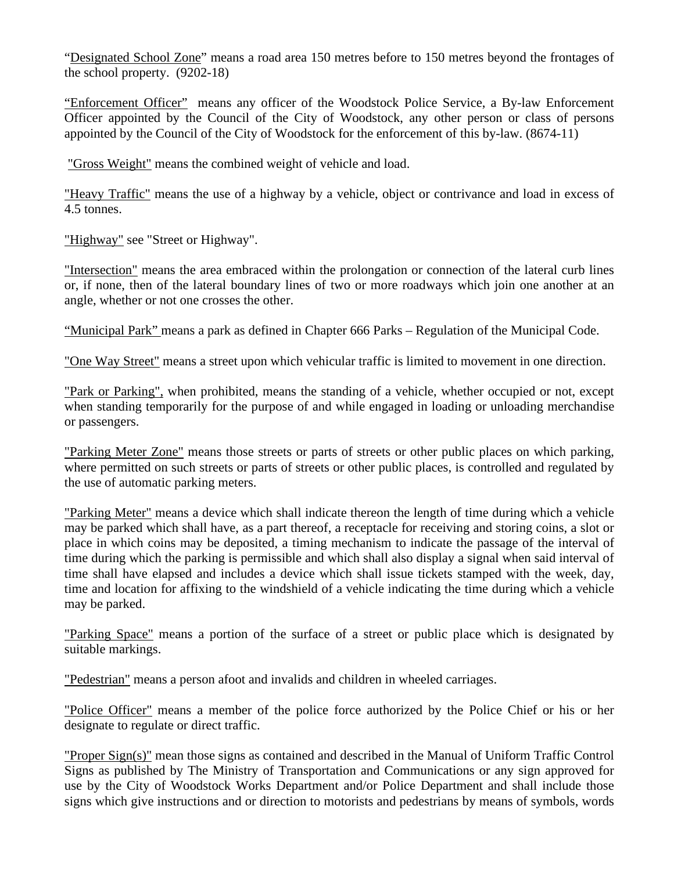"Designated School Zone" means a road area 150 metres before to 150 metres beyond the frontages of the school property. (9202-18)

"Enforcement Officer" means any officer of the Woodstock Police Service, a By-law Enforcement Officer appointed by the Council of the City of Woodstock, any other person or class of persons appointed by the Council of the City of Woodstock for the enforcement of this by-law. (8674-11)

"Gross Weight" means the combined weight of vehicle and load.

"Heavy Traffic" means the use of a highway by a vehicle, object or contrivance and load in excess of 4.5 tonnes.

"Highway" see "Street or Highway".

"Intersection" means the area embraced within the prolongation or connection of the lateral curb lines or, if none, then of the lateral boundary lines of two or more roadways which join one another at an angle, whether or not one crosses the other.

"Municipal Park" means a park as defined in Chapter 666 Parks – Regulation of the Municipal Code.

"One Way Street" means a street upon which vehicular traffic is limited to movement in one direction.

"Park or Parking", when prohibited, means the standing of a vehicle, whether occupied or not, except when standing temporarily for the purpose of and while engaged in loading or unloading merchandise or passengers.

"Parking Meter Zone" means those streets or parts of streets or other public places on which parking, where permitted on such streets or parts of streets or other public places, is controlled and regulated by the use of automatic parking meters.

"Parking Meter" means a device which shall indicate thereon the length of time during which a vehicle may be parked which shall have, as a part thereof, a receptacle for receiving and storing coins, a slot or place in which coins may be deposited, a timing mechanism to indicate the passage of the interval of time during which the parking is permissible and which shall also display a signal when said interval of time shall have elapsed and includes a device which shall issue tickets stamped with the week, day, time and location for affixing to the windshield of a vehicle indicating the time during which a vehicle may be parked.

"Parking Space" means a portion of the surface of a street or public place which is designated by suitable markings.

"Pedestrian" means a person afoot and invalids and children in wheeled carriages.

"Police Officer" means a member of the police force authorized by the Police Chief or his or her designate to regulate or direct traffic.

"Proper Sign(s)" mean those signs as contained and described in the Manual of Uniform Traffic Control Signs as published by The Ministry of Transportation and Communications or any sign approved for use by the City of Woodstock Works Department and/or Police Department and shall include those signs which give instructions and or direction to motorists and pedestrians by means of symbols, words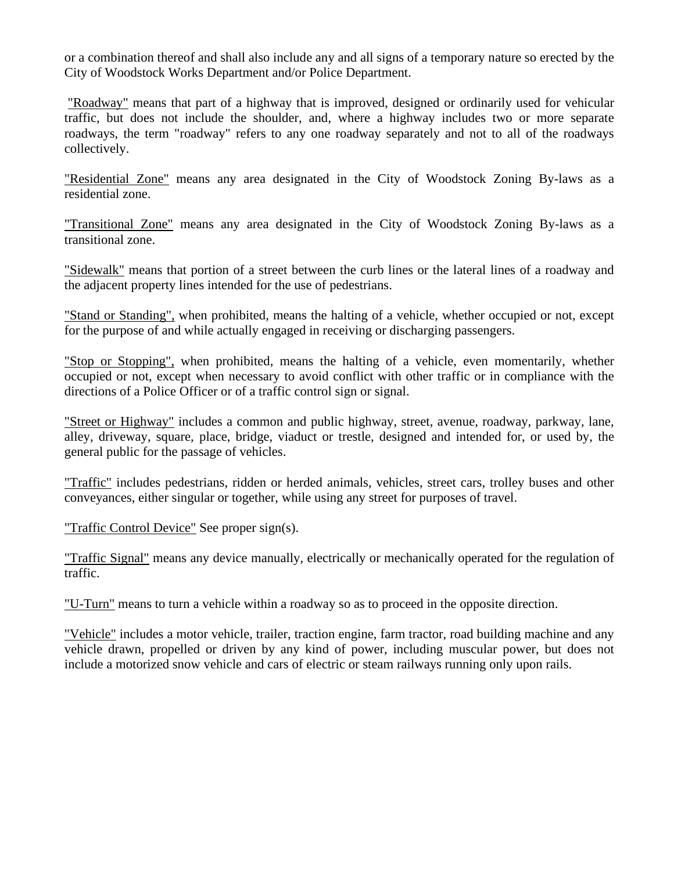or a combination thereof and shall also include any and all signs of a temporary nature so erected by the City of Woodstock Works Department and/or Police Department.

"Roadway" means that part of a highway that is improved, designed or ordinarily used for vehicular traffic, but does not include the shoulder, and, where a highway includes two or more separate roadways, the term "roadway" refers to any one roadway separately and not to all of the roadways collectively.

"Residential Zone" means any area designated in the City of Woodstock Zoning By-laws as a residential zone.

"Transitional Zone" means any area designated in the City of Woodstock Zoning By-laws as a transitional zone.

"Sidewalk" means that portion of a street between the curb lines or the lateral lines of a roadway and the adjacent property lines intended for the use of pedestrians.

"Stand or Standing", when prohibited, means the halting of a vehicle, whether occupied or not, except for the purpose of and while actually engaged in receiving or discharging passengers.

"Stop or Stopping", when prohibited, means the halting of a vehicle, even momentarily, whether occupied or not, except when necessary to avoid conflict with other traffic or in compliance with the directions of a Police Officer or of a traffic control sign or signal.

"Street or Highway" includes a common and public highway, street, avenue, roadway, parkway, lane, alley, driveway, square, place, bridge, viaduct or trestle, designed and intended for, or used by, the general public for the passage of vehicles.

"Traffic" includes pedestrians, ridden or herded animals, vehicles, street cars, trolley buses and other conveyances, either singular or together, while using any street for purposes of travel.

"Traffic Control Device" See proper sign(s).

"Traffic Signal" means any device manually, electrically or mechanically operated for the regulation of traffic.

"U-Turn" means to turn a vehicle within a roadway so as to proceed in the opposite direction.

"Vehicle" includes a motor vehicle, trailer, traction engine, farm tractor, road building machine and any vehicle drawn, propelled or driven by any kind of power, including muscular power, but does not include a motorized snow vehicle and cars of electric or steam railways running only upon rails.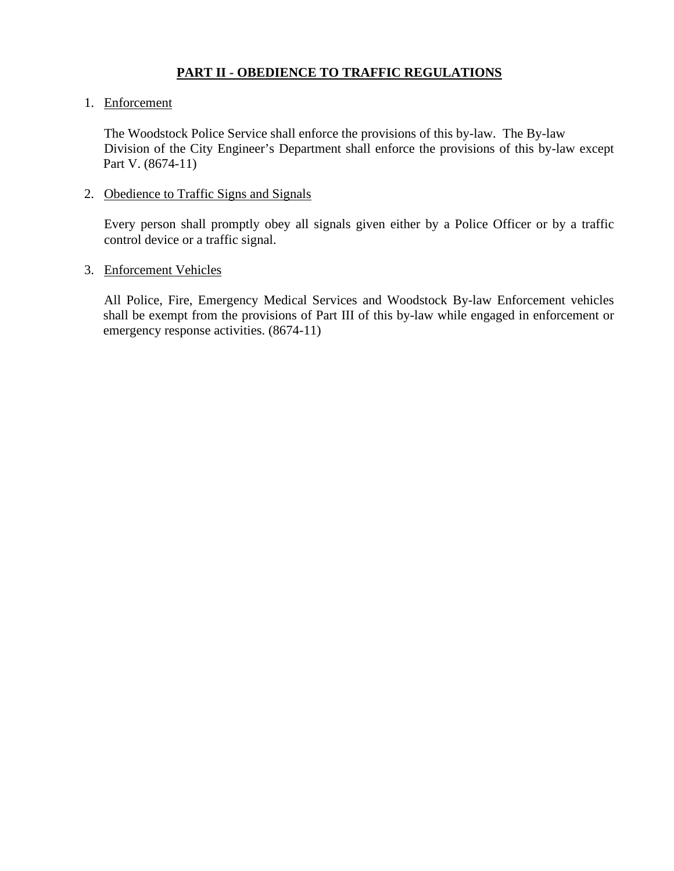# **PART II - OBEDIENCE TO TRAFFIC REGULATIONS**

## 1. Enforcement

The Woodstock Police Service shall enforce the provisions of this by-law. The By-law Division of the City Engineer's Department shall enforce the provisions of this by-law except Part V. (8674-11)

2. Obedience to Traffic Signs and Signals

Every person shall promptly obey all signals given either by a Police Officer or by a traffic control device or a traffic signal.

## 3. Enforcement Vehicles

All Police, Fire, Emergency Medical Services and Woodstock By-law Enforcement vehicles shall be exempt from the provisions of Part III of this by-law while engaged in enforcement or emergency response activities. (8674-11)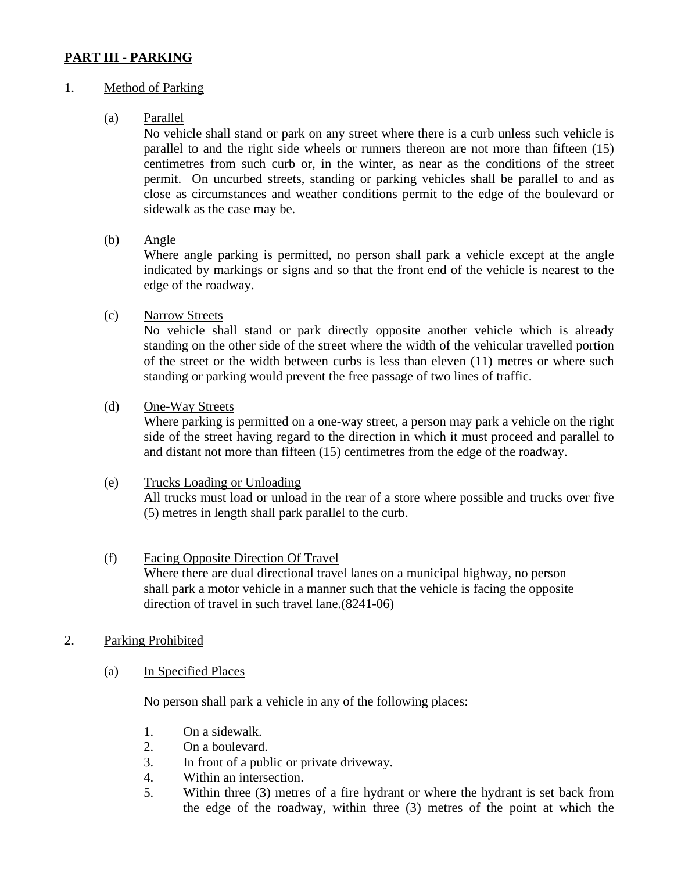# **PART III - PARKING**

## 1. Method of Parking

## (a) Parallel

No vehicle shall stand or park on any street where there is a curb unless such vehicle is parallel to and the right side wheels or runners thereon are not more than fifteen (15) centimetres from such curb or, in the winter, as near as the conditions of the street permit. On uncurbed streets, standing or parking vehicles shall be parallel to and as close as circumstances and weather conditions permit to the edge of the boulevard or sidewalk as the case may be.

(b) Angle

Where angle parking is permitted, no person shall park a vehicle except at the angle indicated by markings or signs and so that the front end of the vehicle is nearest to the edge of the roadway.

(c) Narrow Streets

No vehicle shall stand or park directly opposite another vehicle which is already standing on the other side of the street where the width of the vehicular travelled portion of the street or the width between curbs is less than eleven (11) metres or where such standing or parking would prevent the free passage of two lines of traffic.

(d) One-Way Streets

Where parking is permitted on a one-way street, a person may park a vehicle on the right side of the street having regard to the direction in which it must proceed and parallel to and distant not more than fifteen (15) centimetres from the edge of the roadway.

### (e) Trucks Loading or Unloading

All trucks must load or unload in the rear of a store where possible and trucks over five (5) metres in length shall park parallel to the curb.

### (f) Facing Opposite Direction Of Travel Where there are dual directional travel lanes on a municipal highway, no person shall park a motor vehicle in a manner such that the vehicle is facing the opposite direction of travel in such travel lane.(8241-06)

# 2. Parking Prohibited

(a) In Specified Places

No person shall park a vehicle in any of the following places:

- 1. On a sidewalk.
- 2. On a boulevard.
- 3. In front of a public or private driveway.
- 4. Within an intersection.
- 5. Within three (3) metres of a fire hydrant or where the hydrant is set back from the edge of the roadway, within three (3) metres of the point at which the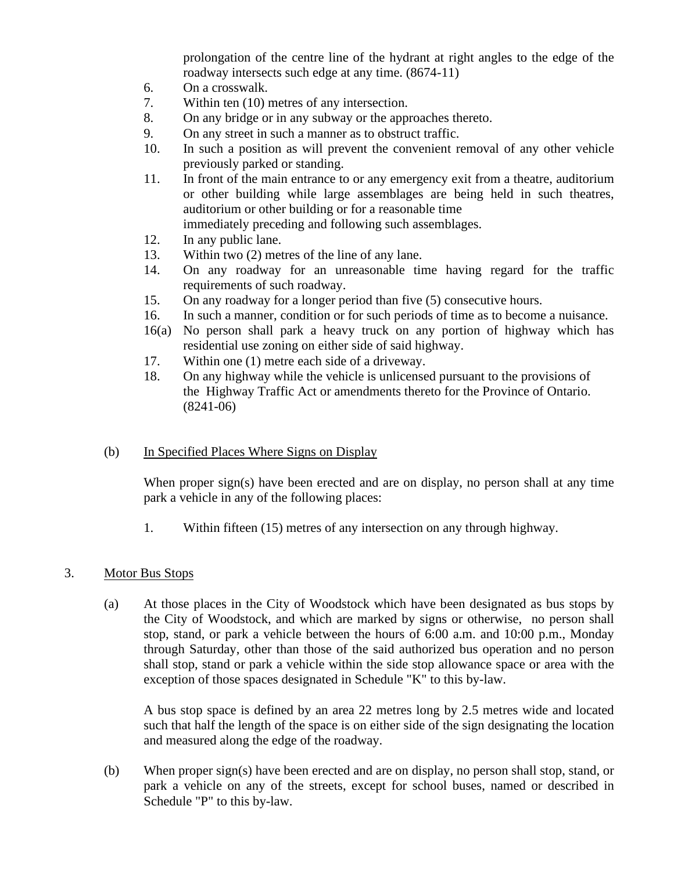prolongation of the centre line of the hydrant at right angles to the edge of the roadway intersects such edge at any time. (8674-11)

- 6. On a crosswalk.
- 7. Within ten (10) metres of any intersection.
- 8. On any bridge or in any subway or the approaches thereto.
- 9. On any street in such a manner as to obstruct traffic.
- 10. In such a position as will prevent the convenient removal of any other vehicle previously parked or standing.
- 11. In front of the main entrance to or any emergency exit from a theatre, auditorium or other building while large assemblages are being held in such theatres, auditorium or other building or for a reasonable time immediately preceding and following such assemblages.
- 12. In any public lane.
- 13. Within two (2) metres of the line of any lane.
- 14. On any roadway for an unreasonable time having regard for the traffic requirements of such roadway.
- 15. On any roadway for a longer period than five (5) consecutive hours.
- 16. In such a manner, condition or for such periods of time as to become a nuisance.
- 16(a) No person shall park a heavy truck on any portion of highway which has residential use zoning on either side of said highway.
- 17. Within one (1) metre each side of a driveway.
- 18. On any highway while the vehicle is unlicensed pursuant to the provisions of the Highway Traffic Act or amendments thereto for the Province of Ontario. (8241-06)

### (b) In Specified Places Where Signs on Display

When proper sign(s) have been erected and are on display, no person shall at any time park a vehicle in any of the following places:

1. Within fifteen (15) metres of any intersection on any through highway.

#### 3. Motor Bus Stops

(a) At those places in the City of Woodstock which have been designated as bus stops by the City of Woodstock, and which are marked by signs or otherwise, no person shall stop, stand, or park a vehicle between the hours of 6:00 a.m. and 10:00 p.m., Monday through Saturday, other than those of the said authorized bus operation and no person shall stop, stand or park a vehicle within the side stop allowance space or area with the exception of those spaces designated in Schedule "K" to this by-law.

A bus stop space is defined by an area 22 metres long by 2.5 metres wide and located such that half the length of the space is on either side of the sign designating the location and measured along the edge of the roadway.

(b) When proper sign(s) have been erected and are on display, no person shall stop, stand, or park a vehicle on any of the streets, except for school buses, named or described in Schedule "P" to this by-law.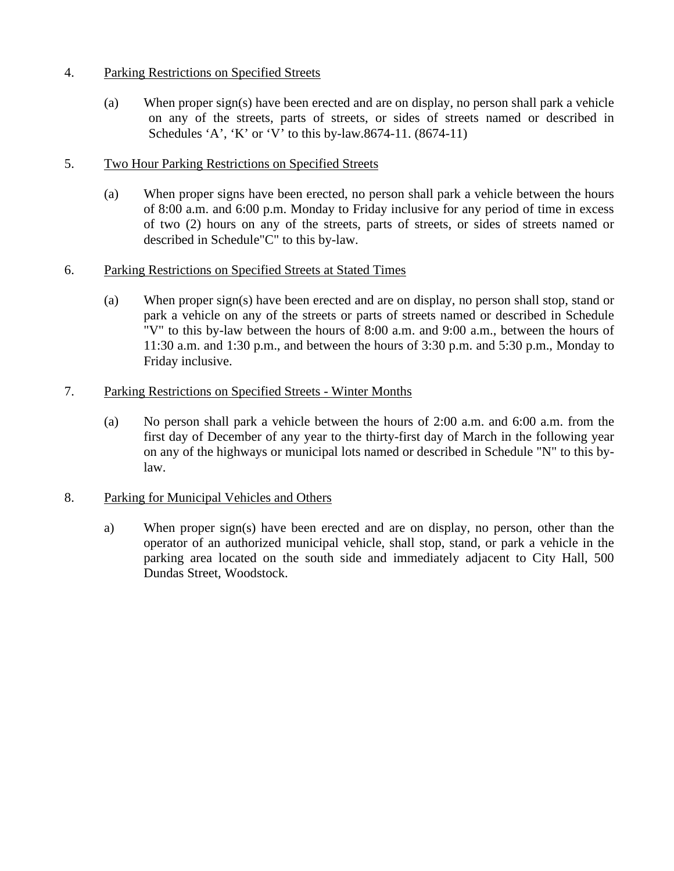## 4. Parking Restrictions on Specified Streets

(a) When proper sign(s) have been erected and are on display, no person shall park a vehicle on any of the streets, parts of streets, or sides of streets named or described in Schedules 'A', 'K' or 'V' to this by-law.8674-11. (8674-11)

## 5. Two Hour Parking Restrictions on Specified Streets

(a) When proper signs have been erected, no person shall park a vehicle between the hours of 8:00 a.m. and 6:00 p.m. Monday to Friday inclusive for any period of time in excess of two (2) hours on any of the streets, parts of streets, or sides of streets named or described in Schedule"C" to this by-law.

## 6. Parking Restrictions on Specified Streets at Stated Times

(a) When proper sign(s) have been erected and are on display, no person shall stop, stand or park a vehicle on any of the streets or parts of streets named or described in Schedule "V" to this by-law between the hours of 8:00 a.m. and 9:00 a.m., between the hours of 11:30 a.m. and 1:30 p.m., and between the hours of 3:30 p.m. and 5:30 p.m., Monday to Friday inclusive.

## 7. Parking Restrictions on Specified Streets - Winter Months

(a) No person shall park a vehicle between the hours of 2:00 a.m. and 6:00 a.m. from the first day of December of any year to the thirty-first day of March in the following year on any of the highways or municipal lots named or described in Schedule "N" to this bylaw.

### 8. Parking for Municipal Vehicles and Others

a) When proper sign(s) have been erected and are on display, no person, other than the operator of an authorized municipal vehicle, shall stop, stand, or park a vehicle in the parking area located on the south side and immediately adjacent to City Hall, 500 Dundas Street, Woodstock.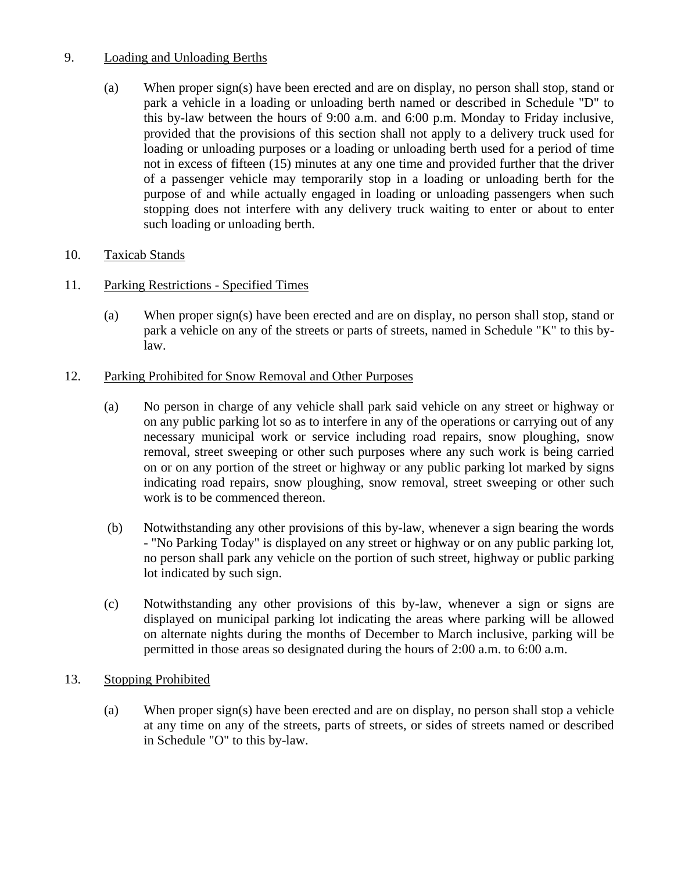# 9. Loading and Unloading Berths

(a) When proper sign(s) have been erected and are on display, no person shall stop, stand or park a vehicle in a loading or unloading berth named or described in Schedule "D" to this by-law between the hours of 9:00 a.m. and 6:00 p.m. Monday to Friday inclusive, provided that the provisions of this section shall not apply to a delivery truck used for loading or unloading purposes or a loading or unloading berth used for a period of time not in excess of fifteen (15) minutes at any one time and provided further that the driver of a passenger vehicle may temporarily stop in a loading or unloading berth for the purpose of and while actually engaged in loading or unloading passengers when such stopping does not interfere with any delivery truck waiting to enter or about to enter such loading or unloading berth.

# 10. Taxicab Stands

- 11. Parking Restrictions Specified Times
	- (a) When proper sign(s) have been erected and are on display, no person shall stop, stand or park a vehicle on any of the streets or parts of streets, named in Schedule "K" to this bylaw.

# 12. Parking Prohibited for Snow Removal and Other Purposes

- (a) No person in charge of any vehicle shall park said vehicle on any street or highway or on any public parking lot so as to interfere in any of the operations or carrying out of any necessary municipal work or service including road repairs, snow ploughing, snow removal, street sweeping or other such purposes where any such work is being carried on or on any portion of the street or highway or any public parking lot marked by signs indicating road repairs, snow ploughing, snow removal, street sweeping or other such work is to be commenced thereon.
- (b) Notwithstanding any other provisions of this by-law, whenever a sign bearing the words - "No Parking Today" is displayed on any street or highway or on any public parking lot, no person shall park any vehicle on the portion of such street, highway or public parking lot indicated by such sign.
- (c) Notwithstanding any other provisions of this by-law, whenever a sign or signs are displayed on municipal parking lot indicating the areas where parking will be allowed on alternate nights during the months of December to March inclusive, parking will be permitted in those areas so designated during the hours of 2:00 a.m. to 6:00 a.m.

# 13. Stopping Prohibited

(a) When proper sign(s) have been erected and are on display, no person shall stop a vehicle at any time on any of the streets, parts of streets, or sides of streets named or described in Schedule "O" to this by-law.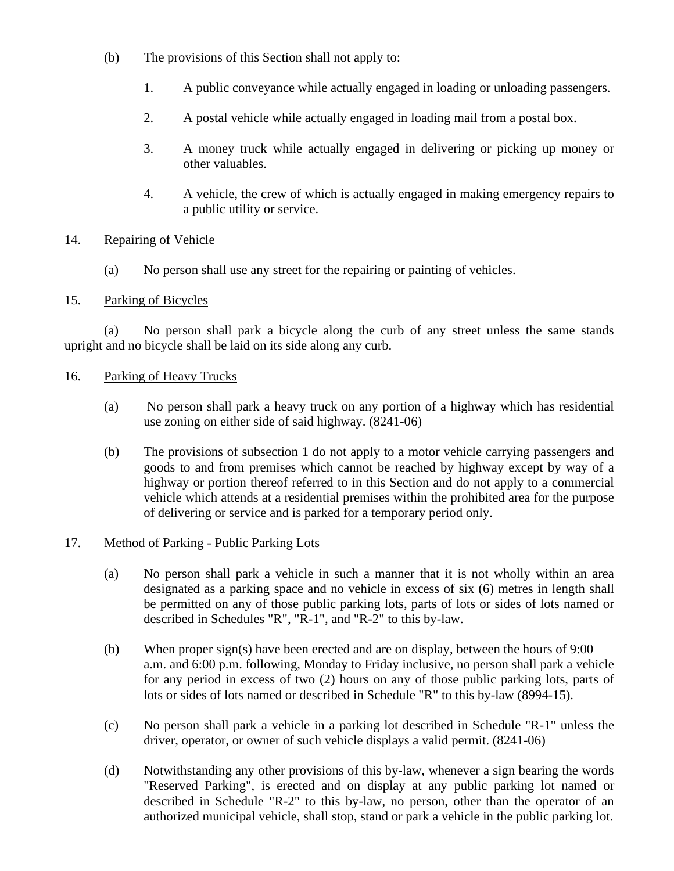- (b) The provisions of this Section shall not apply to:
	- 1. A public conveyance while actually engaged in loading or unloading passengers.
	- 2. A postal vehicle while actually engaged in loading mail from a postal box.
	- 3. A money truck while actually engaged in delivering or picking up money or other valuables.
	- 4. A vehicle, the crew of which is actually engaged in making emergency repairs to a public utility or service.

# 14. Repairing of Vehicle

(a) No person shall use any street for the repairing or painting of vehicles.

# 15. Parking of Bicycles

(a) No person shall park a bicycle along the curb of any street unless the same stands upright and no bicycle shall be laid on its side along any curb.

# 16. Parking of Heavy Trucks

- (a) No person shall park a heavy truck on any portion of a highway which has residential use zoning on either side of said highway. (8241-06)
- (b) The provisions of subsection 1 do not apply to a motor vehicle carrying passengers and goods to and from premises which cannot be reached by highway except by way of a highway or portion thereof referred to in this Section and do not apply to a commercial vehicle which attends at a residential premises within the prohibited area for the purpose of delivering or service and is parked for a temporary period only.

# 17. Method of Parking - Public Parking Lots

- (a) No person shall park a vehicle in such a manner that it is not wholly within an area designated as a parking space and no vehicle in excess of six (6) metres in length shall be permitted on any of those public parking lots, parts of lots or sides of lots named or described in Schedules "R", "R-1", and "R-2" to this by-law.
- (b) When proper sign(s) have been erected and are on display, between the hours of 9:00 a.m. and 6:00 p.m. following, Monday to Friday inclusive, no person shall park a vehicle for any period in excess of two (2) hours on any of those public parking lots, parts of lots or sides of lots named or described in Schedule "R" to this by-law (8994-15).
- (c) No person shall park a vehicle in a parking lot described in Schedule "R-1" unless the driver, operator, or owner of such vehicle displays a valid permit. (8241-06)
- (d) Notwithstanding any other provisions of this by-law, whenever a sign bearing the words "Reserved Parking", is erected and on display at any public parking lot named or described in Schedule "R-2" to this by-law, no person, other than the operator of an authorized municipal vehicle, shall stop, stand or park a vehicle in the public parking lot.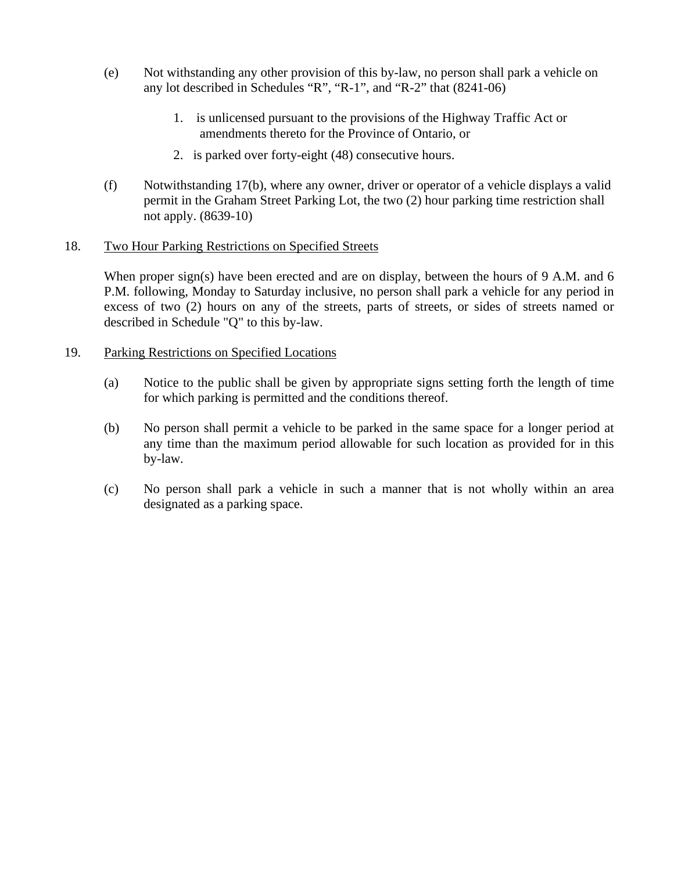- (e) Not withstanding any other provision of this by-law, no person shall park a vehicle on any lot described in Schedules "R", "R-1", and "R-2" that (8241-06)
	- 1. is unlicensed pursuant to the provisions of the Highway Traffic Act or amendments thereto for the Province of Ontario, or
	- 2. is parked over forty-eight (48) consecutive hours.
- (f) Notwithstanding 17(b), where any owner, driver or operator of a vehicle displays a valid permit in the Graham Street Parking Lot, the two (2) hour parking time restriction shall not apply. (8639-10)

### 18. Two Hour Parking Restrictions on Specified Streets

When proper sign(s) have been erected and are on display, between the hours of 9 A.M. and 6 P.M. following, Monday to Saturday inclusive, no person shall park a vehicle for any period in excess of two (2) hours on any of the streets, parts of streets, or sides of streets named or described in Schedule "Q" to this by-law.

#### 19. Parking Restrictions on Specified Locations

- (a) Notice to the public shall be given by appropriate signs setting forth the length of time for which parking is permitted and the conditions thereof.
- (b) No person shall permit a vehicle to be parked in the same space for a longer period at any time than the maximum period allowable for such location as provided for in this by-law.
- (c) No person shall park a vehicle in such a manner that is not wholly within an area designated as a parking space.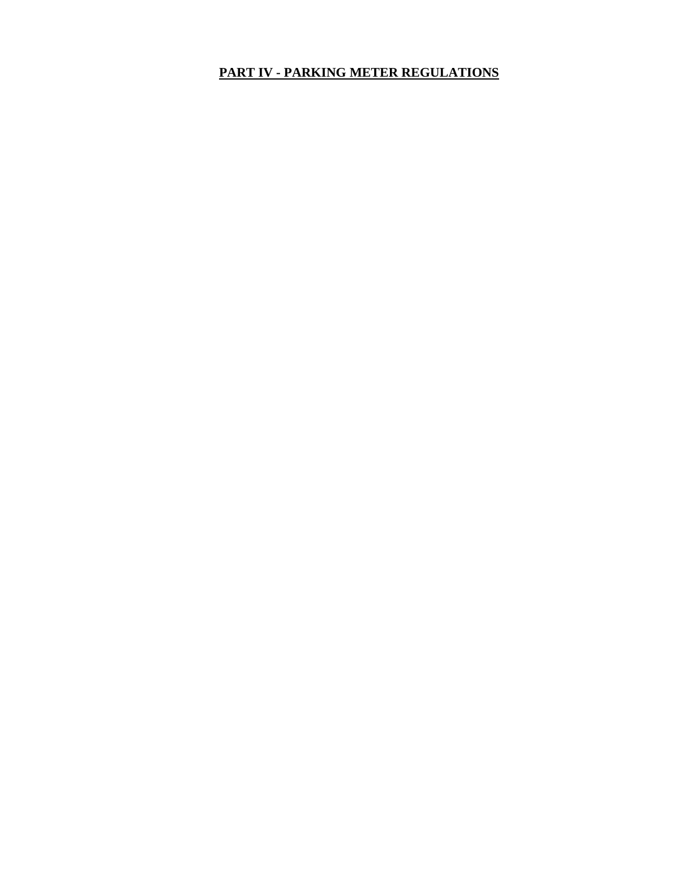# **PART IV - PARKING METER REGULATIONS**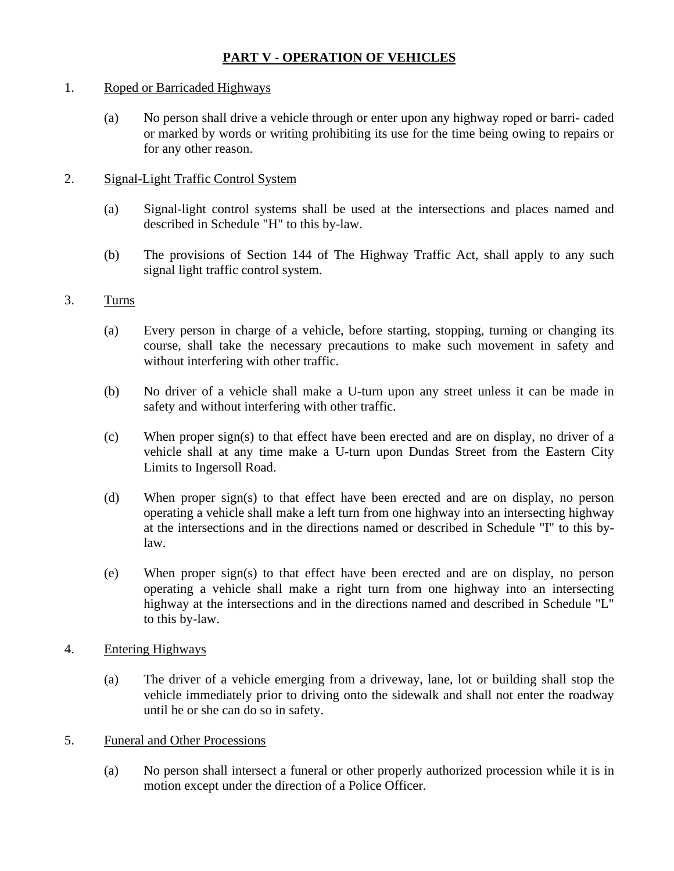# **PART V - OPERATION OF VEHICLES**

## 1. Roped or Barricaded Highways

(a) No person shall drive a vehicle through or enter upon any highway roped or barri- caded or marked by words or writing prohibiting its use for the time being owing to repairs or for any other reason.

## 2. Signal-Light Traffic Control System

- (a) Signal-light control systems shall be used at the intersections and places named and described in Schedule "H" to this by-law.
- (b) The provisions of Section 144 of The Highway Traffic Act, shall apply to any such signal light traffic control system.

## 3. Turns

- (a) Every person in charge of a vehicle, before starting, stopping, turning or changing its course, shall take the necessary precautions to make such movement in safety and without interfering with other traffic.
- (b) No driver of a vehicle shall make a U-turn upon any street unless it can be made in safety and without interfering with other traffic.
- (c) When proper sign(s) to that effect have been erected and are on display, no driver of a vehicle shall at any time make a U-turn upon Dundas Street from the Eastern City Limits to Ingersoll Road.
- (d) When proper sign(s) to that effect have been erected and are on display, no person operating a vehicle shall make a left turn from one highway into an intersecting highway at the intersections and in the directions named or described in Schedule "I" to this bylaw.
- (e) When proper sign(s) to that effect have been erected and are on display, no person operating a vehicle shall make a right turn from one highway into an intersecting highway at the intersections and in the directions named and described in Schedule "L" to this by-law.

### 4. Entering Highways

(a) The driver of a vehicle emerging from a driveway, lane, lot or building shall stop the vehicle immediately prior to driving onto the sidewalk and shall not enter the roadway until he or she can do so in safety.

### 5. Funeral and Other Processions

(a) No person shall intersect a funeral or other properly authorized procession while it is in motion except under the direction of a Police Officer.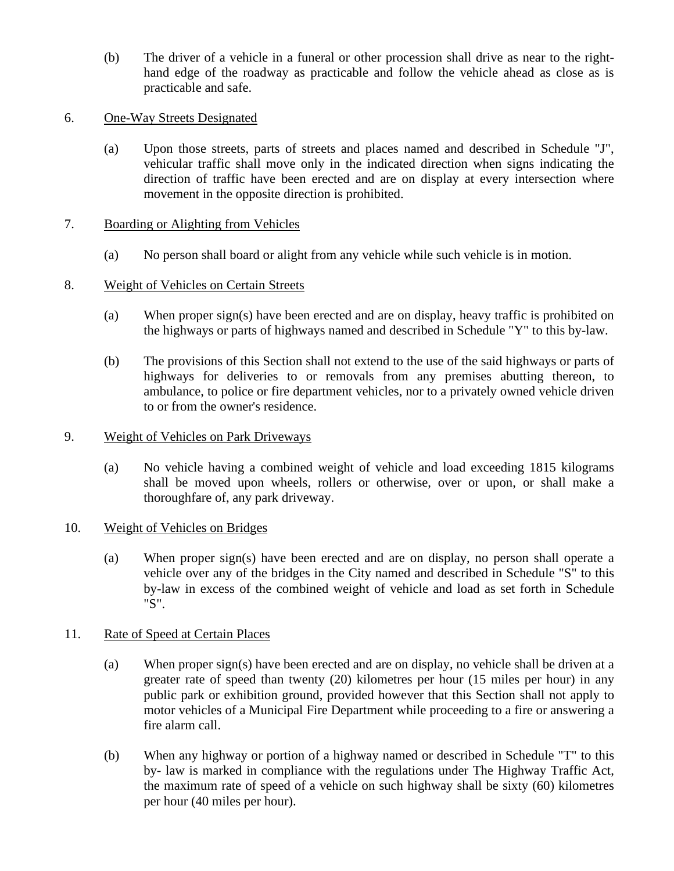(b) The driver of a vehicle in a funeral or other procession shall drive as near to the righthand edge of the roadway as practicable and follow the vehicle ahead as close as is practicable and safe.

## 6. One-Way Streets Designated

(a) Upon those streets, parts of streets and places named and described in Schedule "J", vehicular traffic shall move only in the indicated direction when signs indicating the direction of traffic have been erected and are on display at every intersection where movement in the opposite direction is prohibited.

### 7. Boarding or Alighting from Vehicles

(a) No person shall board or alight from any vehicle while such vehicle is in motion.

## 8. Weight of Vehicles on Certain Streets

- (a) When proper sign(s) have been erected and are on display, heavy traffic is prohibited on the highways or parts of highways named and described in Schedule "Y" to this by-law.
- (b) The provisions of this Section shall not extend to the use of the said highways or parts of highways for deliveries to or removals from any premises abutting thereon, to ambulance, to police or fire department vehicles, nor to a privately owned vehicle driven to or from the owner's residence.

### 9. Weight of Vehicles on Park Driveways

(a) No vehicle having a combined weight of vehicle and load exceeding 1815 kilograms shall be moved upon wheels, rollers or otherwise, over or upon, or shall make a thoroughfare of, any park driveway.

### 10. Weight of Vehicles on Bridges

(a) When proper sign(s) have been erected and are on display, no person shall operate a vehicle over any of the bridges in the City named and described in Schedule "S" to this by-law in excess of the combined weight of vehicle and load as set forth in Schedule "S".

### 11. Rate of Speed at Certain Places

- (a) When proper sign(s) have been erected and are on display, no vehicle shall be driven at a greater rate of speed than twenty (20) kilometres per hour (15 miles per hour) in any public park or exhibition ground, provided however that this Section shall not apply to motor vehicles of a Municipal Fire Department while proceeding to a fire or answering a fire alarm call.
- (b) When any highway or portion of a highway named or described in Schedule "T" to this by- law is marked in compliance with the regulations under The Highway Traffic Act, the maximum rate of speed of a vehicle on such highway shall be sixty (60) kilometres per hour (40 miles per hour).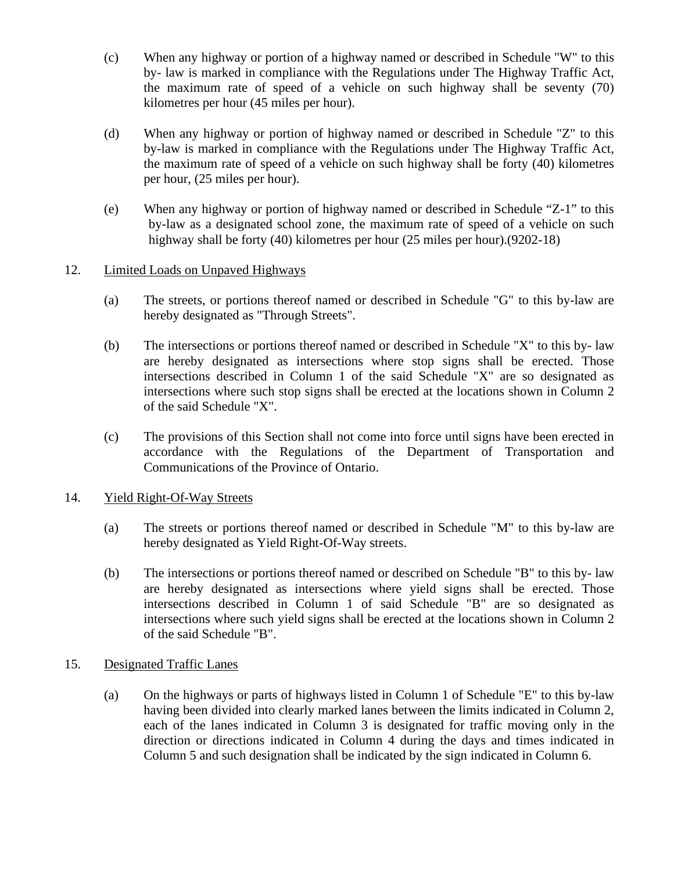- (c) When any highway or portion of a highway named or described in Schedule "W" to this by- law is marked in compliance with the Regulations under The Highway Traffic Act, the maximum rate of speed of a vehicle on such highway shall be seventy (70) kilometres per hour (45 miles per hour).
- (d) When any highway or portion of highway named or described in Schedule "Z" to this by-law is marked in compliance with the Regulations under The Highway Traffic Act, the maximum rate of speed of a vehicle on such highway shall be forty (40) kilometres per hour, (25 miles per hour).
- (e) When any highway or portion of highway named or described in Schedule "Z-1" to this by-law as a designated school zone, the maximum rate of speed of a vehicle on such highway shall be forty (40) kilometres per hour (25 miles per hour).(9202-18)

# 12. Limited Loads on Unpaved Highways

- (a) The streets, or portions thereof named or described in Schedule "G" to this by-law are hereby designated as "Through Streets".
- (b) The intersections or portions thereof named or described in Schedule "X" to this by- law are hereby designated as intersections where stop signs shall be erected. Those intersections described in Column 1 of the said Schedule "X" are so designated as intersections where such stop signs shall be erected at the locations shown in Column 2 of the said Schedule "X".
- (c) The provisions of this Section shall not come into force until signs have been erected in accordance with the Regulations of the Department of Transportation and Communications of the Province of Ontario.

### 14. Yield Right-Of-Way Streets

- (a) The streets or portions thereof named or described in Schedule "M" to this by-law are hereby designated as Yield Right-Of-Way streets.
- (b) The intersections or portions thereof named or described on Schedule "B" to this by- law are hereby designated as intersections where yield signs shall be erected. Those intersections described in Column 1 of said Schedule "B" are so designated as intersections where such yield signs shall be erected at the locations shown in Column 2 of the said Schedule "B".

# 15. Designated Traffic Lanes

(a) On the highways or parts of highways listed in Column 1 of Schedule "E" to this by-law having been divided into clearly marked lanes between the limits indicated in Column 2, each of the lanes indicated in Column 3 is designated for traffic moving only in the direction or directions indicated in Column 4 during the days and times indicated in Column 5 and such designation shall be indicated by the sign indicated in Column 6.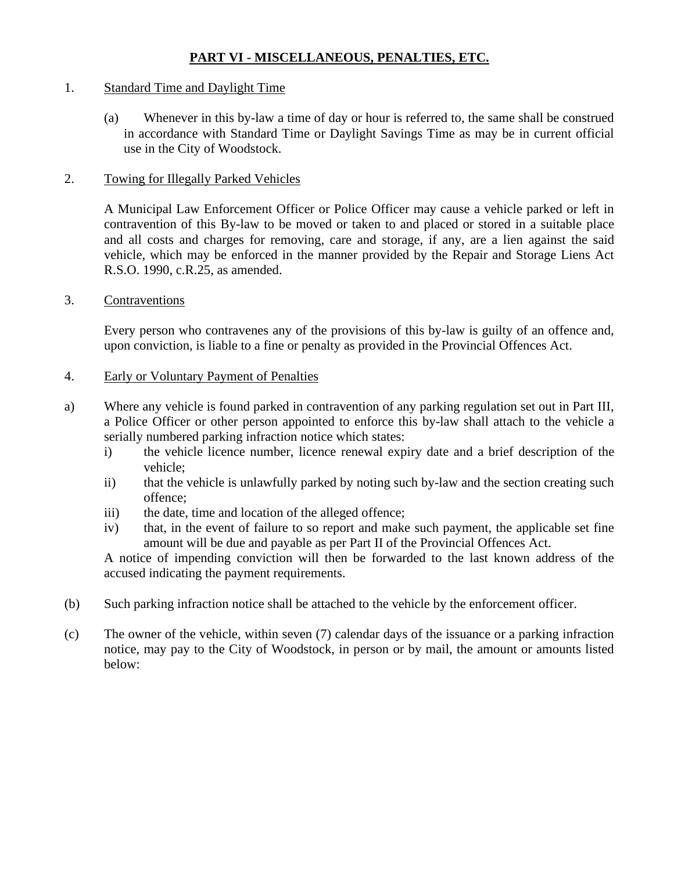# **PART VI - MISCELLANEOUS, PENALTIES, ETC.**

### 1. Standard Time and Daylight Time

(a) Whenever in this by-law a time of day or hour is referred to, the same shall be construed in accordance with Standard Time or Daylight Savings Time as may be in current official use in the City of Woodstock.

### 2. Towing for Illegally Parked Vehicles

A Municipal Law Enforcement Officer or Police Officer may cause a vehicle parked or left in contravention of this By-law to be moved or taken to and placed or stored in a suitable place and all costs and charges for removing, care and storage, if any, are a lien against the said vehicle, which may be enforced in the manner provided by the Repair and Storage Liens Act R.S.O. 1990, c.R.25, as amended.

### 3. Contraventions

Every person who contravenes any of the provisions of this by-law is guilty of an offence and, upon conviction, is liable to a fine or penalty as provided in the Provincial Offences Act.

## 4. Early or Voluntary Payment of Penalties

- a) Where any vehicle is found parked in contravention of any parking regulation set out in Part III, a Police Officer or other person appointed to enforce this by-law shall attach to the vehicle a serially numbered parking infraction notice which states:
	- i) the vehicle licence number, licence renewal expiry date and a brief description of the vehicle;
	- ii) that the vehicle is unlawfully parked by noting such by-law and the section creating such offence;
	- iii) the date, time and location of the alleged offence;
	- iv) that, in the event of failure to so report and make such payment, the applicable set fine amount will be due and payable as per Part II of the Provincial Offences Act.

A notice of impending conviction will then be forwarded to the last known address of the accused indicating the payment requirements.

- (b) Such parking infraction notice shall be attached to the vehicle by the enforcement officer.
- (c) The owner of the vehicle, within seven (7) calendar days of the issuance or a parking infraction notice, may pay to the City of Woodstock, in person or by mail, the amount or amounts listed below: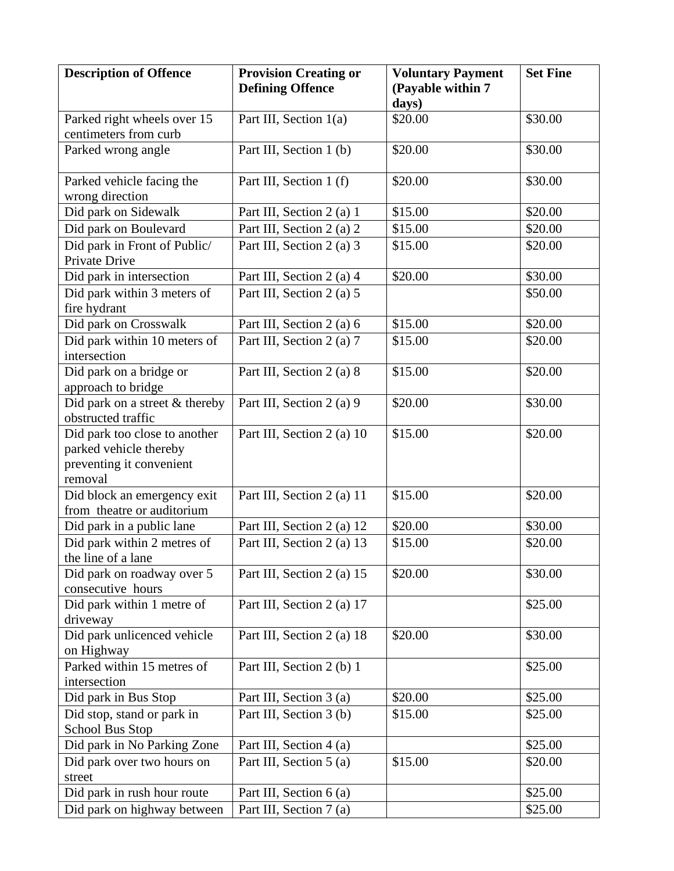| <b>Description of Offence</b>               | <b>Provision Creating or</b> | <b>Voluntary Payment</b>   | <b>Set Fine</b> |
|---------------------------------------------|------------------------------|----------------------------|-----------------|
|                                             | <b>Defining Offence</b>      | (Payable within 7<br>days) |                 |
| Parked right wheels over 15                 | Part III, Section 1(a)       | \$20.00                    | \$30.00         |
| centimeters from curb                       |                              |                            |                 |
| Parked wrong angle                          | Part III, Section 1 (b)      | \$20.00                    | \$30.00         |
|                                             |                              |                            |                 |
| Parked vehicle facing the                   | Part III, Section 1 (f)      | \$20.00                    | \$30.00         |
| wrong direction                             |                              |                            |                 |
| Did park on Sidewalk                        | Part III, Section 2 (a) 1    | \$15.00                    | \$20.00         |
| Did park on Boulevard                       | Part III, Section 2 (a) 2    | \$15.00                    | \$20.00         |
| Did park in Front of Public/                | Part III, Section 2 (a) 3    | \$15.00                    | \$20.00         |
| Private Drive                               |                              |                            |                 |
| Did park in intersection                    | Part III, Section 2 (a) 4    | \$20.00                    | \$30.00         |
| Did park within 3 meters of<br>fire hydrant | Part III, Section 2 (a) 5    |                            | \$50.00         |
| Did park on Crosswalk                       | Part III, Section 2 (a) 6    | \$15.00                    | \$20.00         |
| Did park within 10 meters of                | Part III, Section 2 (a) 7    | \$15.00                    | \$20.00         |
| intersection                                |                              |                            |                 |
| Did park on a bridge or                     | Part III, Section 2 (a) 8    | \$15.00                    | \$20.00         |
| approach to bridge                          |                              |                            |                 |
| Did park on a street & thereby              | Part III, Section 2 (a) 9    | \$20.00                    | \$30.00         |
| obstructed traffic                          |                              |                            |                 |
| Did park too close to another               | Part III, Section 2 (a) 10   | \$15.00                    | \$20.00         |
| parked vehicle thereby                      |                              |                            |                 |
| preventing it convenient<br>removal         |                              |                            |                 |
| Did block an emergency exit                 | Part III, Section 2 (a) 11   | \$15.00                    | \$20.00         |
| from theatre or auditorium                  |                              |                            |                 |
| Did park in a public lane                   | Part III, Section 2 (a) 12   | \$20.00                    | \$30.00         |
| Did park within 2 metres of                 | Part III, Section 2 (a) 13   | \$15.00                    | \$20.00         |
| the line of a lane                          |                              |                            |                 |
| Did park on roadway over 5                  | Part III, Section 2 (a) 15   | \$20.00                    | \$30.00         |
| consecutive hours                           |                              |                            |                 |
| Did park within 1 metre of                  | Part III, Section 2 (a) 17   |                            | \$25.00         |
| driveway                                    |                              |                            |                 |
| Did park unlicenced vehicle                 | Part III, Section 2 (a) 18   | \$20.00                    | \$30.00         |
| on Highway                                  |                              |                            |                 |
| Parked within 15 metres of                  | Part III, Section 2 (b) 1    |                            | \$25.00         |
| intersection<br>Did park in Bus Stop        | Part III, Section 3 (a)      | \$20.00                    | \$25.00         |
| Did stop, stand or park in                  | Part III, Section 3 (b)      | \$15.00                    | \$25.00         |
| School Bus Stop                             |                              |                            |                 |
| Did park in No Parking Zone                 | Part III, Section 4 (a)      |                            | \$25.00         |
| Did park over two hours on                  | Part III, Section 5 (a)      | \$15.00                    | \$20.00         |
| street                                      |                              |                            |                 |
| Did park in rush hour route                 | Part III, Section 6 (a)      |                            | \$25.00         |
| Did park on highway between                 | Part III, Section 7 (a)      |                            | \$25.00         |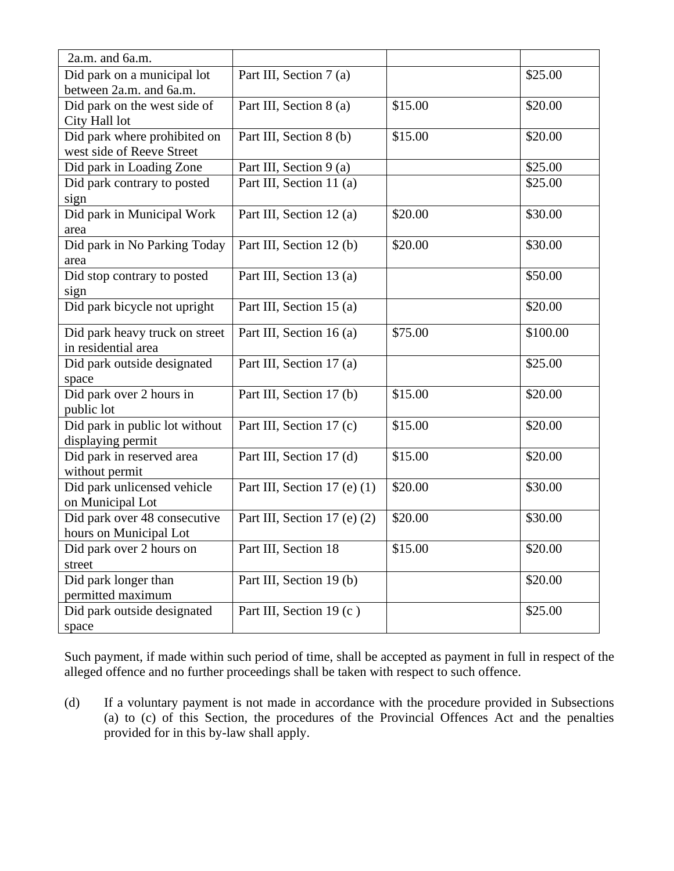| $2a.m.$ and $6a.m.$            |                              |         |          |
|--------------------------------|------------------------------|---------|----------|
| Did park on a municipal lot    | Part III, Section 7 (a)      |         | \$25.00  |
| between 2a.m. and 6a.m.        |                              |         |          |
| Did park on the west side of   | Part III, Section 8 (a)      | \$15.00 | \$20.00  |
| City Hall lot                  |                              |         |          |
| Did park where prohibited on   | Part III, Section 8 (b)      | \$15.00 | \$20.00  |
| west side of Reeve Street      |                              |         |          |
| Did park in Loading Zone       | Part III, Section 9 (a)      |         | \$25.00  |
| Did park contrary to posted    | Part III, Section 11 (a)     |         | \$25.00  |
| sign                           |                              |         |          |
| Did park in Municipal Work     | Part III, Section 12 (a)     | \$20.00 | \$30.00  |
| area                           |                              |         |          |
| Did park in No Parking Today   | Part III, Section 12 (b)     | \$20.00 | \$30.00  |
| area                           |                              |         |          |
| Did stop contrary to posted    | Part III, Section 13 (a)     |         | \$50.00  |
| sign                           |                              |         |          |
| Did park bicycle not upright   | Part III, Section 15 (a)     |         | \$20.00  |
| Did park heavy truck on street | Part III, Section 16 (a)     | \$75.00 | \$100.00 |
| in residential area            |                              |         |          |
| Did park outside designated    | Part III, Section 17 (a)     |         | \$25.00  |
| space                          |                              |         |          |
| Did park over 2 hours in       | Part III, Section 17 (b)     | \$15.00 | \$20.00  |
| public lot                     |                              |         |          |
| Did park in public lot without | Part III, Section 17 (c)     | \$15.00 | \$20.00  |
| displaying permit              |                              |         |          |
| Did park in reserved area      | Part III, Section 17 (d)     | \$15.00 | \$20.00  |
| without permit                 |                              |         |          |
| Did park unlicensed vehicle    | Part III, Section 17 (e) (1) | \$20.00 | \$30.00  |
| on Municipal Lot               |                              |         |          |
| Did park over 48 consecutive   | Part III, Section 17 (e) (2) | \$20.00 | \$30.00  |
| hours on Municipal Lot         |                              |         |          |
| Did park over 2 hours on       | Part III, Section 18         | \$15.00 | \$20.00  |
| street                         |                              |         |          |
| Did park longer than           | Part III, Section 19 (b)     |         | \$20.00  |
| permitted maximum              |                              |         |          |
| Did park outside designated    | Part III, Section 19 (c)     |         | \$25.00  |
| space                          |                              |         |          |

Such payment, if made within such period of time, shall be accepted as payment in full in respect of the alleged offence and no further proceedings shall be taken with respect to such offence.

(d) If a voluntary payment is not made in accordance with the procedure provided in Subsections (a) to (c) of this Section, the procedures of the Provincial Offences Act and the penalties provided for in this by-law shall apply.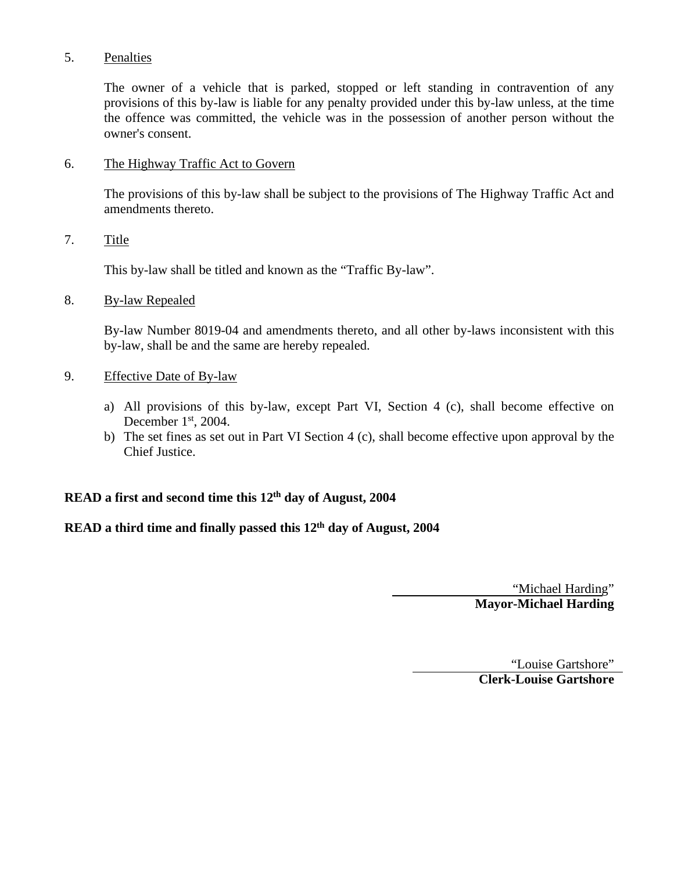## 5. Penalties

The owner of a vehicle that is parked, stopped or left standing in contravention of any provisions of this by-law is liable for any penalty provided under this by-law unless, at the time the offence was committed, the vehicle was in the possession of another person without the owner's consent.

### 6. The Highway Traffic Act to Govern

The provisions of this by-law shall be subject to the provisions of The Highway Traffic Act and amendments thereto.

#### 7. Title

This by-law shall be titled and known as the "Traffic By-law".

#### 8. By-law Repealed

By-law Number 8019-04 and amendments thereto, and all other by-laws inconsistent with this by-law, shall be and the same are hereby repealed.

### 9. Effective Date of By-law

- a) All provisions of this by-law, except Part VI, Section 4 (c), shall become effective on December  $1<sup>st</sup>$ , 2004.
- b) The set fines as set out in Part VI Section 4 (c), shall become effective upon approval by the Chief Justice.

# **READ a first and second time this 12th day of August, 2004**

## **READ a third time and finally passed this 12th day of August, 2004**

"Michael Harding" **Mayor-Michael Harding**

"Louise Gartshore" **Clerk-Louise Gartshore**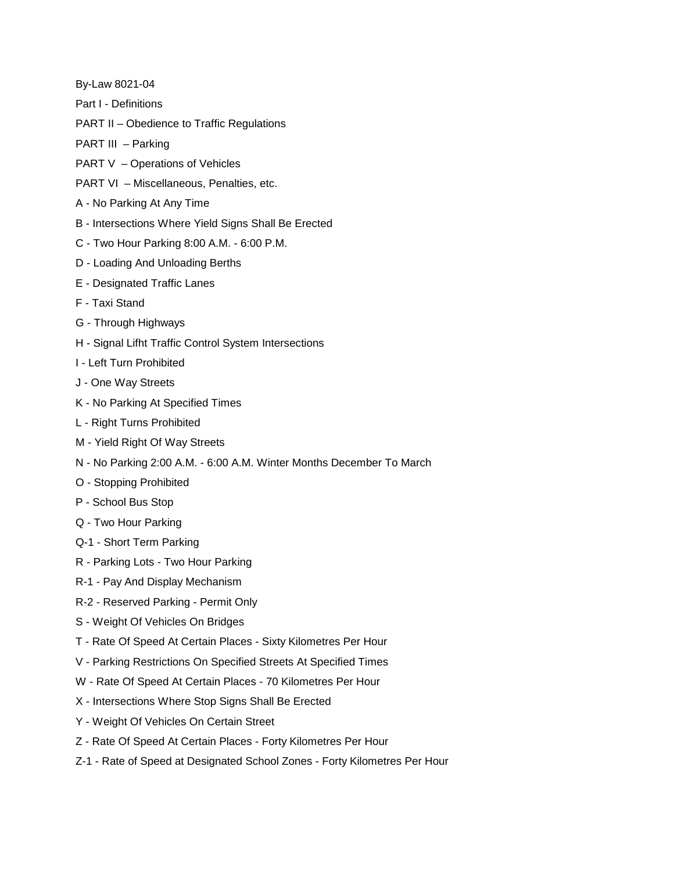By-Law 8021-04

- Part I Definitions
- PART II Obedience to Traffic Regulations

PART III - Parking

- PART V Operations of Vehicles
- PART VI Miscellaneous, Penalties, etc.
- A No Parking At Any Time
- B Intersections Where Yield Signs Shall Be Erected
- C Two Hour Parking 8:00 A.M. 6:00 P.M.
- D Loading And Unloading Berths
- E Designated Traffic Lanes
- F Taxi Stand
- G Through Highways
- H Signal Lifht Traffic Control System Intersections
- I Left Turn Prohibited
- J One Way Streets
- K No Parking At Specified Times
- L Right Turns Prohibited
- M Yield Right Of Way Streets
- N No Parking 2:00 A.M. 6:00 A.M. Winter Months December To March
- O Stopping Prohibited
- P School Bus Stop
- Q Two Hour Parking
- Q-1 Short Term Parking
- R Parking Lots Two Hour Parking
- R-1 Pay And Display Mechanism
- R-2 Reserved Parking Permit Only
- S Weight Of Vehicles On Bridges
- T Rate Of Speed At Certain Places Sixty Kilometres Per Hour
- V Parking Restrictions On Specified Streets At Specified Times
- W Rate Of Speed At Certain Places 70 Kilometres Per Hour
- X Intersections Where Stop Signs Shall Be Erected
- Y Weight Of Vehicles On Certain Street
- Z Rate Of Speed At Certain Places Forty Kilometres Per Hour
- Z-1 Rate of Speed at Designated School Zones Forty Kilometres Per Hour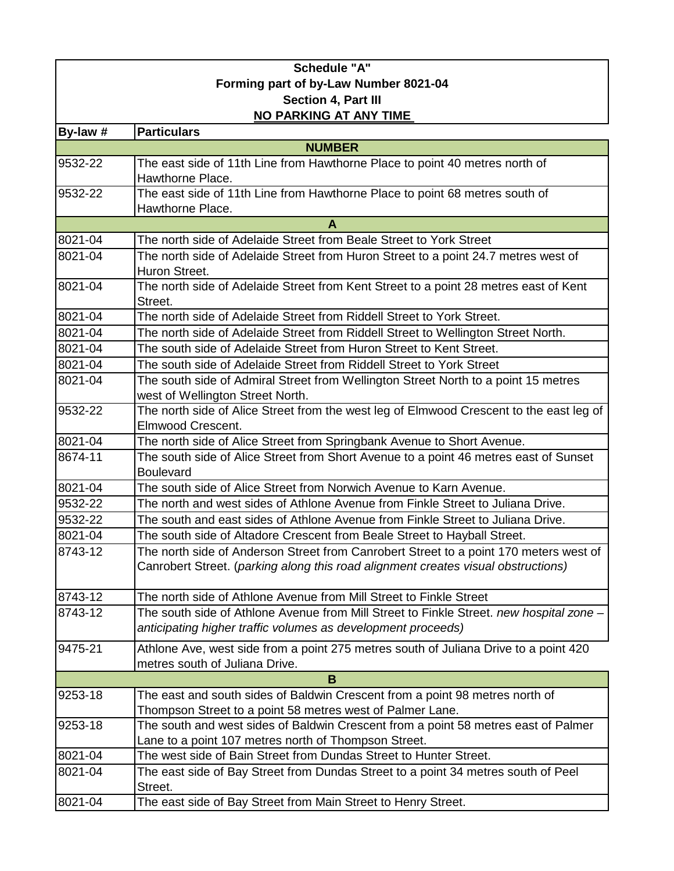| <b>Schedule "A"</b>                   |                                                                                                     |  |
|---------------------------------------|-----------------------------------------------------------------------------------------------------|--|
| Forming part of by-Law Number 8021-04 |                                                                                                     |  |
| Section 4, Part III                   |                                                                                                     |  |
| NO PARKING AT ANY TIME                |                                                                                                     |  |
| By-law #                              | <b>Particulars</b>                                                                                  |  |
|                                       | <b>NUMBER</b>                                                                                       |  |
| 9532-22                               | The east side of 11th Line from Hawthorne Place to point 40 metres north of                         |  |
|                                       | Hawthorne Place.                                                                                    |  |
| 9532-22                               | The east side of 11th Line from Hawthorne Place to point 68 metres south of                         |  |
|                                       | Hawthorne Place.                                                                                    |  |
|                                       | A                                                                                                   |  |
| 8021-04                               | The north side of Adelaide Street from Beale Street to York Street                                  |  |
| 8021-04                               | The north side of Adelaide Street from Huron Street to a point 24.7 metres west of<br>Huron Street. |  |
| 8021-04                               | The north side of Adelaide Street from Kent Street to a point 28 metres east of Kent                |  |
|                                       | Street.                                                                                             |  |
| 8021-04                               | The north side of Adelaide Street from Riddell Street to York Street.                               |  |
| 8021-04                               | The north side of Adelaide Street from Riddell Street to Wellington Street North.                   |  |
| 8021-04                               | The south side of Adelaide Street from Huron Street to Kent Street.                                 |  |
| 8021-04                               | The south side of Adelaide Street from Riddell Street to York Street                                |  |
| 8021-04                               | The south side of Admiral Street from Wellington Street North to a point 15 metres                  |  |
|                                       | west of Wellington Street North.                                                                    |  |
| 9532-22                               | The north side of Alice Street from the west leg of Elmwood Crescent to the east leg of             |  |
|                                       | Elmwood Crescent.                                                                                   |  |
| 8021-04                               | The north side of Alice Street from Springbank Avenue to Short Avenue.                              |  |
| 8674-11                               | The south side of Alice Street from Short Avenue to a point 46 metres east of Sunset                |  |
|                                       | <b>Boulevard</b>                                                                                    |  |
| 8021-04                               | The south side of Alice Street from Norwich Avenue to Karn Avenue.                                  |  |
| 9532-22                               | The north and west sides of Athlone Avenue from Finkle Street to Juliana Drive.                     |  |
| 9532-22                               | The south and east sides of Athlone Avenue from Finkle Street to Juliana Drive.                     |  |
| 8021-04                               | The south side of Altadore Crescent from Beale Street to Hayball Street.                            |  |
| 8743-12                               | The north side of Anderson Street from Canrobert Street to a point 170 meters west of               |  |
|                                       | Canrobert Street. (parking along this road alignment creates visual obstructions)                   |  |
| 8743-12                               | The north side of Athlone Avenue from Mill Street to Finkle Street                                  |  |
| 8743-12                               | The south side of Athlone Avenue from Mill Street to Finkle Street. new hospital zone -             |  |
|                                       | anticipating higher traffic volumes as development proceeds)                                        |  |
| 9475-21                               | Athlone Ave, west side from a point 275 metres south of Juliana Drive to a point 420                |  |
|                                       | metres south of Juliana Drive.                                                                      |  |
|                                       | B                                                                                                   |  |
| 9253-18                               | The east and south sides of Baldwin Crescent from a point 98 metres north of                        |  |
|                                       | Thompson Street to a point 58 metres west of Palmer Lane.                                           |  |
| 9253-18                               | The south and west sides of Baldwin Crescent from a point 58 metres east of Palmer                  |  |
|                                       | Lane to a point 107 metres north of Thompson Street.                                                |  |
| 8021-04                               | The west side of Bain Street from Dundas Street to Hunter Street.                                   |  |
| 8021-04                               | The east side of Bay Street from Dundas Street to a point 34 metres south of Peel                   |  |
|                                       | Street.                                                                                             |  |
| 8021-04                               | The east side of Bay Street from Main Street to Henry Street.                                       |  |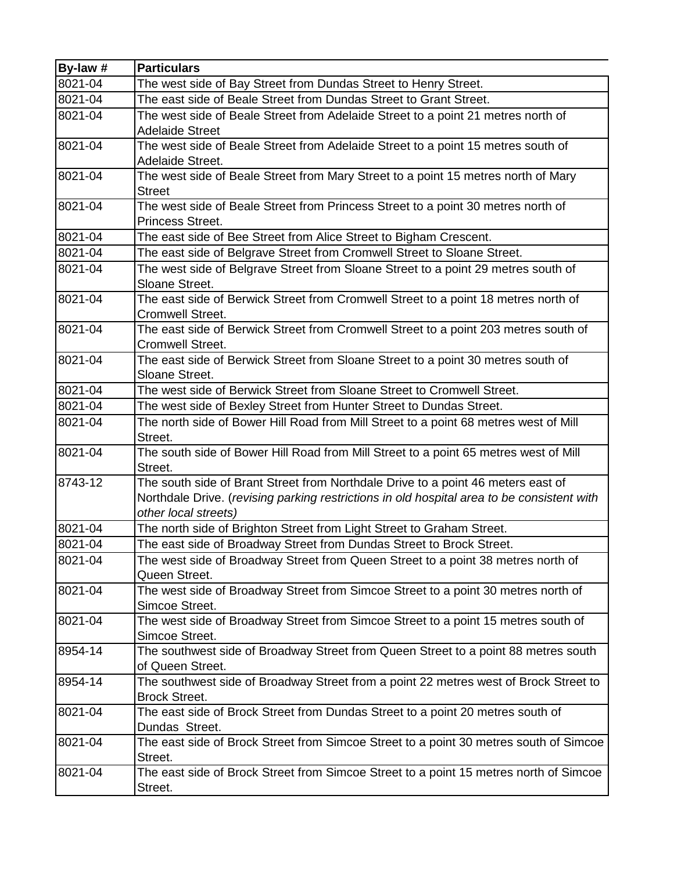| By-law # | <b>Particulars</b>                                                                                  |
|----------|-----------------------------------------------------------------------------------------------------|
| 8021-04  | The west side of Bay Street from Dundas Street to Henry Street.                                     |
| 8021-04  | The east side of Beale Street from Dundas Street to Grant Street.                                   |
| 8021-04  | The west side of Beale Street from Adelaide Street to a point 21 metres north of                    |
|          | <b>Adelaide Street</b>                                                                              |
| 8021-04  | The west side of Beale Street from Adelaide Street to a point 15 metres south of                    |
|          | Adelaide Street.                                                                                    |
| 8021-04  | The west side of Beale Street from Mary Street to a point 15 metres north of Mary                   |
|          | <b>Street</b>                                                                                       |
| 8021-04  | The west side of Beale Street from Princess Street to a point 30 metres north of                    |
|          | Princess Street.                                                                                    |
| 8021-04  | The east side of Bee Street from Alice Street to Bigham Crescent.                                   |
| 8021-04  | The east side of Belgrave Street from Cromwell Street to Sloane Street.                             |
| 8021-04  | The west side of Belgrave Street from Sloane Street to a point 29 metres south of                   |
|          | Sloane Street.                                                                                      |
| 8021-04  | The east side of Berwick Street from Cromwell Street to a point 18 metres north of                  |
|          | <b>Cromwell Street.</b>                                                                             |
| 8021-04  | The east side of Berwick Street from Cromwell Street to a point 203 metres south of                 |
|          | Cromwell Street.                                                                                    |
| 8021-04  | The east side of Berwick Street from Sloane Street to a point 30 metres south of                    |
|          | Sloane Street.                                                                                      |
| 8021-04  | The west side of Berwick Street from Sloane Street to Cromwell Street.                              |
| 8021-04  | The west side of Bexley Street from Hunter Street to Dundas Street.                                 |
| 8021-04  | The north side of Bower Hill Road from Mill Street to a point 68 metres west of Mill                |
|          | Street.                                                                                             |
| 8021-04  | The south side of Bower Hill Road from Mill Street to a point 65 metres west of Mill                |
|          | Street.                                                                                             |
| 8743-12  | The south side of Brant Street from Northdale Drive to a point 46 meters east of                    |
|          | Northdale Drive. (revising parking restrictions in old hospital area to be consistent with          |
| 8021-04  | other local streets)                                                                                |
|          | The north side of Brighton Street from Light Street to Graham Street.                               |
| 8021-04  | The east side of Broadway Street from Dundas Street to Brock Street.                                |
| 8021-04  | The west side of Broadway Street from Queen Street to a point 38 metres north of                    |
| 8021-04  | Queen Street.                                                                                       |
|          | The west side of Broadway Street from Simcoe Street to a point 30 metres north of<br>Simcoe Street. |
| 8021-04  | The west side of Broadway Street from Simcoe Street to a point 15 metres south of                   |
|          | Simcoe Street.                                                                                      |
| 8954-14  | The southwest side of Broadway Street from Queen Street to a point 88 metres south                  |
|          | of Queen Street.                                                                                    |
| 8954-14  | The southwest side of Broadway Street from a point 22 metres west of Brock Street to                |
|          | <b>Brock Street.</b>                                                                                |
| 8021-04  | The east side of Brock Street from Dundas Street to a point 20 metres south of                      |
|          | Dundas Street.                                                                                      |
| 8021-04  | The east side of Brock Street from Simcoe Street to a point 30 metres south of Simcoe               |
|          | Street.                                                                                             |
| 8021-04  | The east side of Brock Street from Simcoe Street to a point 15 metres north of Simcoe               |
|          | Street.                                                                                             |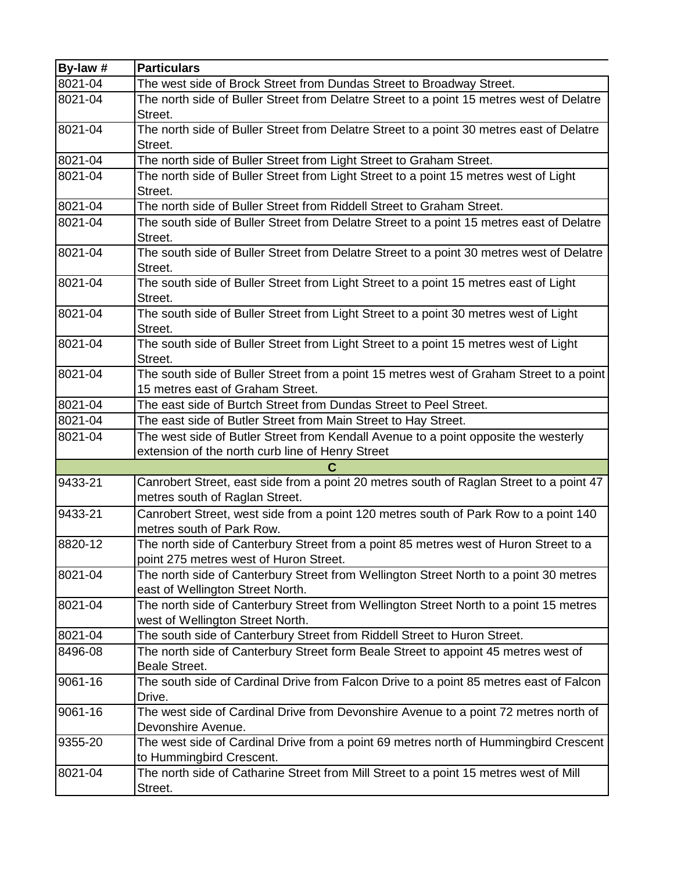| By-law # | <b>Particulars</b>                                                                                                        |
|----------|---------------------------------------------------------------------------------------------------------------------------|
| 8021-04  | The west side of Brock Street from Dundas Street to Broadway Street.                                                      |
| 8021-04  | The north side of Buller Street from Delatre Street to a point 15 metres west of Delatre<br>Street.                       |
| 8021-04  | The north side of Buller Street from Delatre Street to a point 30 metres east of Delatre                                  |
|          | Street.                                                                                                                   |
| 8021-04  | The north side of Buller Street from Light Street to Graham Street.                                                       |
| 8021-04  | The north side of Buller Street from Light Street to a point 15 metres west of Light                                      |
|          | Street.                                                                                                                   |
| 8021-04  | The north side of Buller Street from Riddell Street to Graham Street.                                                     |
| 8021-04  | The south side of Buller Street from Delatre Street to a point 15 metres east of Delatre<br>Street.                       |
| 8021-04  | The south side of Buller Street from Delatre Street to a point 30 metres west of Delatre<br>Street.                       |
| 8021-04  | The south side of Buller Street from Light Street to a point 15 metres east of Light<br>Street.                           |
| 8021-04  | The south side of Buller Street from Light Street to a point 30 metres west of Light<br>Street.                           |
| 8021-04  | The south side of Buller Street from Light Street to a point 15 metres west of Light<br>Street.                           |
| 8021-04  | The south side of Buller Street from a point 15 metres west of Graham Street to a point                                   |
|          | 15 metres east of Graham Street.                                                                                          |
| 8021-04  | The east side of Burtch Street from Dundas Street to Peel Street.                                                         |
| 8021-04  | The east side of Butler Street from Main Street to Hay Street.                                                            |
| 8021-04  | The west side of Butler Street from Kendall Avenue to a point opposite the westerly                                       |
|          | extension of the north curb line of Henry Street                                                                          |
|          | C                                                                                                                         |
| 9433-21  | Canrobert Street, east side from a point 20 metres south of Raglan Street to a point 47<br>metres south of Raglan Street. |
| 9433-21  | Canrobert Street, west side from a point 120 metres south of Park Row to a point 140                                      |
|          | metres south of Park Row.                                                                                                 |
| 8820-12  | The north side of Canterbury Street from a point 85 metres west of Huron Street to a                                      |
|          | point 275 metres west of Huron Street.                                                                                    |
| 8021-04  | The north side of Canterbury Street from Wellington Street North to a point 30 metres                                     |
|          | east of Wellington Street North.                                                                                          |
| 8021-04  | The north side of Canterbury Street from Wellington Street North to a point 15 metres                                     |
|          | west of Wellington Street North.                                                                                          |
| 8021-04  | The south side of Canterbury Street from Riddell Street to Huron Street.                                                  |
| 8496-08  | The north side of Canterbury Street form Beale Street to appoint 45 metres west of                                        |
|          | <b>Beale Street.</b>                                                                                                      |
| 9061-16  | The south side of Cardinal Drive from Falcon Drive to a point 85 metres east of Falcon<br>Drive.                          |
| 9061-16  | The west side of Cardinal Drive from Devonshire Avenue to a point 72 metres north of                                      |
|          | Devonshire Avenue.                                                                                                        |
| 9355-20  | The west side of Cardinal Drive from a point 69 metres north of Hummingbird Crescent                                      |
|          | to Hummingbird Crescent.                                                                                                  |
| 8021-04  | The north side of Catharine Street from Mill Street to a point 15 metres west of Mill                                     |
|          | Street.                                                                                                                   |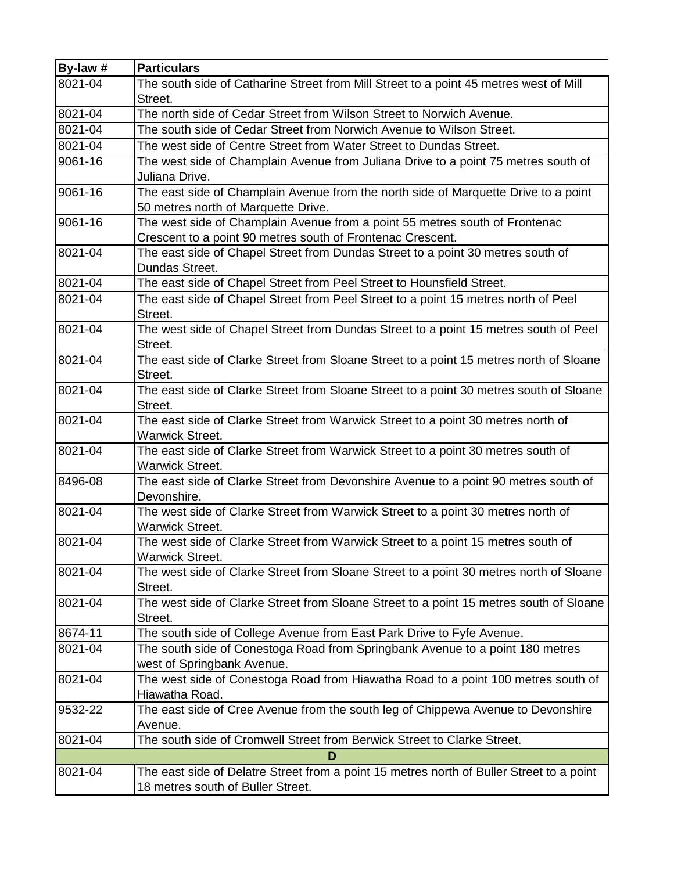| By-law # | <b>Particulars</b>                                                                                 |
|----------|----------------------------------------------------------------------------------------------------|
| 8021-04  | The south side of Catharine Street from Mill Street to a point 45 metres west of Mill              |
|          | Street.                                                                                            |
| 8021-04  | The north side of Cedar Street from Wilson Street to Norwich Avenue.                               |
| 8021-04  | The south side of Cedar Street from Norwich Avenue to Wilson Street.                               |
| 8021-04  | The west side of Centre Street from Water Street to Dundas Street.                                 |
| 9061-16  | The west side of Champlain Avenue from Juliana Drive to a point 75 metres south of                 |
|          | Juliana Drive.                                                                                     |
| 9061-16  | The east side of Champlain Avenue from the north side of Marquette Drive to a point                |
|          | 50 metres north of Marquette Drive.                                                                |
| 9061-16  | The west side of Champlain Avenue from a point 55 metres south of Frontenac                        |
|          | Crescent to a point 90 metres south of Frontenac Crescent.                                         |
| 8021-04  | The east side of Chapel Street from Dundas Street to a point 30 metres south of                    |
|          | Dundas Street.                                                                                     |
| 8021-04  | The east side of Chapel Street from Peel Street to Hounsfield Street.                              |
| 8021-04  | The east side of Chapel Street from Peel Street to a point 15 metres north of Peel                 |
|          | Street.                                                                                            |
| 8021-04  | The west side of Chapel Street from Dundas Street to a point 15 metres south of Peel               |
|          | Street.                                                                                            |
| 8021-04  | The east side of Clarke Street from Sloane Street to a point 15 metres north of Sloane             |
|          | Street.                                                                                            |
| 8021-04  | The east side of Clarke Street from Sloane Street to a point 30 metres south of Sloane             |
|          | Street.                                                                                            |
| 8021-04  | The east side of Clarke Street from Warwick Street to a point 30 metres north of                   |
|          | <b>Warwick Street.</b>                                                                             |
| 8021-04  | The east side of Clarke Street from Warwick Street to a point 30 metres south of                   |
| 8496-08  | <b>Warwick Street.</b>                                                                             |
|          | The east side of Clarke Street from Devonshire Avenue to a point 90 metres south of<br>Devonshire. |
| 8021-04  | The west side of Clarke Street from Warwick Street to a point 30 metres north of                   |
|          | <b>Warwick Street.</b>                                                                             |
| 8021-04  | The west side of Clarke Street from Warwick Street to a point 15 metres south of                   |
|          | Warwick Street.                                                                                    |
| 8021-04  | The west side of Clarke Street from Sloane Street to a point 30 metres north of Sloane             |
|          | Street.                                                                                            |
| 8021-04  | The west side of Clarke Street from Sloane Street to a point 15 metres south of Sloane             |
|          | Street.                                                                                            |
| 8674-11  | The south side of College Avenue from East Park Drive to Fyfe Avenue.                              |
| 8021-04  | The south side of Conestoga Road from Springbank Avenue to a point 180 metres                      |
|          | west of Springbank Avenue.                                                                         |
| 8021-04  | The west side of Conestoga Road from Hiawatha Road to a point 100 metres south of                  |
|          | Hiawatha Road.                                                                                     |
| 9532-22  | The east side of Cree Avenue from the south leg of Chippewa Avenue to Devonshire                   |
|          | Avenue.                                                                                            |
| 8021-04  | The south side of Cromwell Street from Berwick Street to Clarke Street.                            |
|          | D                                                                                                  |
| 8021-04  | The east side of Delatre Street from a point 15 metres north of Buller Street to a point           |
|          | 18 metres south of Buller Street.                                                                  |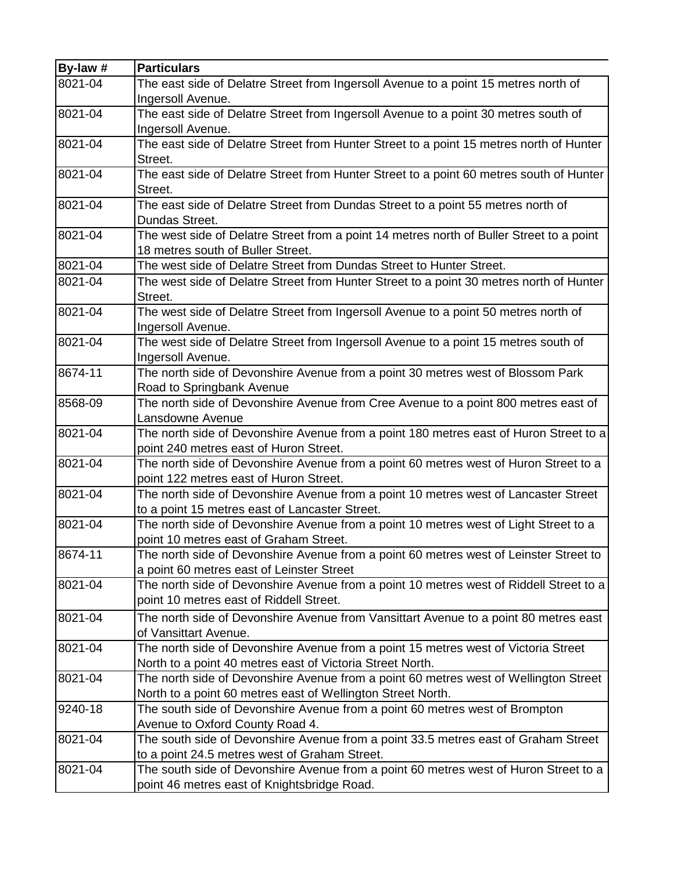| By-law # | <b>Particulars</b>                                                                       |
|----------|------------------------------------------------------------------------------------------|
| 8021-04  | The east side of Delatre Street from Ingersoll Avenue to a point 15 metres north of      |
|          | Ingersoll Avenue.                                                                        |
| 8021-04  | The east side of Delatre Street from Ingersoll Avenue to a point 30 metres south of      |
|          | Ingersoll Avenue.                                                                        |
| 8021-04  | The east side of Delatre Street from Hunter Street to a point 15 metres north of Hunter  |
|          | Street.                                                                                  |
| 8021-04  | The east side of Delatre Street from Hunter Street to a point 60 metres south of Hunter  |
|          | Street.                                                                                  |
| 8021-04  | The east side of Delatre Street from Dundas Street to a point 55 metres north of         |
|          | Dundas Street.                                                                           |
| 8021-04  | The west side of Delatre Street from a point 14 metres north of Buller Street to a point |
|          | 18 metres south of Buller Street.                                                        |
| 8021-04  | The west side of Delatre Street from Dundas Street to Hunter Street.                     |
| 8021-04  | The west side of Delatre Street from Hunter Street to a point 30 metres north of Hunter  |
|          | Street.                                                                                  |
| 8021-04  | The west side of Delatre Street from Ingersoll Avenue to a point 50 metres north of      |
|          | Ingersoll Avenue.                                                                        |
| 8021-04  | The west side of Delatre Street from Ingersoll Avenue to a point 15 metres south of      |
|          | Ingersoll Avenue.                                                                        |
| 8674-11  | The north side of Devonshire Avenue from a point 30 metres west of Blossom Park          |
|          | Road to Springbank Avenue                                                                |
| 8568-09  | The north side of Devonshire Avenue from Cree Avenue to a point 800 metres east of       |
|          | Lansdowne Avenue                                                                         |
| 8021-04  | The north side of Devonshire Avenue from a point 180 metres east of Huron Street to a    |
|          | point 240 metres east of Huron Street.                                                   |
| 8021-04  | The north side of Devonshire Avenue from a point 60 metres west of Huron Street to a     |
|          | point 122 metres east of Huron Street.                                                   |
| 8021-04  | The north side of Devonshire Avenue from a point 10 metres west of Lancaster Street      |
|          | to a point 15 metres east of Lancaster Street.                                           |
| 8021-04  | The north side of Devonshire Avenue from a point 10 metres west of Light Street to a     |
|          | point 10 metres east of Graham Street.                                                   |
| 8674-11  | The north side of Devonshire Avenue from a point 60 metres west of Leinster Street to    |
|          | a point 60 metres east of Leinster Street                                                |
| 8021-04  | The north side of Devonshire Avenue from a point 10 metres west of Riddell Street to a   |
|          | point 10 metres east of Riddell Street.                                                  |
| 8021-04  | The north side of Devonshire Avenue from Vansittart Avenue to a point 80 metres east     |
|          | of Vansittart Avenue.                                                                    |
| 8021-04  | The north side of Devonshire Avenue from a point 15 metres west of Victoria Street       |
|          | North to a point 40 metres east of Victoria Street North.                                |
| 8021-04  | The north side of Devonshire Avenue from a point 60 metres west of Wellington Street     |
|          | North to a point 60 metres east of Wellington Street North.                              |
| 9240-18  | The south side of Devonshire Avenue from a point 60 metres west of Brompton              |
|          | Avenue to Oxford County Road 4.                                                          |
| 8021-04  | The south side of Devonshire Avenue from a point 33.5 metres east of Graham Street       |
|          | to a point 24.5 metres west of Graham Street.                                            |
| 8021-04  | The south side of Devonshire Avenue from a point 60 metres west of Huron Street to a     |
|          | point 46 metres east of Knightsbridge Road.                                              |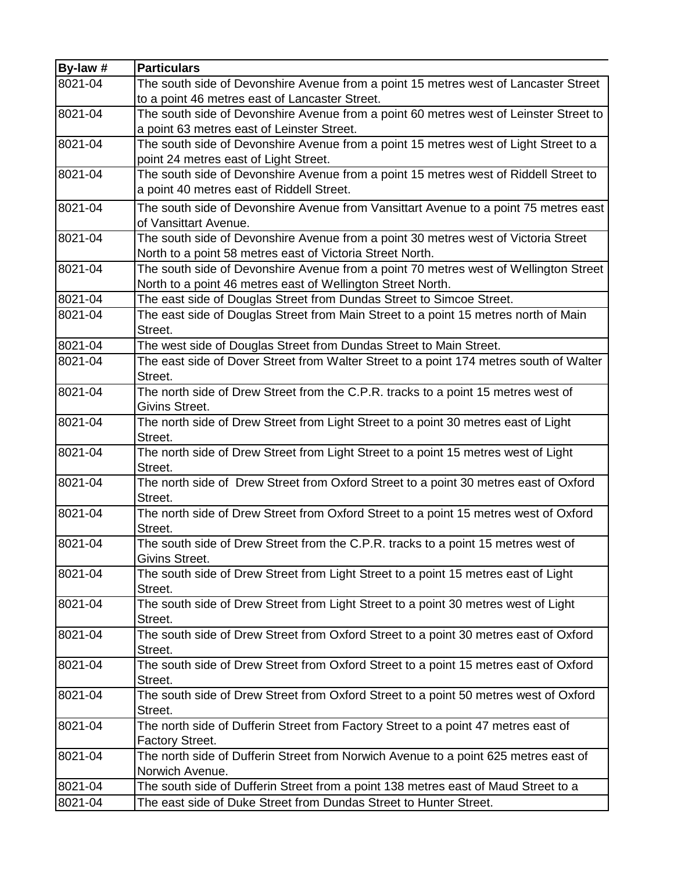| By-law #    | <b>Particulars</b>                                                                     |
|-------------|----------------------------------------------------------------------------------------|
| 8021-04     | The south side of Devonshire Avenue from a point 15 metres west of Lancaster Street    |
|             | to a point 46 metres east of Lancaster Street.                                         |
| 8021-04     | The south side of Devonshire Avenue from a point 60 metres west of Leinster Street to  |
|             | a point 63 metres east of Leinster Street.                                             |
| 8021-04     | The south side of Devonshire Avenue from a point 15 metres west of Light Street to a   |
|             | point 24 metres east of Light Street.                                                  |
| 8021-04     | The south side of Devonshire Avenue from a point 15 metres west of Riddell Street to   |
|             | a point 40 metres east of Riddell Street.                                              |
| 8021-04     | The south side of Devonshire Avenue from Vansittart Avenue to a point 75 metres east   |
|             | of Vansittart Avenue.                                                                  |
| 8021-04     | The south side of Devonshire Avenue from a point 30 metres west of Victoria Street     |
|             | North to a point 58 metres east of Victoria Street North.                              |
| 8021-04     | The south side of Devonshire Avenue from a point 70 metres west of Wellington Street   |
|             | North to a point 46 metres east of Wellington Street North.                            |
| 8021-04     | The east side of Douglas Street from Dundas Street to Simcoe Street.                   |
| 8021-04     | The east side of Douglas Street from Main Street to a point 15 metres north of Main    |
|             | Street.                                                                                |
| 8021-04     | The west side of Douglas Street from Dundas Street to Main Street.                     |
| 8021-04     | The east side of Dover Street from Walter Street to a point 174 metres south of Walter |
|             | Street.                                                                                |
| 8021-04     | The north side of Drew Street from the C.P.R. tracks to a point 15 metres west of      |
|             | Givins Street.                                                                         |
| 8021-04     | The north side of Drew Street from Light Street to a point 30 metres east of Light     |
|             | Street.                                                                                |
| $8021 - 04$ | The north side of Drew Street from Light Street to a point 15 metres west of Light     |
|             | Street.                                                                                |
| 8021-04     | The north side of Drew Street from Oxford Street to a point 30 metres east of Oxford   |
|             | Street.                                                                                |
| 8021-04     | The north side of Drew Street from Oxford Street to a point 15 metres west of Oxford   |
|             | Street.                                                                                |
| 8021-04     | The south side of Drew Street from the C.P.R. tracks to a point 15 metres west of      |
|             | Givins Street.                                                                         |
| 8021-04     | The south side of Drew Street from Light Street to a point 15 metres east of Light     |
|             | Street.                                                                                |
| 8021-04     | The south side of Drew Street from Light Street to a point 30 metres west of Light     |
|             | Street.                                                                                |
| 8021-04     | The south side of Drew Street from Oxford Street to a point 30 metres east of Oxford   |
|             | Street.                                                                                |
| 8021-04     | The south side of Drew Street from Oxford Street to a point 15 metres east of Oxford   |
|             | Street.                                                                                |
| 8021-04     | The south side of Drew Street from Oxford Street to a point 50 metres west of Oxford   |
|             | Street.                                                                                |
| 8021-04     | The north side of Dufferin Street from Factory Street to a point 47 metres east of     |
|             | <b>Factory Street.</b>                                                                 |
| 8021-04     | The north side of Dufferin Street from Norwich Avenue to a point 625 metres east of    |
|             | Norwich Avenue.                                                                        |
| 8021-04     | The south side of Dufferin Street from a point 138 metres east of Maud Street to a     |
| 8021-04     | The east side of Duke Street from Dundas Street to Hunter Street.                      |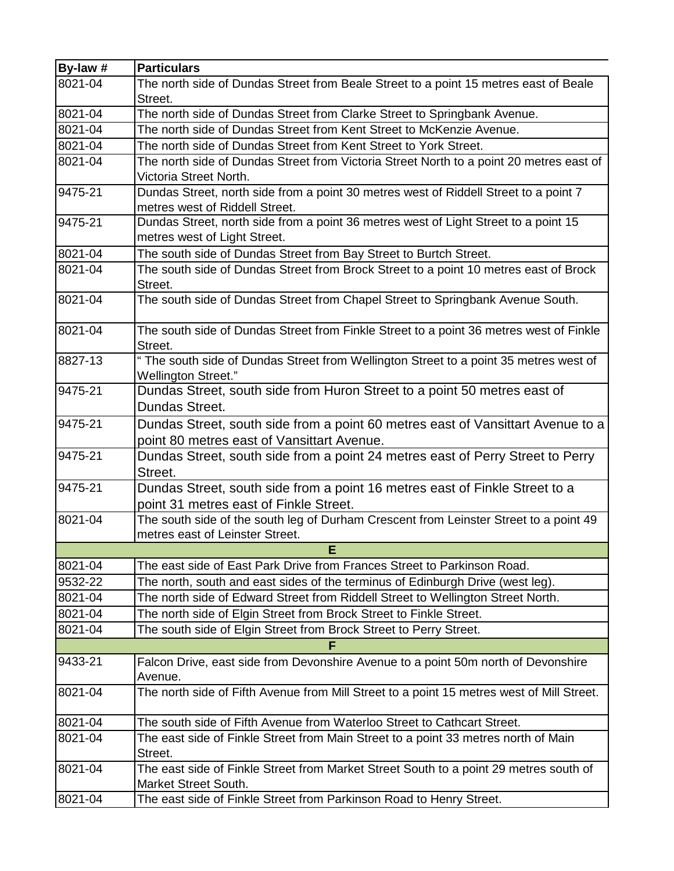| By-law #    | <b>Particulars</b>                                                                        |
|-------------|-------------------------------------------------------------------------------------------|
| $8021 - 04$ | The north side of Dundas Street from Beale Street to a point 15 metres east of Beale      |
|             | Street.                                                                                   |
| 8021-04     | The north side of Dundas Street from Clarke Street to Springbank Avenue.                  |
| 8021-04     | The north side of Dundas Street from Kent Street to McKenzie Avenue.                      |
| 8021-04     | The north side of Dundas Street from Kent Street to York Street.                          |
| 8021-04     | The north side of Dundas Street from Victoria Street North to a point 20 metres east of   |
|             | Victoria Street North.                                                                    |
| 9475-21     | Dundas Street, north side from a point 30 metres west of Riddell Street to a point 7      |
|             | metres west of Riddell Street.                                                            |
| 9475-21     | Dundas Street, north side from a point 36 metres west of Light Street to a point 15       |
|             | metres west of Light Street.                                                              |
| 8021-04     | The south side of Dundas Street from Bay Street to Burtch Street.                         |
| 8021-04     | The south side of Dundas Street from Brock Street to a point 10 metres east of Brock      |
|             | Street.                                                                                   |
| 8021-04     | The south side of Dundas Street from Chapel Street to Springbank Avenue South.            |
| 8021-04     | The south side of Dundas Street from Finkle Street to a point 36 metres west of Finkle    |
|             | Street.                                                                                   |
| 8827-13     | " The south side of Dundas Street from Wellington Street to a point 35 metres west of     |
|             | <b>Wellington Street."</b>                                                                |
| 9475-21     | Dundas Street, south side from Huron Street to a point 50 metres east of                  |
|             | Dundas Street.                                                                            |
| 9475-21     | Dundas Street, south side from a point 60 metres east of Vansittart Avenue to a           |
|             | point 80 metres east of Vansittart Avenue.                                                |
| 9475-21     | Dundas Street, south side from a point 24 metres east of Perry Street to Perry            |
|             | Street.                                                                                   |
| 9475-21     | Dundas Street, south side from a point 16 metres east of Finkle Street to a               |
|             | point 31 metres east of Finkle Street.                                                    |
| 8021-04     | The south side of the south leg of Durham Crescent from Leinster Street to a point 49     |
|             | metres east of Leinster Street.                                                           |
|             | E                                                                                         |
| 8021-04     | The east side of East Park Drive from Frances Street to Parkinson Road.                   |
| 9532-22     | The north, south and east sides of the terminus of Edinburgh Drive (west leg).            |
| 8021-04     | The north side of Edward Street from Riddell Street to Wellington Street North.           |
| 8021-04     | The north side of Elgin Street from Brock Street to Finkle Street.                        |
| 8021-04     | The south side of Elgin Street from Brock Street to Perry Street.                         |
|             | F                                                                                         |
| 9433-21     | Falcon Drive, east side from Devonshire Avenue to a point 50m north of Devonshire         |
|             | Avenue.                                                                                   |
| 8021-04     | The north side of Fifth Avenue from Mill Street to a point 15 metres west of Mill Street. |
| 8021-04     | The south side of Fifth Avenue from Waterloo Street to Cathcart Street.                   |
| 8021-04     | The east side of Finkle Street from Main Street to a point 33 metres north of Main        |
|             | Street.                                                                                   |
| 8021-04     | The east side of Finkle Street from Market Street South to a point 29 metres south of     |
|             | Market Street South.                                                                      |
| 8021-04     | The east side of Finkle Street from Parkinson Road to Henry Street.                       |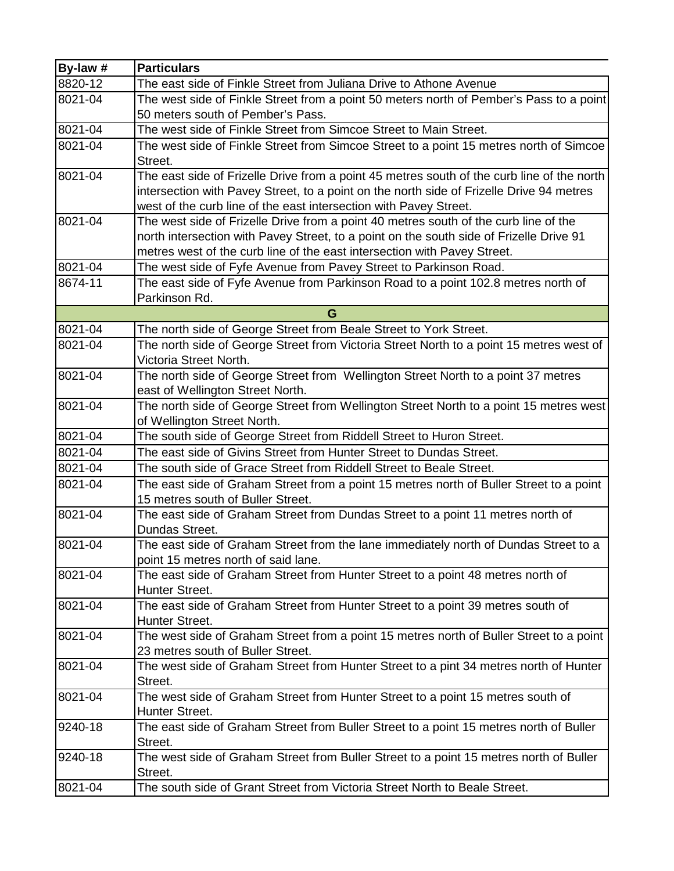| By-law # | <b>Particulars</b>                                                                                |
|----------|---------------------------------------------------------------------------------------------------|
| 8820-12  | The east side of Finkle Street from Juliana Drive to Athone Avenue                                |
| 8021-04  | The west side of Finkle Street from a point 50 meters north of Pember's Pass to a point           |
|          | 50 meters south of Pember's Pass.                                                                 |
| 8021-04  | The west side of Finkle Street from Simcoe Street to Main Street.                                 |
| 8021-04  | The west side of Finkle Street from Simcoe Street to a point 15 metres north of Simcoe            |
|          | Street.                                                                                           |
| 8021-04  | The east side of Frizelle Drive from a point 45 metres south of the curb line of the north        |
|          | intersection with Pavey Street, to a point on the north side of Frizelle Drive 94 metres          |
|          | west of the curb line of the east intersection with Pavey Street.                                 |
| 8021-04  | The west side of Frizelle Drive from a point 40 metres south of the curb line of the              |
|          | north intersection with Pavey Street, to a point on the south side of Frizelle Drive 91           |
|          | metres west of the curb line of the east intersection with Pavey Street.                          |
| 8021-04  | The west side of Fyfe Avenue from Pavey Street to Parkinson Road.                                 |
| 8674-11  | The east side of Fyfe Avenue from Parkinson Road to a point 102.8 metres north of                 |
|          | Parkinson Rd.                                                                                     |
|          | G                                                                                                 |
| 8021-04  | The north side of George Street from Beale Street to York Street.                                 |
| 8021-04  | The north side of George Street from Victoria Street North to a point 15 metres west of           |
|          | Victoria Street North.                                                                            |
| 8021-04  | The north side of George Street from Wellington Street North to a point 37 metres                 |
|          | east of Wellington Street North.                                                                  |
| 8021-04  | The north side of George Street from Wellington Street North to a point 15 metres west            |
|          | of Wellington Street North.                                                                       |
| 8021-04  | The south side of George Street from Riddell Street to Huron Street.                              |
| 8021-04  | The east side of Givins Street from Hunter Street to Dundas Street.                               |
| 8021-04  | The south side of Grace Street from Riddell Street to Beale Street.                               |
| 8021-04  | The east side of Graham Street from a point 15 metres north of Buller Street to a point           |
|          | 15 metres south of Buller Street.                                                                 |
| 8021-04  | The east side of Graham Street from Dundas Street to a point 11 metres north of                   |
|          | Dundas Street.                                                                                    |
| 8021-04  | The east side of Graham Street from the lane immediately north of Dundas Street to a              |
|          | point 15 metres north of said lane.                                                               |
| 8021-04  | The east side of Graham Street from Hunter Street to a point 48 metres north of                   |
|          | Hunter Street.                                                                                    |
| 8021-04  | The east side of Graham Street from Hunter Street to a point 39 metres south of                   |
|          | Hunter Street.                                                                                    |
| 8021-04  | The west side of Graham Street from a point 15 metres north of Buller Street to a point           |
|          | 23 metres south of Buller Street.                                                                 |
| 8021-04  | The west side of Graham Street from Hunter Street to a pint 34 metres north of Hunter             |
|          | Street.                                                                                           |
| 8021-04  | The west side of Graham Street from Hunter Street to a point 15 metres south of                   |
|          | Hunter Street.                                                                                    |
| 9240-18  | The east side of Graham Street from Buller Street to a point 15 metres north of Buller<br>Street. |
| 9240-18  | The west side of Graham Street from Buller Street to a point 15 metres north of Buller            |
|          | Street.                                                                                           |
| 8021-04  | The south side of Grant Street from Victoria Street North to Beale Street.                        |
|          |                                                                                                   |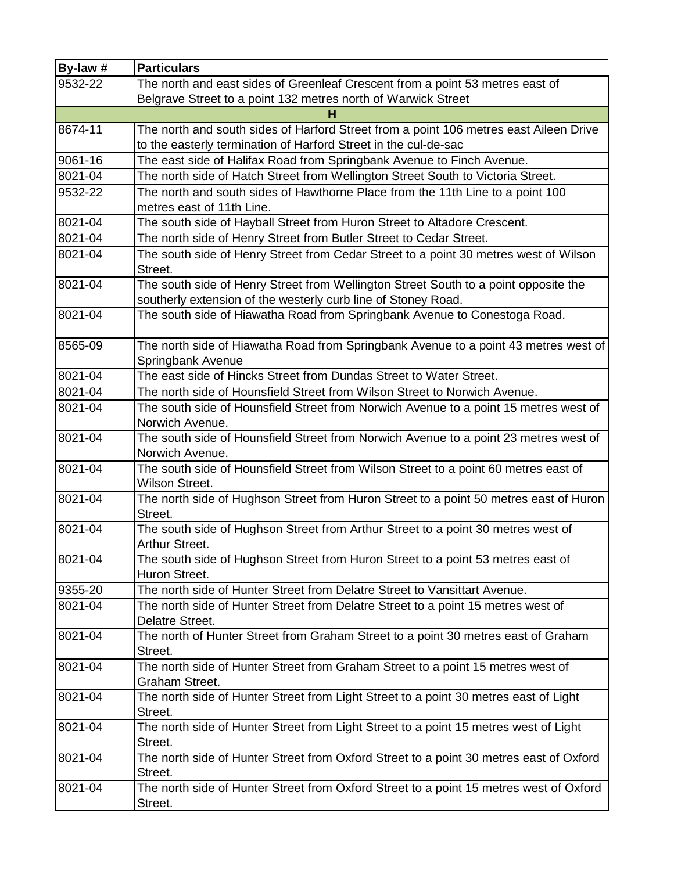| By-law #    | <b>Particulars</b>                                                                                                                                   |
|-------------|------------------------------------------------------------------------------------------------------------------------------------------------------|
| 9532-22     | The north and east sides of Greenleaf Crescent from a point 53 metres east of                                                                        |
|             | Belgrave Street to a point 132 metres north of Warwick Street                                                                                        |
|             |                                                                                                                                                      |
| 8674-11     | The north and south sides of Harford Street from a point 106 metres east Aileen Drive                                                                |
|             | to the easterly termination of Harford Street in the cul-de-sac                                                                                      |
| 9061-16     | The east side of Halifax Road from Springbank Avenue to Finch Avenue.                                                                                |
| 8021-04     | The north side of Hatch Street from Wellington Street South to Victoria Street.                                                                      |
| 9532-22     | The north and south sides of Hawthorne Place from the 11th Line to a point 100<br>metres east of 11th Line.                                          |
| 8021-04     | The south side of Hayball Street from Huron Street to Altadore Crescent.                                                                             |
| 8021-04     | The north side of Henry Street from Butler Street to Cedar Street.                                                                                   |
| 8021-04     | The south side of Henry Street from Cedar Street to a point 30 metres west of Wilson<br>Street.                                                      |
| 8021-04     | The south side of Henry Street from Wellington Street South to a point opposite the<br>southerly extension of the westerly curb line of Stoney Road. |
| 8021-04     | The south side of Hiawatha Road from Springbank Avenue to Conestoga Road.                                                                            |
| 8565-09     | The north side of Hiawatha Road from Springbank Avenue to a point 43 metres west of<br>Springbank Avenue                                             |
| 8021-04     | The east side of Hincks Street from Dundas Street to Water Street.                                                                                   |
| 8021-04     | The north side of Hounsfield Street from Wilson Street to Norwich Avenue.                                                                            |
| 8021-04     | The south side of Hounsfield Street from Norwich Avenue to a point 15 metres west of<br>Norwich Avenue.                                              |
| 8021-04     | The south side of Hounsfield Street from Norwich Avenue to a point 23 metres west of<br>Norwich Avenue.                                              |
| 8021-04     | The south side of Hounsfield Street from Wilson Street to a point 60 metres east of<br>Wilson Street.                                                |
| 8021-04     | The north side of Hughson Street from Huron Street to a point 50 metres east of Huron<br>Street.                                                     |
| $8021 - 04$ | The south side of Hughson Street from Arthur Street to a point 30 metres west of<br>Arthur Street.                                                   |
| 8021-04     | The south side of Hughson Street from Huron Street to a point 53 metres east of<br>Huron Street.                                                     |
| 9355-20     | The north side of Hunter Street from Delatre Street to Vansittart Avenue.                                                                            |
| 8021-04     | The north side of Hunter Street from Delatre Street to a point 15 metres west of<br>Delatre Street.                                                  |
| 8021-04     | The north of Hunter Street from Graham Street to a point 30 metres east of Graham<br>Street.                                                         |
| 8021-04     | The north side of Hunter Street from Graham Street to a point 15 metres west of<br>Graham Street.                                                    |
| 8021-04     | The north side of Hunter Street from Light Street to a point 30 metres east of Light<br>Street.                                                      |
| 8021-04     | The north side of Hunter Street from Light Street to a point 15 metres west of Light<br>Street.                                                      |
| 8021-04     | The north side of Hunter Street from Oxford Street to a point 30 metres east of Oxford<br>Street.                                                    |
| 8021-04     | The north side of Hunter Street from Oxford Street to a point 15 metres west of Oxford<br>Street.                                                    |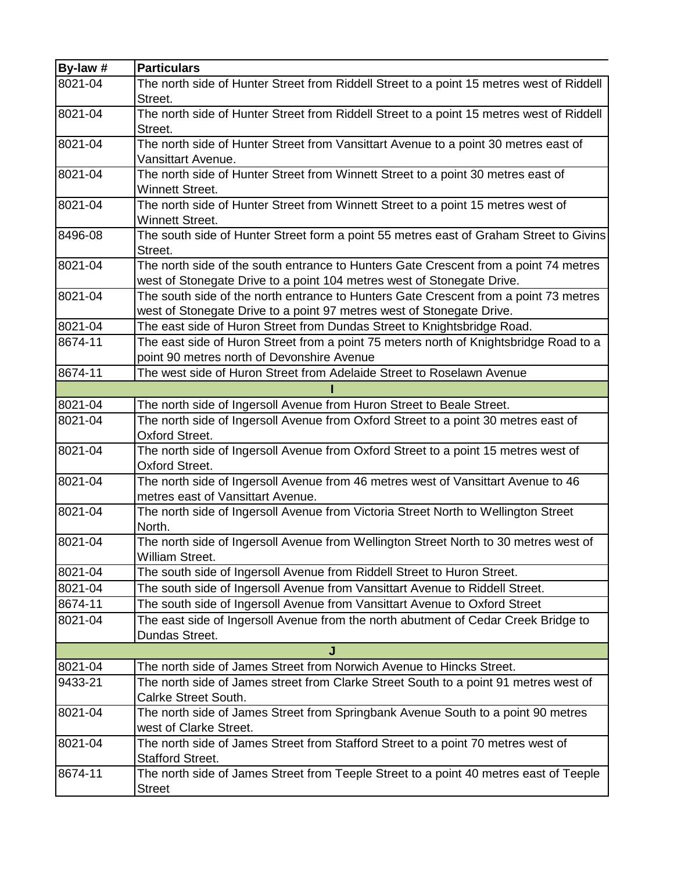| By-law #    | <b>Particulars</b>                                                                       |
|-------------|------------------------------------------------------------------------------------------|
| 8021-04     | The north side of Hunter Street from Riddell Street to a point 15 metres west of Riddell |
|             | Street.                                                                                  |
| 8021-04     | The north side of Hunter Street from Riddell Street to a point 15 metres west of Riddell |
|             | Street.                                                                                  |
| 8021-04     | The north side of Hunter Street from Vansittart Avenue to a point 30 metres east of      |
|             | <b>Vansittart Avenue.</b>                                                                |
| 8021-04     | The north side of Hunter Street from Winnett Street to a point 30 metres east of         |
|             | <b>Winnett Street.</b>                                                                   |
| 8021-04     | The north side of Hunter Street from Winnett Street to a point 15 metres west of         |
|             | <b>Winnett Street.</b>                                                                   |
| 8496-08     | The south side of Hunter Street form a point 55 metres east of Graham Street to Givins   |
|             | Street.                                                                                  |
| 8021-04     | The north side of the south entrance to Hunters Gate Crescent from a point 74 metres     |
|             | west of Stonegate Drive to a point 104 metres west of Stonegate Drive.                   |
| 8021-04     | The south side of the north entrance to Hunters Gate Crescent from a point 73 metres     |
|             | west of Stonegate Drive to a point 97 metres west of Stonegate Drive.                    |
| 8021-04     | The east side of Huron Street from Dundas Street to Knightsbridge Road.                  |
| 8674-11     | The east side of Huron Street from a point 75 meters north of Knightsbridge Road to a    |
|             | point 90 metres north of Devonshire Avenue                                               |
| 8674-11     | The west side of Huron Street from Adelaide Street to Roselawn Avenue                    |
|             |                                                                                          |
| 8021-04     | The north side of Ingersoll Avenue from Huron Street to Beale Street.                    |
| 8021-04     | The north side of Ingersoll Avenue from Oxford Street to a point 30 metres east of       |
|             | <b>Oxford Street.</b>                                                                    |
| $8021 - 04$ | The north side of Ingersoll Avenue from Oxford Street to a point 15 metres west of       |
|             | <b>Oxford Street.</b>                                                                    |
| $8021 - 04$ | The north side of Ingersoll Avenue from 46 metres west of Vansittart Avenue to 46        |
|             | metres east of Vansittart Avenue.                                                        |
| 8021-04     | The north side of Ingersoll Avenue from Victoria Street North to Wellington Street       |
|             | North.                                                                                   |
| 8021-04     | The north side of Ingersoll Avenue from Wellington Street North to 30 metres west of     |
|             | William Street.                                                                          |
| 8021-04     | The south side of Ingersoll Avenue from Riddell Street to Huron Street.                  |
| 8021-04     | The south side of Ingersoll Avenue from Vansittart Avenue to Riddell Street.             |
| 8674-11     | The south side of Ingersoll Avenue from Vansittart Avenue to Oxford Street               |
| 8021-04     | The east side of Ingersoll Avenue from the north abutment of Cedar Creek Bridge to       |
|             | Dundas Street.                                                                           |
|             | J                                                                                        |
| 8021-04     | The north side of James Street from Norwich Avenue to Hincks Street.                     |
| 9433-21     | The north side of James street from Clarke Street South to a point 91 metres west of     |
|             | Calrke Street South.                                                                     |
| 8021-04     | The north side of James Street from Springbank Avenue South to a point 90 metres         |
|             | west of Clarke Street.                                                                   |
| 8021-04     | The north side of James Street from Stafford Street to a point 70 metres west of         |
|             | <b>Stafford Street.</b>                                                                  |
| 8674-11     | The north side of James Street from Teeple Street to a point 40 metres east of Teeple    |
|             | <b>Street</b>                                                                            |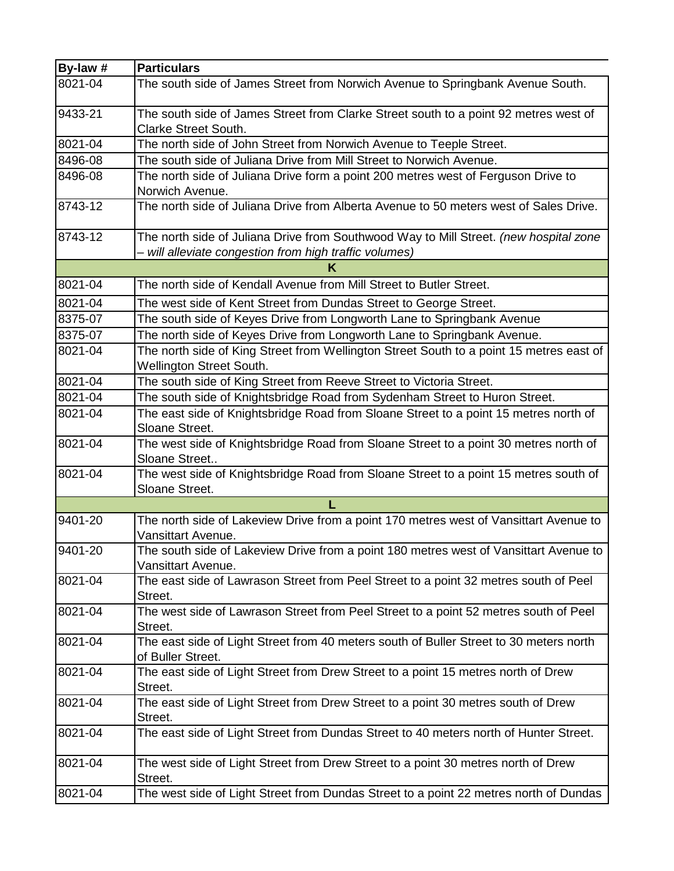| By-law # | <b>Particulars</b>                                                                                                                              |
|----------|-------------------------------------------------------------------------------------------------------------------------------------------------|
| 8021-04  | The south side of James Street from Norwich Avenue to Springbank Avenue South.                                                                  |
| 9433-21  | The south side of James Street from Clarke Street south to a point 92 metres west of<br><b>Clarke Street South.</b>                             |
| 8021-04  | The north side of John Street from Norwich Avenue to Teeple Street.                                                                             |
| 8496-08  | The south side of Juliana Drive from Mill Street to Norwich Avenue.                                                                             |
| 8496-08  | The north side of Juliana Drive form a point 200 metres west of Ferguson Drive to                                                               |
|          | Norwich Avenue.                                                                                                                                 |
| 8743-12  | The north side of Juliana Drive from Alberta Avenue to 50 meters west of Sales Drive.                                                           |
| 8743-12  | The north side of Juliana Drive from Southwood Way to Mill Street. (new hospital zone<br>- will alleviate congestion from high traffic volumes) |
|          | κ                                                                                                                                               |
| 8021-04  | The north side of Kendall Avenue from Mill Street to Butler Street.                                                                             |
| 8021-04  | The west side of Kent Street from Dundas Street to George Street.                                                                               |
| 8375-07  | The south side of Keyes Drive from Longworth Lane to Springbank Avenue                                                                          |
| 8375-07  | The north side of Keyes Drive from Longworth Lane to Springbank Avenue.                                                                         |
| 8021-04  | The north side of King Street from Wellington Street South to a point 15 metres east of<br><b>Wellington Street South.</b>                      |
| 8021-04  | The south side of King Street from Reeve Street to Victoria Street.                                                                             |
| 8021-04  | The south side of Knightsbridge Road from Sydenham Street to Huron Street.                                                                      |
| 8021-04  | The east side of Knightsbridge Road from Sloane Street to a point 15 metres north of<br>Sloane Street.                                          |
| 8021-04  | The west side of Knightsbridge Road from Sloane Street to a point 30 metres north of<br>Sloane Street                                           |
| 8021-04  | The west side of Knightsbridge Road from Sloane Street to a point 15 metres south of<br>Sloane Street.                                          |
|          | L                                                                                                                                               |
| 9401-20  | The north side of Lakeview Drive from a point 170 metres west of Vansittart Avenue to<br>Vansittart Avenue.                                     |
| 9401-20  | The south side of Lakeview Drive from a point 180 metres west of Vansittart Avenue to<br>Vansittart Avenue.                                     |
| 8021-04  | The east side of Lawrason Street from Peel Street to a point 32 metres south of Peel<br>Street.                                                 |
| 8021-04  | The west side of Lawrason Street from Peel Street to a point 52 metres south of Peel<br>Street.                                                 |
| 8021-04  | The east side of Light Street from 40 meters south of Buller Street to 30 meters north<br>of Buller Street.                                     |
| 8021-04  | The east side of Light Street from Drew Street to a point 15 metres north of Drew<br>Street.                                                    |
| 8021-04  | The east side of Light Street from Drew Street to a point 30 metres south of Drew<br>Street.                                                    |
| 8021-04  | The east side of Light Street from Dundas Street to 40 meters north of Hunter Street.                                                           |
| 8021-04  | The west side of Light Street from Drew Street to a point 30 metres north of Drew<br>Street.                                                    |
| 8021-04  | The west side of Light Street from Dundas Street to a point 22 metres north of Dundas                                                           |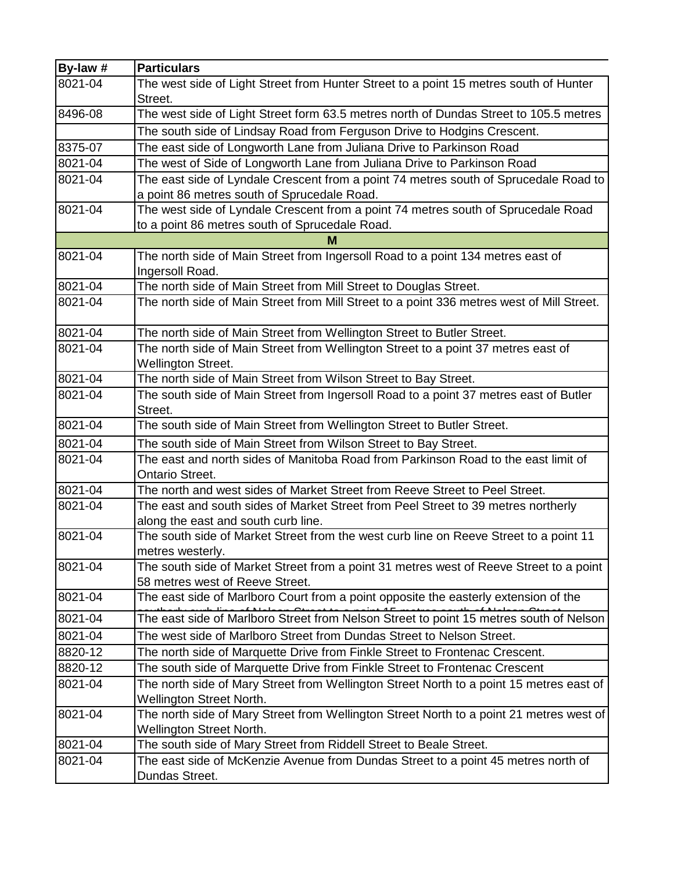| By-law #    | <b>Particulars</b>                                                                        |
|-------------|-------------------------------------------------------------------------------------------|
| 8021-04     | The west side of Light Street from Hunter Street to a point 15 metres south of Hunter     |
|             | Street.                                                                                   |
| 8496-08     | The west side of Light Street form 63.5 metres north of Dundas Street to 105.5 metres     |
|             | The south side of Lindsay Road from Ferguson Drive to Hodgins Crescent.                   |
| 8375-07     | The east side of Longworth Lane from Juliana Drive to Parkinson Road                      |
| 8021-04     | The west of Side of Longworth Lane from Juliana Drive to Parkinson Road                   |
| 8021-04     | The east side of Lyndale Crescent from a point 74 metres south of Sprucedale Road to      |
|             | a point 86 metres south of Sprucedale Road.                                               |
| 8021-04     | The west side of Lyndale Crescent from a point 74 metres south of Sprucedale Road         |
|             | to a point 86 metres south of Sprucedale Road.                                            |
|             | м                                                                                         |
| $8021 - 04$ | The north side of Main Street from Ingersoll Road to a point 134 metres east of           |
|             | Ingersoll Road.                                                                           |
| 8021-04     | The north side of Main Street from Mill Street to Douglas Street.                         |
| 8021-04     | The north side of Main Street from Mill Street to a point 336 metres west of Mill Street. |
| 8021-04     | The north side of Main Street from Wellington Street to Butler Street.                    |
| 8021-04     | The north side of Main Street from Wellington Street to a point 37 metres east of         |
|             | <b>Wellington Street.</b>                                                                 |
| 8021-04     | The north side of Main Street from Wilson Street to Bay Street.                           |
| 8021-04     | The south side of Main Street from Ingersoll Road to a point 37 metres east of Butler     |
|             | Street.                                                                                   |
| 8021-04     | The south side of Main Street from Wellington Street to Butler Street.                    |
| 8021-04     | The south side of Main Street from Wilson Street to Bay Street.                           |
| 8021-04     | The east and north sides of Manitoba Road from Parkinson Road to the east limit of        |
|             | <b>Ontario Street.</b>                                                                    |
| 8021-04     | The north and west sides of Market Street from Reeve Street to Peel Street.               |
| 8021-04     | The east and south sides of Market Street from Peel Street to 39 metres northerly         |
|             | along the east and south curb line.                                                       |
| 8021-04     | The south side of Market Street from the west curb line on Reeve Street to a point 11     |
|             | metres westerly.                                                                          |
| 8021-04     | The south side of Market Street from a point 31 metres west of Reeve Street to a point    |
| 8021-04     | 58 metres west of Reeve Street.                                                           |
|             | The east side of Marlboro Court from a point opposite the easterly extension of the       |
| 8021-04     | The east side of Marlboro Street from Nelson Street to point 15 metres south of Nelson    |
| 8021-04     | The west side of Marlboro Street from Dundas Street to Nelson Street.                     |
| 8820-12     | The north side of Marquette Drive from Finkle Street to Frontenac Crescent.               |
| 8820-12     | The south side of Marquette Drive from Finkle Street to Frontenac Crescent                |
| 8021-04     | The north side of Mary Street from Wellington Street North to a point 15 metres east of   |
|             | Wellington Street North.                                                                  |
| 8021-04     | The north side of Mary Street from Wellington Street North to a point 21 metres west of   |
|             | Wellington Street North.                                                                  |
| 8021-04     | The south side of Mary Street from Riddell Street to Beale Street.                        |
| 8021-04     | The east side of McKenzie Avenue from Dundas Street to a point 45 metres north of         |
|             | Dundas Street.                                                                            |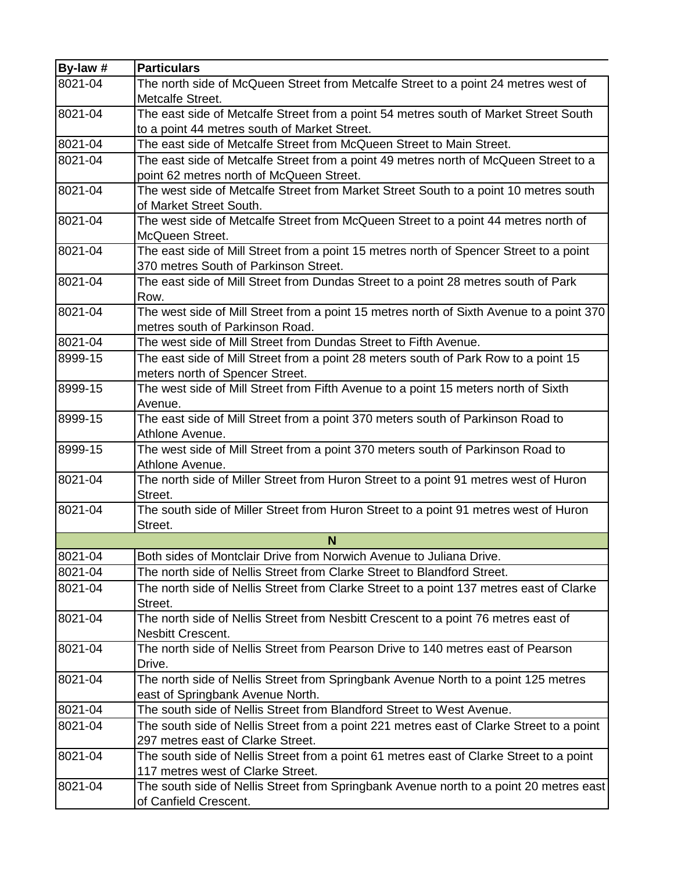| By-law #    | <b>Particulars</b>                                                                                              |
|-------------|-----------------------------------------------------------------------------------------------------------------|
| $8021 - 04$ | The north side of McQueen Street from Metcalfe Street to a point 24 metres west of<br>Metcalfe Street.          |
| 8021-04     | The east side of Metcalfe Street from a point 54 metres south of Market Street South                            |
|             | to a point 44 metres south of Market Street.                                                                    |
| 8021-04     | The east side of Metcalfe Street from McQueen Street to Main Street.                                            |
| 8021-04     | The east side of Metcalfe Street from a point 49 metres north of McQueen Street to a                            |
|             | point 62 metres north of McQueen Street.                                                                        |
| 8021-04     | The west side of Metcalfe Street from Market Street South to a point 10 metres south<br>of Market Street South. |
| 8021-04     | The west side of Metcalfe Street from McQueen Street to a point 44 metres north of                              |
|             | McQueen Street.                                                                                                 |
| 8021-04     | The east side of Mill Street from a point 15 metres north of Spencer Street to a point                          |
|             | 370 metres South of Parkinson Street.                                                                           |
| 8021-04     | The east side of Mill Street from Dundas Street to a point 28 metres south of Park                              |
|             | Row.                                                                                                            |
| 8021-04     | The west side of Mill Street from a point 15 metres north of Sixth Avenue to a point 370                        |
|             | metres south of Parkinson Road.                                                                                 |
| 8021-04     | The west side of Mill Street from Dundas Street to Fifth Avenue.                                                |
| 8999-15     | The east side of Mill Street from a point 28 meters south of Park Row to a point 15                             |
|             | meters north of Spencer Street.                                                                                 |
| 8999-15     | The west side of Mill Street from Fifth Avenue to a point 15 meters north of Sixth                              |
|             | Avenue.                                                                                                         |
| 8999-15     | The east side of Mill Street from a point 370 meters south of Parkinson Road to                                 |
|             | Athlone Avenue.                                                                                                 |
| 8999-15     | The west side of Mill Street from a point 370 meters south of Parkinson Road to                                 |
|             | Athlone Avenue.                                                                                                 |
| 8021-04     | The north side of Miller Street from Huron Street to a point 91 metres west of Huron                            |
|             | Street.                                                                                                         |
| 8021-04     | The south side of Miller Street from Huron Street to a point 91 metres west of Huron<br>Street.                 |
|             | N                                                                                                               |
| 8021-04     | Both sides of Montclair Drive from Norwich Avenue to Juliana Drive.                                             |
| 8021-04     | The north side of Nellis Street from Clarke Street to Blandford Street.                                         |
| 8021-04     | The north side of Nellis Street from Clarke Street to a point 137 metres east of Clarke                         |
|             | Street.                                                                                                         |
| 8021-04     | The north side of Nellis Street from Nesbitt Crescent to a point 76 metres east of                              |
|             | <b>Nesbitt Crescent.</b>                                                                                        |
| 8021-04     | The north side of Nellis Street from Pearson Drive to 140 metres east of Pearson                                |
|             | Drive.                                                                                                          |
| 8021-04     | The north side of Nellis Street from Springbank Avenue North to a point 125 metres                              |
|             | east of Springbank Avenue North.                                                                                |
| 8021-04     | The south side of Nellis Street from Blandford Street to West Avenue.                                           |
| 8021-04     | The south side of Nellis Street from a point 221 metres east of Clarke Street to a point                        |
|             | 297 metres east of Clarke Street.                                                                               |
| 8021-04     | The south side of Nellis Street from a point 61 metres east of Clarke Street to a point                         |
|             | 117 metres west of Clarke Street.                                                                               |
| 8021-04     | The south side of Nellis Street from Springbank Avenue north to a point 20 metres east                          |
|             | of Canfield Crescent.                                                                                           |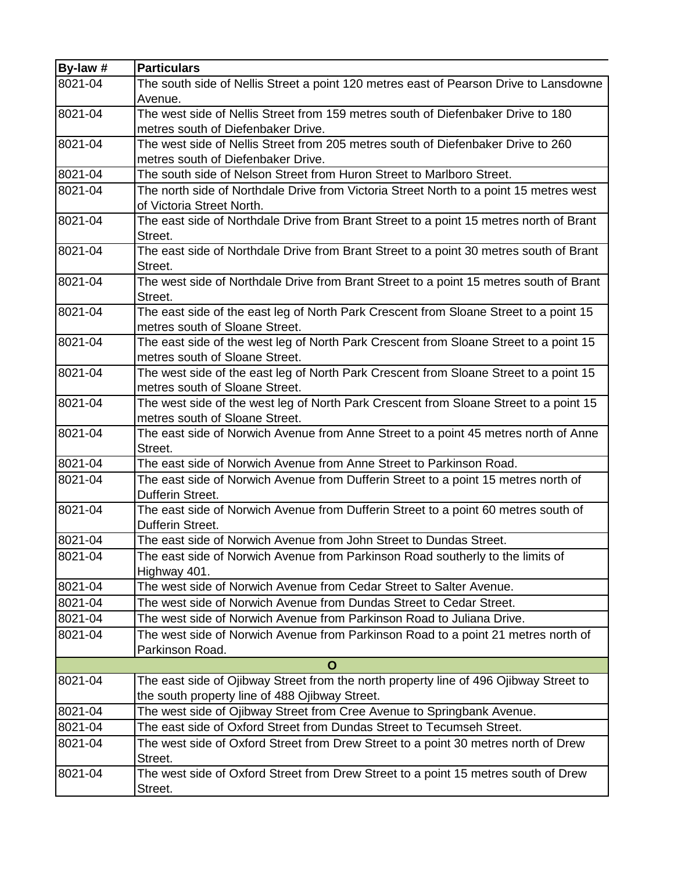| By-law # | <b>Particulars</b>                                                                                                  |
|----------|---------------------------------------------------------------------------------------------------------------------|
| 8021-04  | The south side of Nellis Street a point 120 metres east of Pearson Drive to Lansdowne                               |
|          | Avenue.                                                                                                             |
| 8021-04  | The west side of Nellis Street from 159 metres south of Diefenbaker Drive to 180                                    |
|          | metres south of Diefenbaker Drive.                                                                                  |
| 8021-04  | The west side of Nellis Street from 205 metres south of Diefenbaker Drive to 260                                    |
|          | metres south of Diefenbaker Drive.                                                                                  |
| 8021-04  | The south side of Nelson Street from Huron Street to Marlboro Street.                                               |
| 8021-04  | The north side of Northdale Drive from Victoria Street North to a point 15 metres west<br>of Victoria Street North. |
| 8021-04  | The east side of Northdale Drive from Brant Street to a point 15 metres north of Brant                              |
|          | Street.                                                                                                             |
| 8021-04  | The east side of Northdale Drive from Brant Street to a point 30 metres south of Brant                              |
|          | Street.                                                                                                             |
| 8021-04  | The west side of Northdale Drive from Brant Street to a point 15 metres south of Brant                              |
|          | Street.                                                                                                             |
| 8021-04  | The east side of the east leg of North Park Crescent from Sloane Street to a point 15                               |
|          | metres south of Sloane Street.                                                                                      |
| 8021-04  | The east side of the west leg of North Park Crescent from Sloane Street to a point 15                               |
|          | metres south of Sloane Street.                                                                                      |
| 8021-04  | The west side of the east leg of North Park Crescent from Sloane Street to a point 15                               |
|          | metres south of Sloane Street.                                                                                      |
| 8021-04  | The west side of the west leg of North Park Crescent from Sloane Street to a point 15                               |
|          | metres south of Sloane Street.                                                                                      |
| 8021-04  | The east side of Norwich Avenue from Anne Street to a point 45 metres north of Anne<br>Street.                      |
| 8021-04  | The east side of Norwich Avenue from Anne Street to Parkinson Road.                                                 |
| 8021-04  | The east side of Norwich Avenue from Dufferin Street to a point 15 metres north of                                  |
|          | Dufferin Street.                                                                                                    |
| 8021-04  | The east side of Norwich Avenue from Dufferin Street to a point 60 metres south of<br>Dufferin Street.              |
| 8021-04  | The east side of Norwich Avenue from John Street to Dundas Street.                                                  |
| 8021-04  | The east side of Norwich Avenue from Parkinson Road southerly to the limits of                                      |
|          | Highway 401.                                                                                                        |
| 8021-04  | The west side of Norwich Avenue from Cedar Street to Salter Avenue.                                                 |
| 8021-04  | The west side of Norwich Avenue from Dundas Street to Cedar Street.                                                 |
| 8021-04  | The west side of Norwich Avenue from Parkinson Road to Juliana Drive.                                               |
| 8021-04  | The west side of Norwich Avenue from Parkinson Road to a point 21 metres north of                                   |
|          | Parkinson Road.                                                                                                     |
|          | $\mathbf O$                                                                                                         |
| 8021-04  | The east side of Ojibway Street from the north property line of 496 Ojibway Street to                               |
|          | the south property line of 488 Ojibway Street.                                                                      |
| 8021-04  | The west side of Ojibway Street from Cree Avenue to Springbank Avenue.                                              |
| 8021-04  | The east side of Oxford Street from Dundas Street to Tecumseh Street.                                               |
| 8021-04  | The west side of Oxford Street from Drew Street to a point 30 metres north of Drew                                  |
|          | Street.                                                                                                             |
| 8021-04  | The west side of Oxford Street from Drew Street to a point 15 metres south of Drew                                  |
|          | Street.                                                                                                             |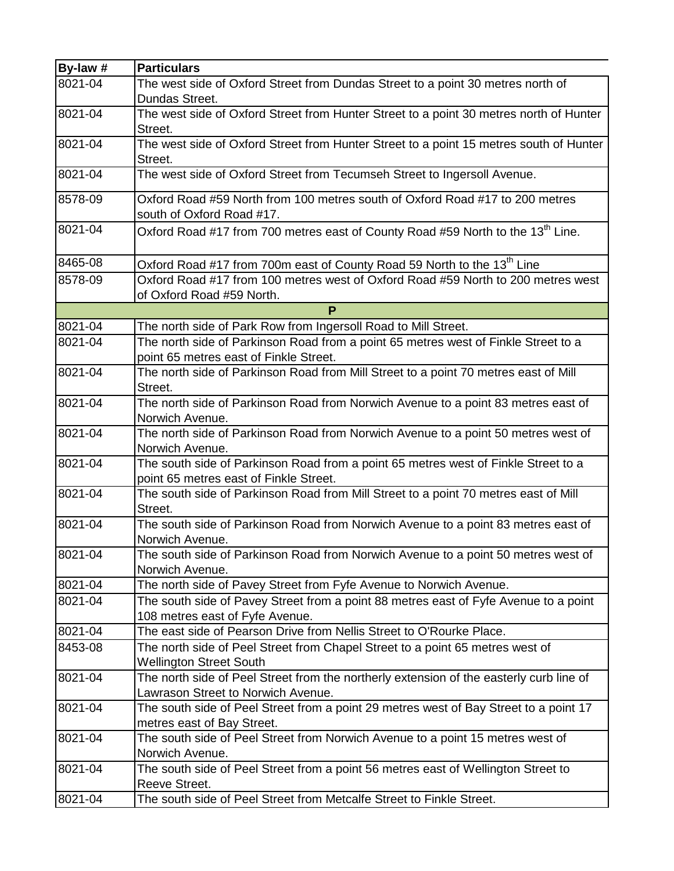| By-law # | <b>Particulars</b>                                                                                   |
|----------|------------------------------------------------------------------------------------------------------|
| 8021-04  | The west side of Oxford Street from Dundas Street to a point 30 metres north of                      |
|          | Dundas Street.                                                                                       |
| 8021-04  | The west side of Oxford Street from Hunter Street to a point 30 metres north of Hunter               |
|          | Street.                                                                                              |
| 8021-04  | The west side of Oxford Street from Hunter Street to a point 15 metres south of Hunter               |
|          | Street.                                                                                              |
| 8021-04  | The west side of Oxford Street from Tecumseh Street to Ingersoll Avenue.                             |
| 8578-09  | Oxford Road #59 North from 100 metres south of Oxford Road #17 to 200 metres                         |
|          | south of Oxford Road #17.                                                                            |
| 8021-04  | Oxford Road #17 from 700 metres east of County Road #59 North to the 13 <sup>th</sup> Line.          |
|          |                                                                                                      |
| 8465-08  | Oxford Road #17 from 700m east of County Road 59 North to the 13 <sup>th</sup> Line                  |
| 8578-09  | Oxford Road #17 from 100 metres west of Oxford Road #59 North to 200 metres west                     |
|          | of Oxford Road #59 North.                                                                            |
|          | P                                                                                                    |
| 8021-04  | The north side of Park Row from Ingersoll Road to Mill Street.                                       |
| 8021-04  | The north side of Parkinson Road from a point 65 metres west of Finkle Street to a                   |
|          | point 65 metres east of Finkle Street.                                                               |
| 8021-04  | The north side of Parkinson Road from Mill Street to a point 70 metres east of Mill                  |
|          | Street.                                                                                              |
| 8021-04  | The north side of Parkinson Road from Norwich Avenue to a point 83 metres east of                    |
|          | Norwich Avenue.                                                                                      |
| 8021-04  | The north side of Parkinson Road from Norwich Avenue to a point 50 metres west of                    |
|          | Norwich Avenue.                                                                                      |
| 8021-04  | The south side of Parkinson Road from a point 65 metres west of Finkle Street to a                   |
|          | point 65 metres east of Finkle Street.                                                               |
| 8021-04  | The south side of Parkinson Road from Mill Street to a point 70 metres east of Mill                  |
|          | Street.                                                                                              |
| 8021-04  | The south side of Parkinson Road from Norwich Avenue to a point 83 metres east of                    |
| 8021-04  | Norwich Avenue.<br>The south side of Parkinson Road from Norwich Avenue to a point 50 metres west of |
|          | Norwich Avenue.                                                                                      |
| 8021-04  | The north side of Pavey Street from Fyfe Avenue to Norwich Avenue.                                   |
| 8021-04  | The south side of Pavey Street from a point 88 metres east of Fyfe Avenue to a point                 |
|          | 108 metres east of Fyfe Avenue.                                                                      |
| 8021-04  | The east side of Pearson Drive from Nellis Street to O'Rourke Place.                                 |
| 8453-08  | The north side of Peel Street from Chapel Street to a point 65 metres west of                        |
|          | <b>Wellington Street South</b>                                                                       |
| 8021-04  | The north side of Peel Street from the northerly extension of the easterly curb line of              |
|          | Lawrason Street to Norwich Avenue.                                                                   |
| 8021-04  | The south side of Peel Street from a point 29 metres west of Bay Street to a point 17                |
|          | metres east of Bay Street.                                                                           |
| 8021-04  | The south side of Peel Street from Norwich Avenue to a point 15 metres west of                       |
|          | Norwich Avenue.                                                                                      |
| 8021-04  | The south side of Peel Street from a point 56 metres east of Wellington Street to                    |
|          | Reeve Street.                                                                                        |
| 8021-04  | The south side of Peel Street from Metcalfe Street to Finkle Street.                                 |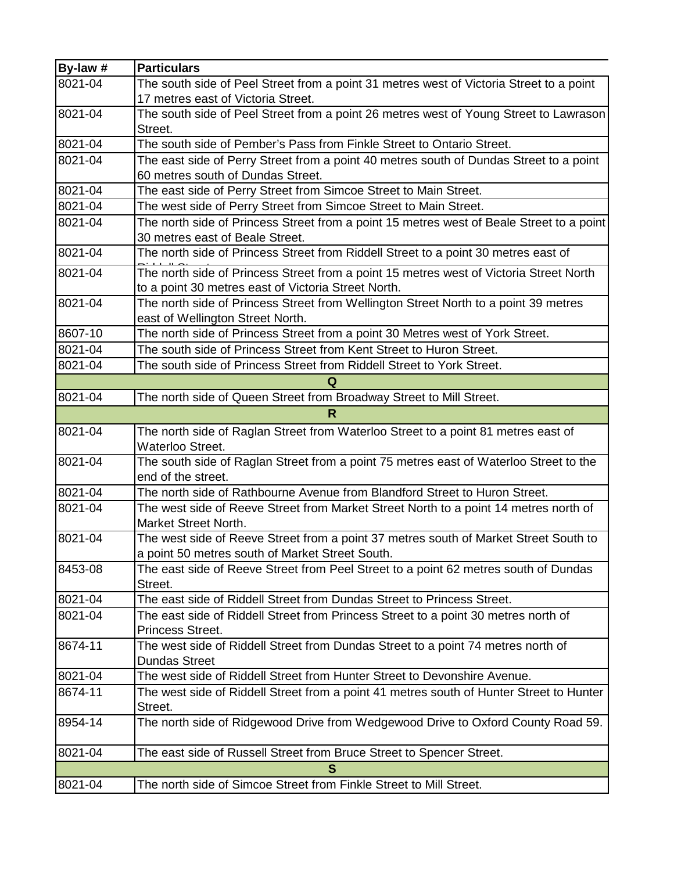| By-law # | <b>Particulars</b>                                                                                 |
|----------|----------------------------------------------------------------------------------------------------|
| 8021-04  | The south side of Peel Street from a point 31 metres west of Victoria Street to a point            |
|          | 17 metres east of Victoria Street.                                                                 |
| 8021-04  | The south side of Peel Street from a point 26 metres west of Young Street to Lawrason              |
|          | Street.                                                                                            |
| 8021-04  | The south side of Pember's Pass from Finkle Street to Ontario Street.                              |
| 8021-04  | The east side of Perry Street from a point 40 metres south of Dundas Street to a point             |
|          | 60 metres south of Dundas Street.                                                                  |
| 8021-04  | The east side of Perry Street from Simcoe Street to Main Street.                                   |
| 8021-04  | The west side of Perry Street from Simcoe Street to Main Street.                                   |
| 8021-04  | The north side of Princess Street from a point 15 metres west of Beale Street to a point           |
|          | 30 metres east of Beale Street.                                                                    |
| 8021-04  | The north side of Princess Street from Riddell Street to a point 30 metres east of                 |
| 8021-04  | The north side of Princess Street from a point 15 metres west of Victoria Street North             |
|          | to a point 30 metres east of Victoria Street North.                                                |
| 8021-04  | The north side of Princess Street from Wellington Street North to a point 39 metres                |
|          | east of Wellington Street North.                                                                   |
| 8607-10  | The north side of Princess Street from a point 30 Metres west of York Street.                      |
| 8021-04  | The south side of Princess Street from Kent Street to Huron Street.                                |
| 8021-04  | The south side of Princess Street from Riddell Street to York Street.                              |
|          | Q                                                                                                  |
| 8021-04  | The north side of Queen Street from Broadway Street to Mill Street.                                |
|          | R                                                                                                  |
| 8021-04  | The north side of Raglan Street from Waterloo Street to a point 81 metres east of                  |
|          | Waterloo Street.                                                                                   |
| 8021-04  | The south side of Raglan Street from a point 75 metres east of Waterloo Street to the              |
|          | end of the street.                                                                                 |
| 8021-04  | The north side of Rathbourne Avenue from Blandford Street to Huron Street.                         |
| 8021-04  | The west side of Reeve Street from Market Street North to a point 14 metres north of               |
|          | Market Street North.                                                                               |
| 8021-04  | The west side of Reeve Street from a point 37 metres south of Market Street South to               |
|          | a point 50 metres south of Market Street South.                                                    |
| 8453-08  | The east side of Reeve Street from Peel Street to a point 62 metres south of Dundas                |
|          | Street.                                                                                            |
| 8021-04  | The east side of Riddell Street from Dundas Street to Princess Street.                             |
| 8021-04  | The east side of Riddell Street from Princess Street to a point 30 metres north of                 |
|          | Princess Street.                                                                                   |
| 8674-11  | The west side of Riddell Street from Dundas Street to a point 74 metres north of                   |
|          | <b>Dundas Street</b>                                                                               |
| 8021-04  | The west side of Riddell Street from Hunter Street to Devonshire Avenue.                           |
| 8674-11  | The west side of Riddell Street from a point 41 metres south of Hunter Street to Hunter<br>Street. |
| 8954-14  | The north side of Ridgewood Drive from Wedgewood Drive to Oxford County Road 59.                   |
|          |                                                                                                    |
| 8021-04  | The east side of Russell Street from Bruce Street to Spencer Street.                               |
|          | S                                                                                                  |
| 8021-04  | The north side of Simcoe Street from Finkle Street to Mill Street.                                 |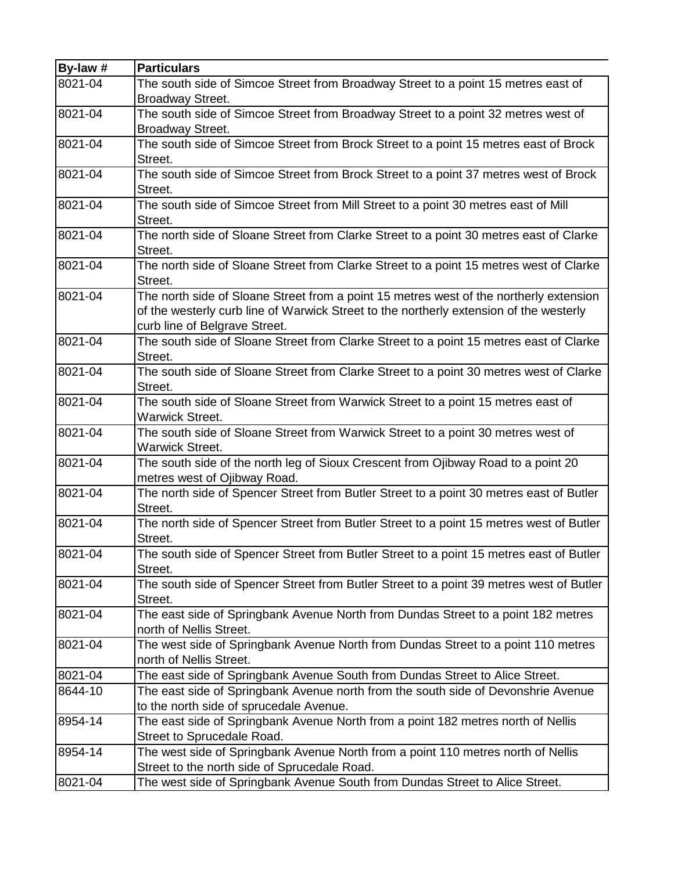| By-law # | <b>Particulars</b>                                                                                 |
|----------|----------------------------------------------------------------------------------------------------|
| 8021-04  | The south side of Simcoe Street from Broadway Street to a point 15 metres east of                  |
|          | Broadway Street.                                                                                   |
| 8021-04  | The south side of Simcoe Street from Broadway Street to a point 32 metres west of                  |
|          | Broadway Street.                                                                                   |
| 8021-04  | The south side of Simcoe Street from Brock Street to a point 15 metres east of Brock               |
|          | Street.                                                                                            |
| 8021-04  | The south side of Simcoe Street from Brock Street to a point 37 metres west of Brock               |
|          | Street.                                                                                            |
| 8021-04  | The south side of Simcoe Street from Mill Street to a point 30 metres east of Mill                 |
|          | Street.                                                                                            |
| 8021-04  | The north side of Sloane Street from Clarke Street to a point 30 metres east of Clarke             |
|          | Street.                                                                                            |
| 8021-04  | The north side of Sloane Street from Clarke Street to a point 15 metres west of Clarke             |
|          | Street.                                                                                            |
| 8021-04  | The north side of Sloane Street from a point 15 metres west of the northerly extension             |
|          | of the westerly curb line of Warwick Street to the northerly extension of the westerly             |
|          | curb line of Belgrave Street.                                                                      |
| 8021-04  | The south side of Sloane Street from Clarke Street to a point 15 metres east of Clarke             |
|          | Street.                                                                                            |
| 8021-04  | The south side of Sloane Street from Clarke Street to a point 30 metres west of Clarke             |
|          | Street.                                                                                            |
| 8021-04  | The south side of Sloane Street from Warwick Street to a point 15 metres east of                   |
|          | <b>Warwick Street.</b>                                                                             |
| 8021-04  | The south side of Sloane Street from Warwick Street to a point 30 metres west of                   |
|          | <b>Warwick Street.</b>                                                                             |
| 8021-04  | The south side of the north leg of Sioux Crescent from Ojibway Road to a point 20                  |
| 8021-04  | metres west of Ojibway Road.                                                                       |
|          | The north side of Spencer Street from Butler Street to a point 30 metres east of Butler<br>Street. |
| 8021-04  | The north side of Spencer Street from Butler Street to a point 15 metres west of Butler            |
|          | Street.                                                                                            |
| 8021-04  | The south side of Spencer Street from Butler Street to a point 15 metres east of Butler            |
|          | Street.                                                                                            |
| 8021-04  | The south side of Spencer Street from Butler Street to a point 39 metres west of Butler            |
|          | Street.                                                                                            |
| 8021-04  | The east side of Springbank Avenue North from Dundas Street to a point 182 metres                  |
|          | north of Nellis Street.                                                                            |
| 8021-04  | The west side of Springbank Avenue North from Dundas Street to a point 110 metres                  |
|          | north of Nellis Street.                                                                            |
| 8021-04  | The east side of Springbank Avenue South from Dundas Street to Alice Street.                       |
| 8644-10  | The east side of Springbank Avenue north from the south side of Devonshrie Avenue                  |
|          | to the north side of sprucedale Avenue.                                                            |
| 8954-14  | The east side of Springbank Avenue North from a point 182 metres north of Nellis                   |
|          | Street to Sprucedale Road.                                                                         |
| 8954-14  | The west side of Springbank Avenue North from a point 110 metres north of Nellis                   |
|          | Street to the north side of Sprucedale Road.                                                       |
| 8021-04  | The west side of Springbank Avenue South from Dundas Street to Alice Street.                       |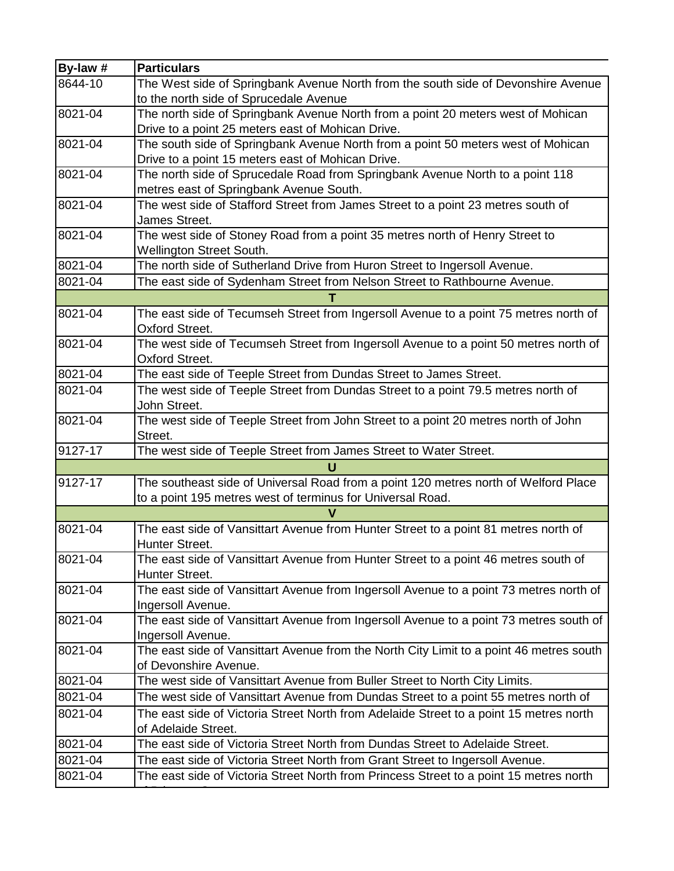| By-law # | <b>Particulars</b>                                                                      |
|----------|-----------------------------------------------------------------------------------------|
| 8644-10  | The West side of Springbank Avenue North from the south side of Devonshire Avenue       |
|          | to the north side of Sprucedale Avenue                                                  |
| 8021-04  | The north side of Springbank Avenue North from a point 20 meters west of Mohican        |
|          | Drive to a point 25 meters east of Mohican Drive.                                       |
| 8021-04  | The south side of Springbank Avenue North from a point 50 meters west of Mohican        |
|          | Drive to a point 15 meters east of Mohican Drive.                                       |
| 8021-04  | The north side of Sprucedale Road from Springbank Avenue North to a point 118           |
|          | metres east of Springbank Avenue South.                                                 |
| 8021-04  | The west side of Stafford Street from James Street to a point 23 metres south of        |
|          | James Street.                                                                           |
| 8021-04  | The west side of Stoney Road from a point 35 metres north of Henry Street to            |
|          | <b>Wellington Street South.</b>                                                         |
| 8021-04  | The north side of Sutherland Drive from Huron Street to Ingersoll Avenue.               |
| 8021-04  | The east side of Sydenham Street from Nelson Street to Rathbourne Avenue.               |
|          |                                                                                         |
| 8021-04  | The east side of Tecumseh Street from Ingersoll Avenue to a point 75 metres north of    |
|          | Oxford Street.                                                                          |
| 8021-04  | The west side of Tecumseh Street from Ingersoll Avenue to a point 50 metres north of    |
|          | <b>Oxford Street.</b>                                                                   |
| 8021-04  | The east side of Teeple Street from Dundas Street to James Street.                      |
| 8021-04  | The west side of Teeple Street from Dundas Street to a point 79.5 metres north of       |
|          | John Street.                                                                            |
| 8021-04  | The west side of Teeple Street from John Street to a point 20 metres north of John      |
|          | Street.                                                                                 |
| 9127-17  | The west side of Teeple Street from James Street to Water Street.                       |
|          | U                                                                                       |
| 9127-17  | The southeast side of Universal Road from a point 120 metres north of Welford Place     |
|          | to a point 195 metres west of terminus for Universal Road.                              |
|          | V                                                                                       |
| 8021-04  | The east side of Vansittart Avenue from Hunter Street to a point 81 metres north of     |
|          | Hunter Street.                                                                          |
| 8021-04  | The east side of Vansittart Avenue from Hunter Street to a point 46 metres south of     |
|          | Hunter Street.                                                                          |
| 8021-04  | The east side of Vansittart Avenue from Ingersoll Avenue to a point 73 metres north of  |
|          | Ingersoll Avenue.                                                                       |
| 8021-04  | The east side of Vansittart Avenue from Ingersoll Avenue to a point 73 metres south of  |
|          | Ingersoll Avenue.                                                                       |
| 8021-04  | The east side of Vansittart Avenue from the North City Limit to a point 46 metres south |
|          | of Devonshire Avenue.                                                                   |
| 8021-04  | The west side of Vansittart Avenue from Buller Street to North City Limits.             |
| 8021-04  | The west side of Vansittart Avenue from Dundas Street to a point 55 metres north of     |
| 8021-04  | The east side of Victoria Street North from Adelaide Street to a point 15 metres north  |
|          | of Adelaide Street.                                                                     |
| 8021-04  | The east side of Victoria Street North from Dundas Street to Adelaide Street.           |
| 8021-04  | The east side of Victoria Street North from Grant Street to Ingersoll Avenue.           |
| 8021-04  | The east side of Victoria Street North from Princess Street to a point 15 metres north  |
|          |                                                                                         |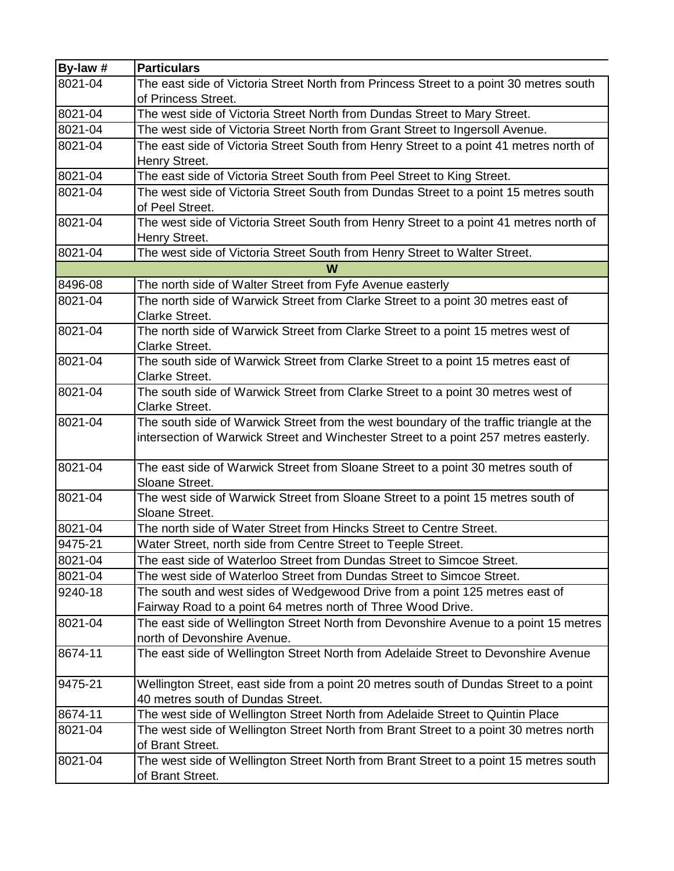| By-law # | <b>Particulars</b>                                                                     |  |  |  |  |  |  |
|----------|----------------------------------------------------------------------------------------|--|--|--|--|--|--|
| 8021-04  | The east side of Victoria Street North from Princess Street to a point 30 metres south |  |  |  |  |  |  |
|          | of Princess Street.                                                                    |  |  |  |  |  |  |
| 8021-04  | The west side of Victoria Street North from Dundas Street to Mary Street.              |  |  |  |  |  |  |
| 8021-04  | The west side of Victoria Street North from Grant Street to Ingersoll Avenue.          |  |  |  |  |  |  |
| 8021-04  | The east side of Victoria Street South from Henry Street to a point 41 metres north of |  |  |  |  |  |  |
|          | Henry Street.                                                                          |  |  |  |  |  |  |
| 8021-04  | The east side of Victoria Street South from Peel Street to King Street.                |  |  |  |  |  |  |
| 8021-04  | The west side of Victoria Street South from Dundas Street to a point 15 metres south   |  |  |  |  |  |  |
|          | of Peel Street.                                                                        |  |  |  |  |  |  |
| 8021-04  | The west side of Victoria Street South from Henry Street to a point 41 metres north of |  |  |  |  |  |  |
|          | Henry Street.                                                                          |  |  |  |  |  |  |
| 8021-04  | The west side of Victoria Street South from Henry Street to Walter Street.             |  |  |  |  |  |  |
|          | W                                                                                      |  |  |  |  |  |  |
| 8496-08  | The north side of Walter Street from Fyfe Avenue easterly                              |  |  |  |  |  |  |
| 8021-04  | The north side of Warwick Street from Clarke Street to a point 30 metres east of       |  |  |  |  |  |  |
|          | <b>Clarke Street.</b>                                                                  |  |  |  |  |  |  |
| 8021-04  | The north side of Warwick Street from Clarke Street to a point 15 metres west of       |  |  |  |  |  |  |
|          | <b>Clarke Street.</b>                                                                  |  |  |  |  |  |  |
| 8021-04  | The south side of Warwick Street from Clarke Street to a point 15 metres east of       |  |  |  |  |  |  |
|          | <b>Clarke Street.</b>                                                                  |  |  |  |  |  |  |
| 8021-04  | The south side of Warwick Street from Clarke Street to a point 30 metres west of       |  |  |  |  |  |  |
|          | <b>Clarke Street.</b>                                                                  |  |  |  |  |  |  |
| 8021-04  | The south side of Warwick Street from the west boundary of the traffic triangle at the |  |  |  |  |  |  |
|          | intersection of Warwick Street and Winchester Street to a point 257 metres easterly.   |  |  |  |  |  |  |
| 8021-04  | The east side of Warwick Street from Sloane Street to a point 30 metres south of       |  |  |  |  |  |  |
|          | Sloane Street.                                                                         |  |  |  |  |  |  |
| 8021-04  | The west side of Warwick Street from Sloane Street to a point 15 metres south of       |  |  |  |  |  |  |
|          | Sloane Street.                                                                         |  |  |  |  |  |  |
| 8021-04  | The north side of Water Street from Hincks Street to Centre Street.                    |  |  |  |  |  |  |
| 9475-21  | Water Street, north side from Centre Street to Teeple Street.                          |  |  |  |  |  |  |
| 8021-04  | The east side of Waterloo Street from Dundas Street to Simcoe Street.                  |  |  |  |  |  |  |
| 8021-04  | The west side of Waterloo Street from Dundas Street to Simcoe Street.                  |  |  |  |  |  |  |
| 9240-18  | The south and west sides of Wedgewood Drive from a point 125 metres east of            |  |  |  |  |  |  |
|          | Fairway Road to a point 64 metres north of Three Wood Drive.                           |  |  |  |  |  |  |
| 8021-04  | The east side of Wellington Street North from Devonshire Avenue to a point 15 metres   |  |  |  |  |  |  |
|          | north of Devonshire Avenue.                                                            |  |  |  |  |  |  |
| 8674-11  | The east side of Wellington Street North from Adelaide Street to Devonshire Avenue     |  |  |  |  |  |  |
|          |                                                                                        |  |  |  |  |  |  |
| 9475-21  | Wellington Street, east side from a point 20 metres south of Dundas Street to a point  |  |  |  |  |  |  |
|          | 40 metres south of Dundas Street.                                                      |  |  |  |  |  |  |
| 8674-11  | The west side of Wellington Street North from Adelaide Street to Quintin Place         |  |  |  |  |  |  |
| 8021-04  | The west side of Wellington Street North from Brant Street to a point 30 metres north  |  |  |  |  |  |  |
|          | of Brant Street.                                                                       |  |  |  |  |  |  |
| 8021-04  | The west side of Wellington Street North from Brant Street to a point 15 metres south  |  |  |  |  |  |  |
|          | of Brant Street.                                                                       |  |  |  |  |  |  |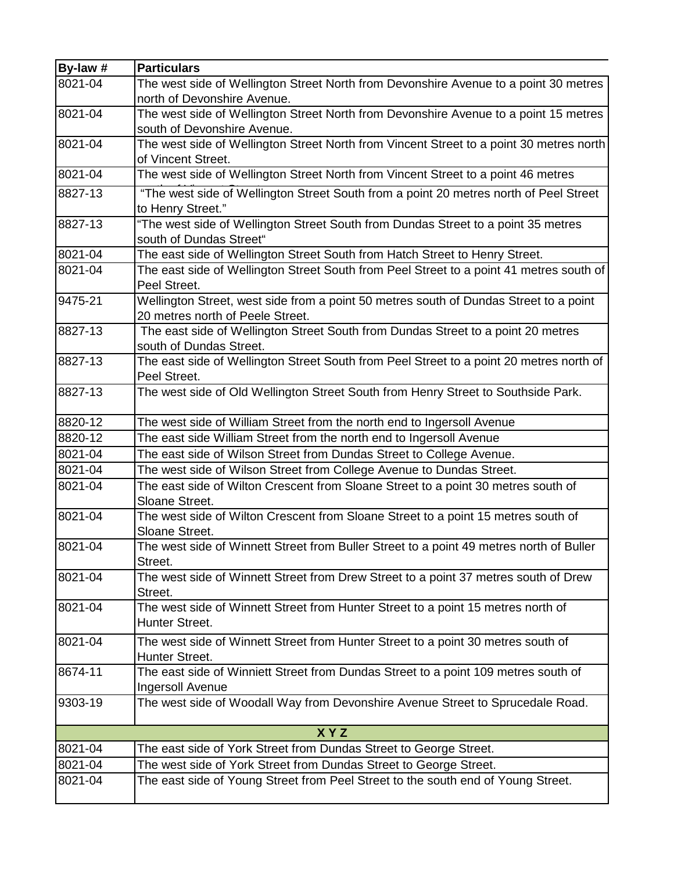| By-law # | <b>Particulars</b>                                                                                                        |  |  |  |  |  |
|----------|---------------------------------------------------------------------------------------------------------------------------|--|--|--|--|--|
| 8021-04  | The west side of Wellington Street North from Devonshire Avenue to a point 30 metres<br>north of Devonshire Avenue.       |  |  |  |  |  |
| 8021-04  | The west side of Wellington Street North from Devonshire Avenue to a point 15 metres<br>south of Devonshire Avenue.       |  |  |  |  |  |
| 8021-04  | The west side of Wellington Street North from Vincent Street to a point 30 metres north<br>of Vincent Street.             |  |  |  |  |  |
| 8021-04  | The west side of Wellington Street North from Vincent Street to a point 46 metres                                         |  |  |  |  |  |
| 8827-13  | "The west side of Wellington Street South from a point 20 metres north of Peel Street<br>to Henry Street."                |  |  |  |  |  |
| 8827-13  | "The west side of Wellington Street South from Dundas Street to a point 35 metres<br>south of Dundas Street"              |  |  |  |  |  |
| 8021-04  | The east side of Wellington Street South from Hatch Street to Henry Street.                                               |  |  |  |  |  |
| 8021-04  | The east side of Wellington Street South from Peel Street to a point 41 metres south of<br>Peel Street.                   |  |  |  |  |  |
| 9475-21  | Wellington Street, west side from a point 50 metres south of Dundas Street to a point<br>20 metres north of Peele Street. |  |  |  |  |  |
| 8827-13  | The east side of Wellington Street South from Dundas Street to a point 20 metres<br>south of Dundas Street.               |  |  |  |  |  |
| 8827-13  | The east side of Wellington Street South from Peel Street to a point 20 metres north of<br>Peel Street.                   |  |  |  |  |  |
| 8827-13  | The west side of Old Wellington Street South from Henry Street to Southside Park.                                         |  |  |  |  |  |
| 8820-12  | The west side of William Street from the north end to Ingersoll Avenue                                                    |  |  |  |  |  |
| 8820-12  | The east side William Street from the north end to Ingersoll Avenue                                                       |  |  |  |  |  |
| 8021-04  | The east side of Wilson Street from Dundas Street to College Avenue.                                                      |  |  |  |  |  |
| 8021-04  | The west side of Wilson Street from College Avenue to Dundas Street.                                                      |  |  |  |  |  |
| 8021-04  | The east side of Wilton Crescent from Sloane Street to a point 30 metres south of<br>Sloane Street.                       |  |  |  |  |  |
| 8021-04  | The west side of Wilton Crescent from Sloane Street to a point 15 metres south of<br>Sloane Street.                       |  |  |  |  |  |
| 8021-04  | The west side of Winnett Street from Buller Street to a point 49 metres north of Buller<br>Street.                        |  |  |  |  |  |
| 8021-04  | The west side of Winnett Street from Drew Street to a point 37 metres south of Drew<br>Street.                            |  |  |  |  |  |
| 8021-04  | The west side of Winnett Street from Hunter Street to a point 15 metres north of<br>Hunter Street.                        |  |  |  |  |  |
| 8021-04  | The west side of Winnett Street from Hunter Street to a point 30 metres south of<br>Hunter Street.                        |  |  |  |  |  |
| 8674-11  | The east side of Winniett Street from Dundas Street to a point 109 metres south of<br>Ingersoll Avenue                    |  |  |  |  |  |
| 9303-19  | The west side of Woodall Way from Devonshire Avenue Street to Sprucedale Road.                                            |  |  |  |  |  |
|          | <b>XYZ</b>                                                                                                                |  |  |  |  |  |
| 8021-04  | The east side of York Street from Dundas Street to George Street.                                                         |  |  |  |  |  |
| 8021-04  | The west side of York Street from Dundas Street to George Street.                                                         |  |  |  |  |  |
| 8021-04  | The east side of Young Street from Peel Street to the south end of Young Street.                                          |  |  |  |  |  |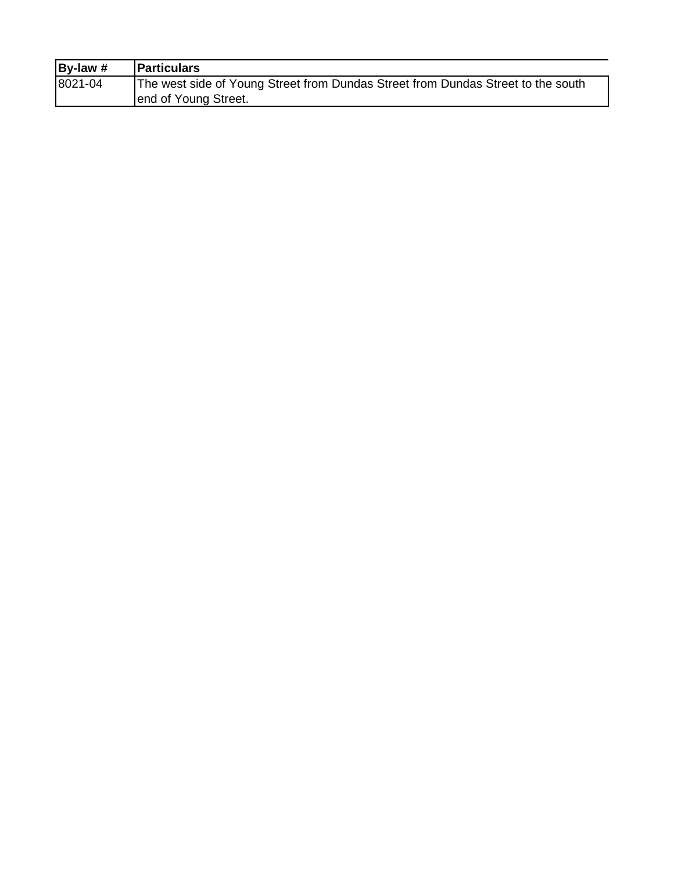| By-law $#$ | <b>Particulars</b>                                                               |
|------------|----------------------------------------------------------------------------------|
| 8021-04    | The west side of Young Street from Dundas Street from Dundas Street to the south |
|            | end of Young Street.                                                             |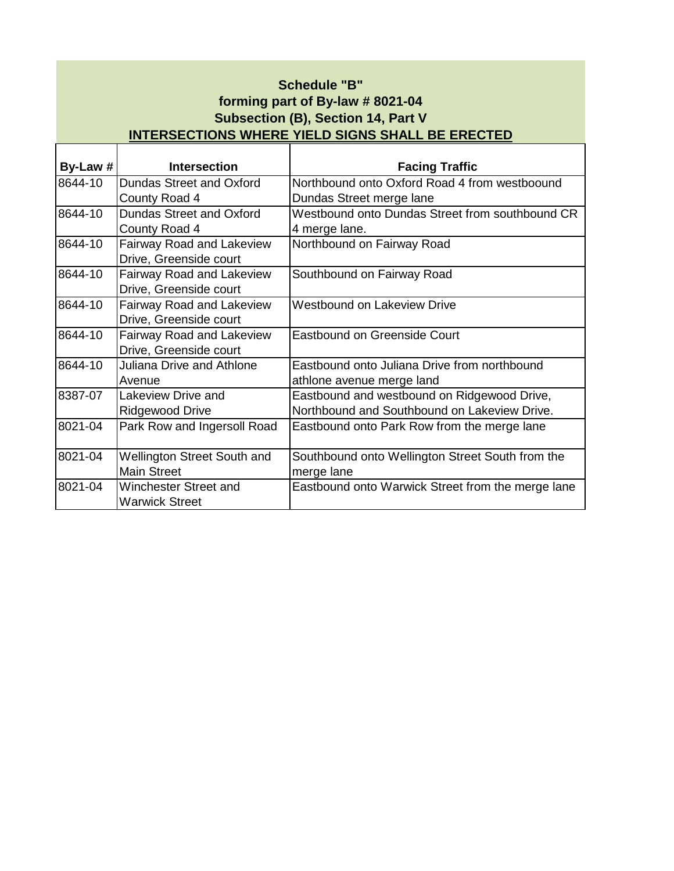| Schedule "B"                                            |
|---------------------------------------------------------|
| forming part of By-law # 8021-04                        |
| Subsection (B), Section 14, Part V                      |
| <b>INTERSECTIONS WHERE YIELD SIGNS SHALL BE ERECTED</b> |

٦

 $\mathsf \Gamma$ 

┯

| By-Law # | <b>Intersection</b>                | <b>Facing Traffic</b>                             |
|----------|------------------------------------|---------------------------------------------------|
| 8644-10  | Dundas Street and Oxford           | Northbound onto Oxford Road 4 from westboound     |
|          | County Road 4                      | Dundas Street merge lane                          |
| 8644-10  | Dundas Street and Oxford           | Westbound onto Dundas Street from southbound CR   |
|          | County Road 4                      | 4 merge lane.                                     |
| 8644-10  | <b>Fairway Road and Lakeview</b>   | Northbound on Fairway Road                        |
|          | Drive, Greenside court             |                                                   |
| 8644-10  | <b>Fairway Road and Lakeview</b>   | Southbound on Fairway Road                        |
|          | Drive, Greenside court             |                                                   |
| 8644-10  | <b>Fairway Road and Lakeview</b>   | <b>Westbound on Lakeview Drive</b>                |
|          | Drive, Greenside court             |                                                   |
| 8644-10  | <b>Fairway Road and Lakeview</b>   | <b>Eastbound on Greenside Court</b>               |
|          | Drive, Greenside court             |                                                   |
| 8644-10  | <b>Juliana Drive and Athlone</b>   | Eastbound onto Juliana Drive from northbound      |
|          | Avenue                             | athlone avenue merge land                         |
| 8387-07  | Lakeview Drive and                 | Eastbound and westbound on Ridgewood Drive,       |
|          | <b>Ridgewood Drive</b>             | Northbound and Southbound on Lakeview Drive.      |
| 8021-04  | Park Row and Ingersoll Road        | Eastbound onto Park Row from the merge lane       |
|          |                                    |                                                   |
| 8021-04  | <b>Wellington Street South and</b> | Southbound onto Wellington Street South from the  |
|          | <b>Main Street</b>                 | merge lane                                        |
| 8021-04  | Winchester Street and              | Eastbound onto Warwick Street from the merge lane |
|          | <b>Warwick Street</b>              |                                                   |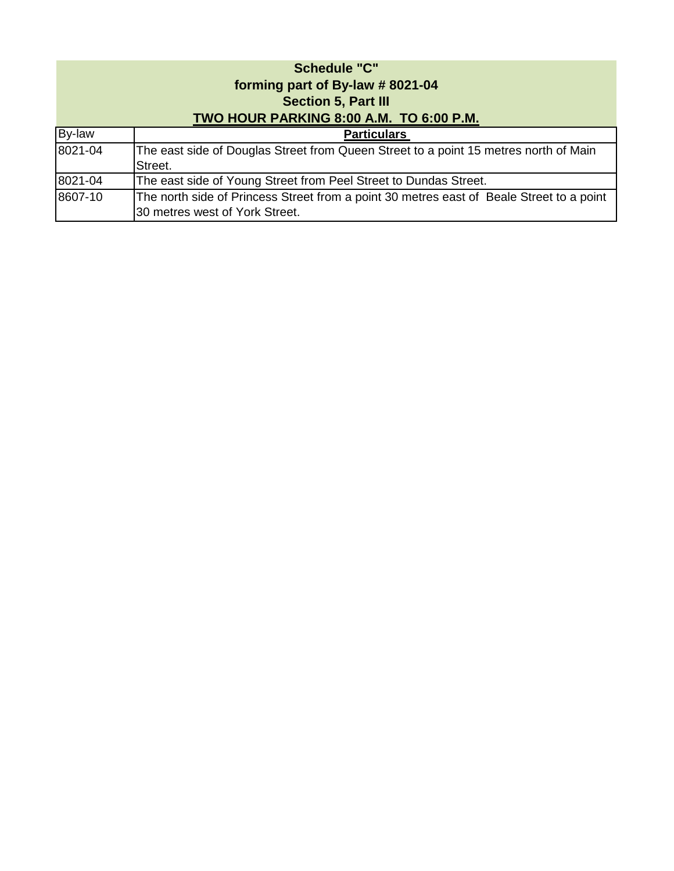| <b>Schedule "C"</b><br>forming part of By-law #8021-04<br><b>Section 5, Part III</b><br>TWO HOUR PARKING 8:00 A.M. TO 6:00 P.M. |                                                                                                                            |  |  |  |
|---------------------------------------------------------------------------------------------------------------------------------|----------------------------------------------------------------------------------------------------------------------------|--|--|--|
| By-law                                                                                                                          | <b>Particulars</b>                                                                                                         |  |  |  |
| 8021-04                                                                                                                         | The east side of Douglas Street from Queen Street to a point 15 metres north of Main<br>Street.                            |  |  |  |
| 8021-04                                                                                                                         | The east side of Young Street from Peel Street to Dundas Street.                                                           |  |  |  |
| 8607-10                                                                                                                         | The north side of Princess Street from a point 30 metres east of Beale Street to a point<br>30 metres west of York Street. |  |  |  |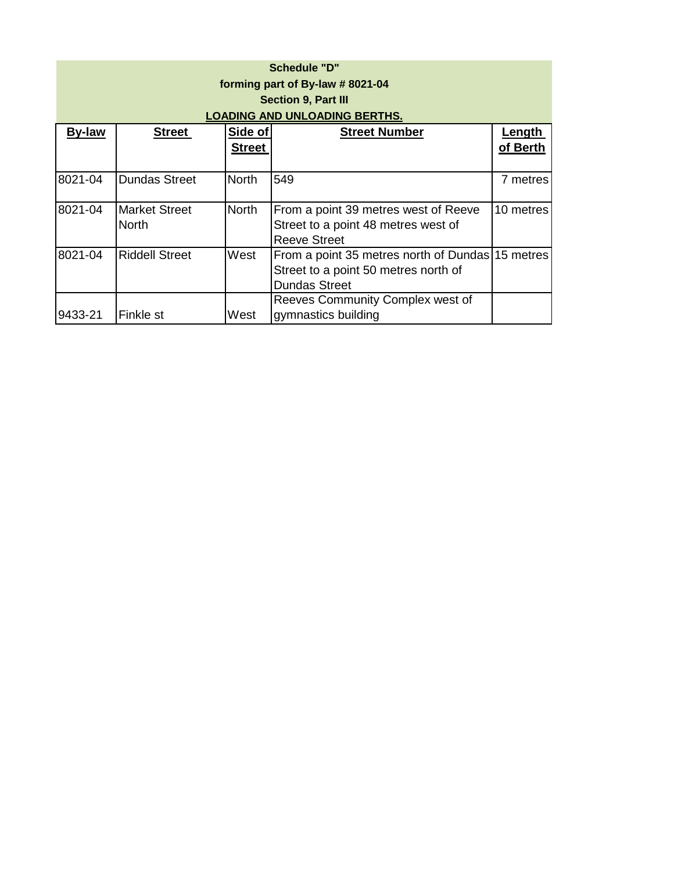| <b>Schedule "D"</b><br>forming part of By-law # 8021-04<br><b>Section 9, Part III</b><br>LOADING AND UNLOADING BERTHS. |                                      |                          |                                                                                                                  |                    |  |
|------------------------------------------------------------------------------------------------------------------------|--------------------------------------|--------------------------|------------------------------------------------------------------------------------------------------------------|--------------------|--|
| <b>By-law</b>                                                                                                          | <b>Street</b>                        | Side of<br><b>Street</b> | <b>Street Number</b>                                                                                             | Length<br>of Berth |  |
| 8021-04                                                                                                                | <b>Dundas Street</b>                 | <b>North</b>             | 549                                                                                                              | 7 metres           |  |
| 8021-04                                                                                                                | <b>Market Street</b><br><b>North</b> | <b>North</b>             | From a point 39 metres west of Reeve<br>Street to a point 48 metres west of<br><b>Reeve Street</b>               | 10 metres          |  |
| 8021-04                                                                                                                | <b>Riddell Street</b>                | West                     | From a point 35 metres north of Dundas 15 metres<br>Street to a point 50 metres north of<br><b>Dundas Street</b> |                    |  |
| 9433-21                                                                                                                | Finkle st                            | West                     | Reeves Community Complex west of<br>gymnastics building                                                          |                    |  |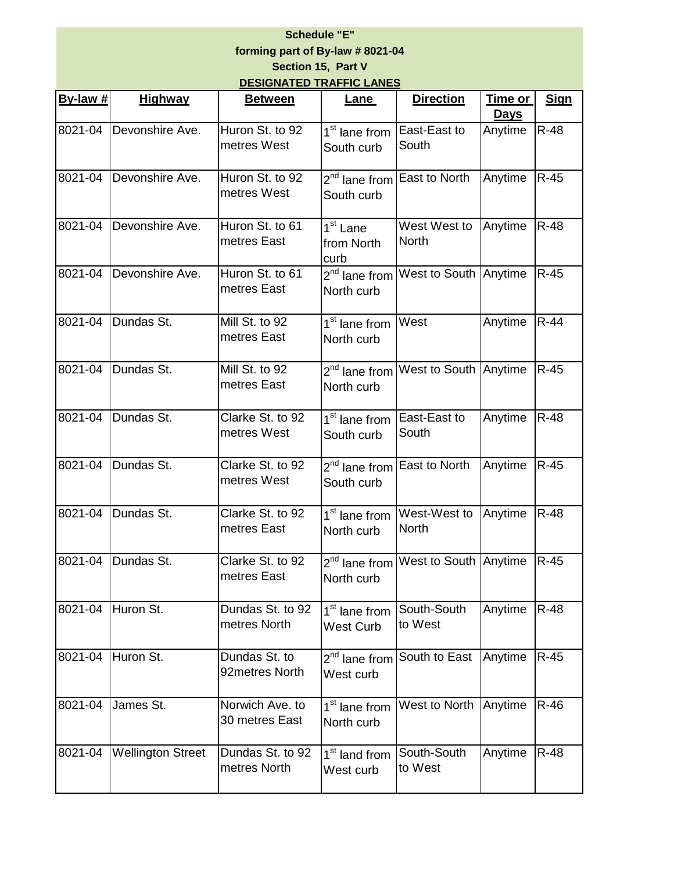# **Schedule "E" forming part of By-law # 8021-04**

| By-law $#$ | <b>Highway</b>    | <b>Between</b>                  | <b>Lane</b>                                          | <b>Direction</b>                                     | Time or<br><b>Days</b> | <b>Sig</b>  |
|------------|-------------------|---------------------------------|------------------------------------------------------|------------------------------------------------------|------------------------|-------------|
| 8021-04    | Devonshire Ave.   | Huron St. to 92<br>metres West  | 1 <sup>st</sup> lane from East-East to<br>South curb | South                                                | Anytime                | <b>R-48</b> |
| 8021-04    | Devonshire Ave.   | Huron St. to 92<br>metres West  | South curb                                           | 2 <sup>nd</sup> lane from East to North              | Anytime                | $R-45$      |
| 8021-04    | Devonshire Ave.   | Huron St. to 61<br>metres East  | 1 <sup>st</sup> Lane<br>from North<br>curb           | West West to<br><b>North</b>                         | Anytime                | $R-48$      |
| 8021-04    | Devonshire Ave.   | Huron St. to 61<br>metres East  | North curb                                           | 2 <sup>nd</sup> lane from West to South Anytime      |                        | $R-45$      |
| 8021-04    | Dundas St.        | Mill St. to 92<br>metres East   | 1 <sup>st</sup> lane from<br>North curb              | West                                                 | Anytime                | $R-44$      |
| 8021-04    | Dundas St.        | Mill St. to 92<br>metres East   | North curb                                           | 2 <sup>nd</sup> lane from West to South Anytime R-45 |                        |             |
| 8021-04    | Dundas St.        | Clarke St. to 92<br>metres West | 1 <sup>st</sup> lane from East-East to<br>South curb | South                                                | Anytime                | <b>R-48</b> |
| 8021-04    | Dundas St.        | Clarke St. to 92<br>metres West | South curb                                           | 2 <sup>nd</sup> lane from East to North              | Anytime                | $R-45$      |
| 8021-04    | Dundas St.        | Clarke St. to 92<br>metres East | 1 <sup>st</sup> lane from<br>North curb              | West-West to<br><b>North</b>                         | Anytime                | $R-48$      |
| 8021-04    | Dundas St.        | Clarke St. to 92<br>metres East | North curb                                           | 2 <sup>nd</sup> lane from West to South Anytime R-45 |                        |             |
|            | 8021-04 Huron St. | Dundas St. to 92                |                                                      | 1 <sup>st</sup> lane from South-South Anytime R-48   |                        |             |

West Curb

West curb

North curb

1<sup>st</sup> land from West curb

to West

2<sup>nd</sup> lane from South to East Anytime R-45

1<sup>st</sup> lane from West to North Anytime R-46

Anytime R-48

South-South to West

metres North

92metres North

30 metres East

metres North

8021-04 Huron St. Dundas St. to

8021-04 James St. Norwich Ave. to

8021-04 Wellington Street Dundas St. to 92

**Section 15, Part V DESIGNATED TRAFFIC LANES**

**Sign**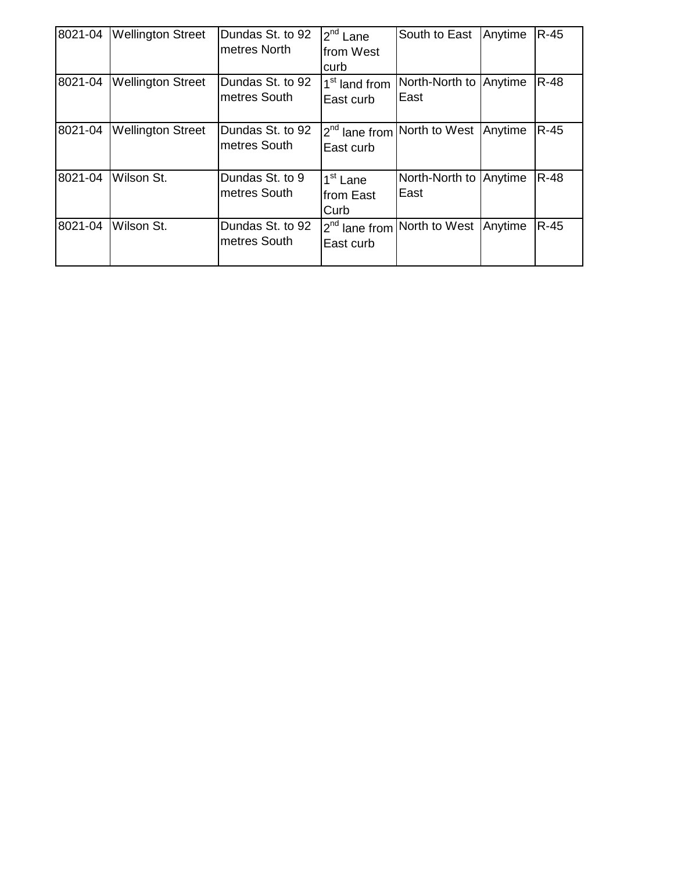| 8021-04 | <b>Wellington Street</b> | Dundas St. to 92<br><b>Imetres North</b> | $2nd$ Lane<br>from West<br>curb           | South to East          | Anytime | $R-45$      |
|---------|--------------------------|------------------------------------------|-------------------------------------------|------------------------|---------|-------------|
| 8021-04 | <b>Wellington Street</b> | Dundas St. to 92<br>Imetres South        | 1 <sup>st</sup> land from<br>East curb    | North-North to<br>East | Anytime | <b>R-48</b> |
| 8021-04 | <b>Wellington Street</b> | Dundas St. to 92<br>Imetres South        | $2^{nd}$ lane from<br>East curb           | North to West          | Anytime | $R-45$      |
| 8021-04 | Wilson St.               | Dundas St. to 9<br>Imetres South         | 1 <sup>st</sup> Lane<br>from East<br>Curb | North-North to<br>East | Anytime | R-48        |
| 8021-04 | Wilson St.               | Dundas St. to 92<br>metres South         | $2^{nd}$ lane from<br>East curb           | North to West          | Anytime | $R-45$      |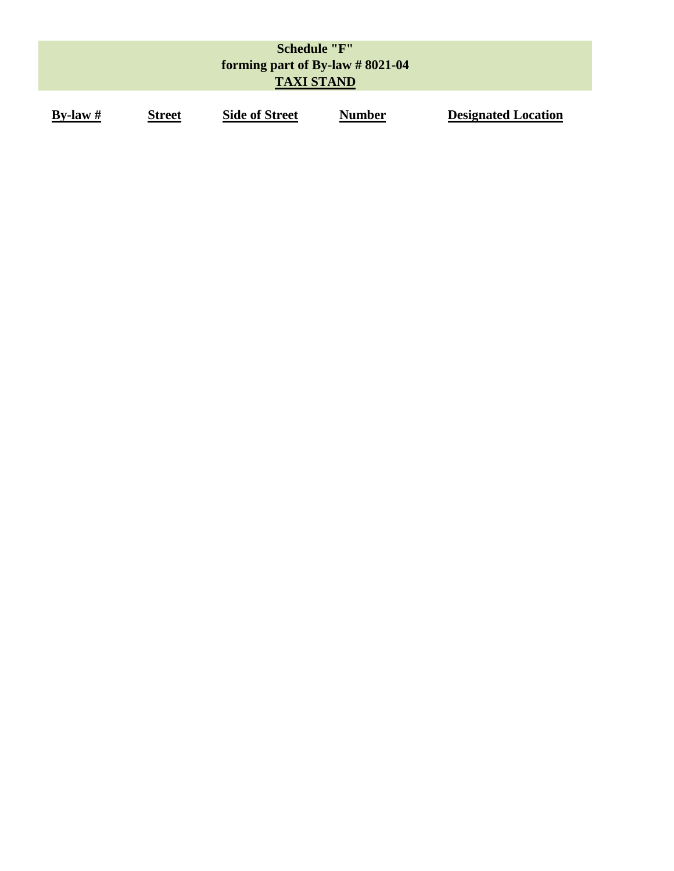|            |               | <b>Schedule "F"</b><br>forming part of By-law $\# 8021-04$<br><b>TAXI STAND</b> |               |                            |
|------------|---------------|---------------------------------------------------------------------------------|---------------|----------------------------|
| By-law $#$ | <b>Street</b> | <b>Side of Street</b>                                                           | <b>Number</b> | <b>Designated Location</b> |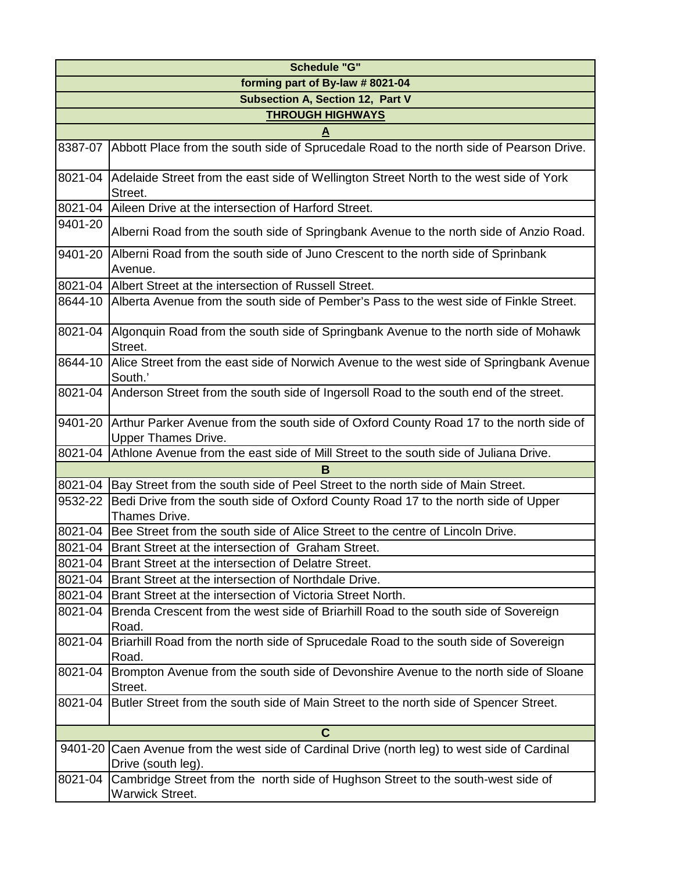| <b>Schedule "G"</b>              |                                                                                                                     |  |  |  |  |  |
|----------------------------------|---------------------------------------------------------------------------------------------------------------------|--|--|--|--|--|
| forming part of By-law # 8021-04 |                                                                                                                     |  |  |  |  |  |
| Subsection A, Section 12, Part V |                                                                                                                     |  |  |  |  |  |
|                                  | <b>THROUGH HIGHWAYS</b>                                                                                             |  |  |  |  |  |
|                                  |                                                                                                                     |  |  |  |  |  |
| 8387-07                          | Abbott Place from the south side of Sprucedale Road to the north side of Pearson Drive.                             |  |  |  |  |  |
| 8021-04                          | Adelaide Street from the east side of Wellington Street North to the west side of York<br>Street.                   |  |  |  |  |  |
| 8021-04                          | Aileen Drive at the intersection of Harford Street.                                                                 |  |  |  |  |  |
| 9401-20                          | Alberni Road from the south side of Springbank Avenue to the north side of Anzio Road.                              |  |  |  |  |  |
| 9401-20                          | Alberni Road from the south side of Juno Crescent to the north side of Sprinbank<br>Avenue.                         |  |  |  |  |  |
|                                  | 8021-04 Albert Street at the intersection of Russell Street.                                                        |  |  |  |  |  |
| 8644-10                          | Alberta Avenue from the south side of Pember's Pass to the west side of Finkle Street.                              |  |  |  |  |  |
| 8021-04                          | Algonquin Road from the south side of Springbank Avenue to the north side of Mohawk<br>Street.                      |  |  |  |  |  |
| 8644-10                          | Alice Street from the east side of Norwich Avenue to the west side of Springbank Avenue<br>South.'                  |  |  |  |  |  |
| 8021-04                          | Anderson Street from the south side of Ingersoll Road to the south end of the street.                               |  |  |  |  |  |
| 9401-20                          | Arthur Parker Avenue from the south side of Oxford County Road 17 to the north side of                              |  |  |  |  |  |
|                                  | <b>Upper Thames Drive.</b>                                                                                          |  |  |  |  |  |
|                                  | 8021-04 Athlone Avenue from the east side of Mill Street to the south side of Juliana Drive.                        |  |  |  |  |  |
|                                  | B                                                                                                                   |  |  |  |  |  |
| 8021-04                          | Bay Street from the south side of Peel Street to the north side of Main Street.                                     |  |  |  |  |  |
| 9532-22                          | Bedi Drive from the south side of Oxford County Road 17 to the north side of Upper<br>Thames Drive.                 |  |  |  |  |  |
| 8021-04                          | Bee Street from the south side of Alice Street to the centre of Lincoln Drive.                                      |  |  |  |  |  |
|                                  | 8021-04 Brant Street at the intersection of Graham Street.                                                          |  |  |  |  |  |
|                                  | 8021-04 Brant Street at the intersection of Delatre Street.                                                         |  |  |  |  |  |
| 8021-04                          | Brant Street at the intersection of Northdale Drive.                                                                |  |  |  |  |  |
|                                  | 8021-04 Brant Street at the intersection of Victoria Street North.                                                  |  |  |  |  |  |
| 8021-04                          | Brenda Crescent from the west side of Briarhill Road to the south side of Sovereign                                 |  |  |  |  |  |
|                                  | Road.                                                                                                               |  |  |  |  |  |
| 8021-04                          | Briarhill Road from the north side of Sprucedale Road to the south side of Sovereign                                |  |  |  |  |  |
|                                  | Road.                                                                                                               |  |  |  |  |  |
| 8021-04                          | Brompton Avenue from the south side of Devonshire Avenue to the north side of Sloane<br>Street.                     |  |  |  |  |  |
| 8021-04                          | Butler Street from the south side of Main Street to the north side of Spencer Street.                               |  |  |  |  |  |
|                                  | C                                                                                                                   |  |  |  |  |  |
|                                  | 9401-20 Caen Avenue from the west side of Cardinal Drive (north leg) to west side of Cardinal<br>Drive (south leg). |  |  |  |  |  |
| 8021-04                          | Cambridge Street from the north side of Hughson Street to the south-west side of<br><b>Warwick Street.</b>          |  |  |  |  |  |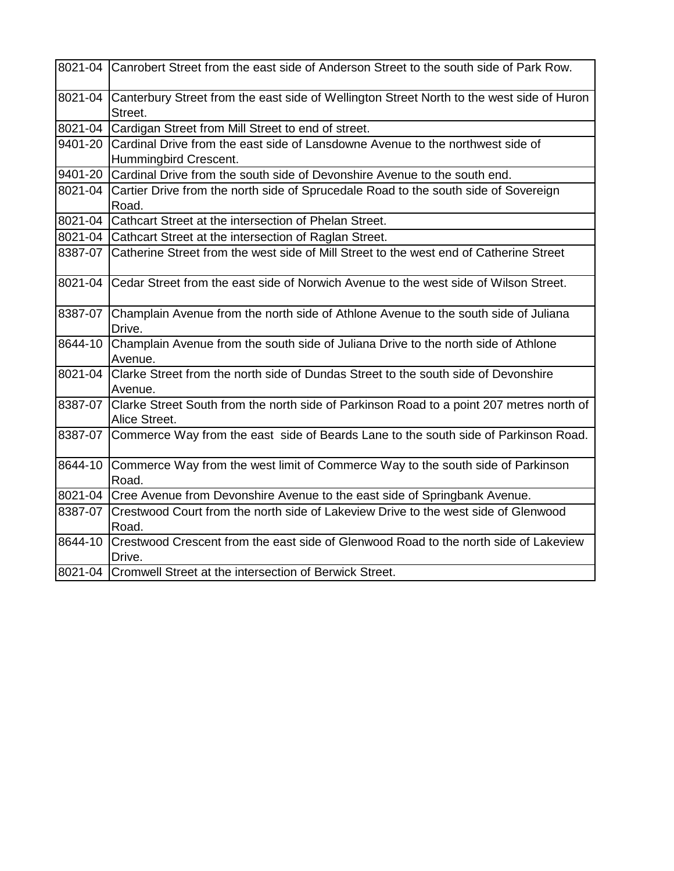|         | 8021-04 Canrobert Street from the east side of Anderson Street to the south side of Park Row.             |  |  |
|---------|-----------------------------------------------------------------------------------------------------------|--|--|
| 8021-04 | Canterbury Street from the east side of Wellington Street North to the west side of Huron<br>Street.      |  |  |
| 8021-04 | Cardigan Street from Mill Street to end of street.                                                        |  |  |
| 9401-20 | Cardinal Drive from the east side of Lansdowne Avenue to the northwest side of<br>Hummingbird Crescent.   |  |  |
| 9401-20 | Cardinal Drive from the south side of Devonshire Avenue to the south end.                                 |  |  |
| 8021-04 | Cartier Drive from the north side of Sprucedale Road to the south side of Sovereign<br>Road.              |  |  |
| 8021-04 | Cathcart Street at the intersection of Phelan Street.                                                     |  |  |
|         | 8021-04 Cathcart Street at the intersection of Raglan Street.                                             |  |  |
| 8387-07 | Catherine Street from the west side of Mill Street to the west end of Catherine Street                    |  |  |
| 8021-04 | Cedar Street from the east side of Norwich Avenue to the west side of Wilson Street.                      |  |  |
| 8387-07 | Champlain Avenue from the north side of Athlone Avenue to the south side of Juliana<br>Drive.             |  |  |
| 8644-10 | Champlain Avenue from the south side of Juliana Drive to the north side of Athlone<br>Avenue.             |  |  |
| 8021-04 | Clarke Street from the north side of Dundas Street to the south side of Devonshire<br>Avenue.             |  |  |
| 8387-07 | Clarke Street South from the north side of Parkinson Road to a point 207 metres north of<br>Alice Street. |  |  |
| 8387-07 | Commerce Way from the east side of Beards Lane to the south side of Parkinson Road.                       |  |  |
| 8644-10 | Commerce Way from the west limit of Commerce Way to the south side of Parkinson<br>Road.                  |  |  |
| 8021-04 | Cree Avenue from Devonshire Avenue to the east side of Springbank Avenue.                                 |  |  |
| 8387-07 | Crestwood Court from the north side of Lakeview Drive to the west side of Glenwood<br>Road.               |  |  |
| 8644-10 | Crestwood Crescent from the east side of Glenwood Road to the north side of Lakeview<br>Drive.            |  |  |
|         | 8021-04 Cromwell Street at the intersection of Berwick Street.                                            |  |  |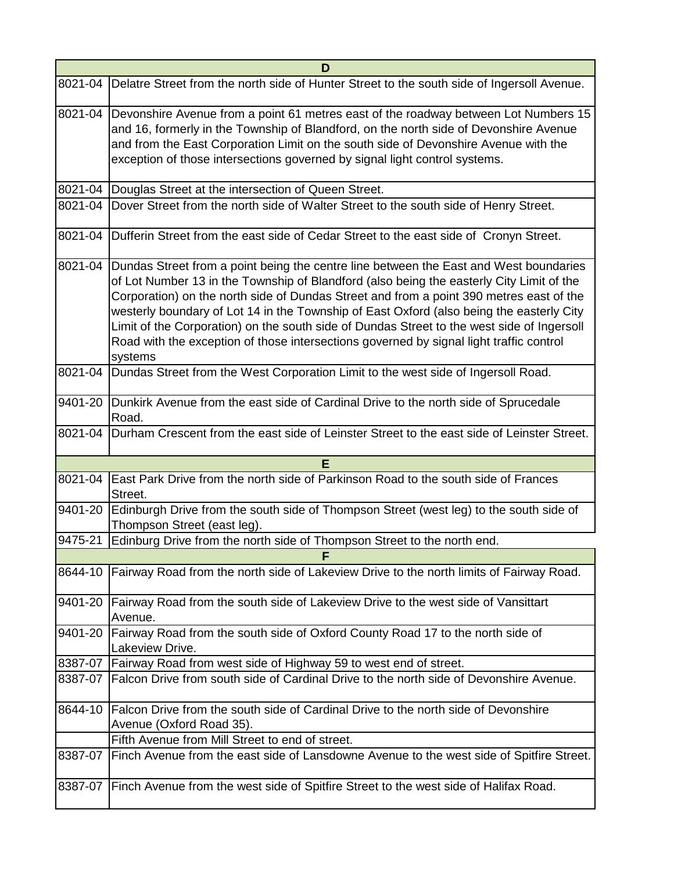| D       |                                                                                                                                                                                                                                                                                                                                                                                                                                                                                                                                                                              |  |  |
|---------|------------------------------------------------------------------------------------------------------------------------------------------------------------------------------------------------------------------------------------------------------------------------------------------------------------------------------------------------------------------------------------------------------------------------------------------------------------------------------------------------------------------------------------------------------------------------------|--|--|
|         | 8021-04 Delatre Street from the north side of Hunter Street to the south side of Ingersoll Avenue.                                                                                                                                                                                                                                                                                                                                                                                                                                                                           |  |  |
| 8021-04 | Devonshire Avenue from a point 61 metres east of the roadway between Lot Numbers 15<br>and 16, formerly in the Township of Blandford, on the north side of Devonshire Avenue<br>and from the East Corporation Limit on the south side of Devonshire Avenue with the<br>exception of those intersections governed by signal light control systems.                                                                                                                                                                                                                            |  |  |
|         | 8021-04   Douglas Street at the intersection of Queen Street.                                                                                                                                                                                                                                                                                                                                                                                                                                                                                                                |  |  |
| 8021-04 | Dover Street from the north side of Walter Street to the south side of Henry Street.                                                                                                                                                                                                                                                                                                                                                                                                                                                                                         |  |  |
|         | 8021-04 Dufferin Street from the east side of Cedar Street to the east side of Cronyn Street.                                                                                                                                                                                                                                                                                                                                                                                                                                                                                |  |  |
| 8021-04 | Dundas Street from a point being the centre line between the East and West boundaries<br>of Lot Number 13 in the Township of Blandford (also being the easterly City Limit of the<br>Corporation) on the north side of Dundas Street and from a point 390 metres east of the<br>westerly boundary of Lot 14 in the Township of East Oxford (also being the easterly City<br>Limit of the Corporation) on the south side of Dundas Street to the west side of Ingersoll<br>Road with the exception of those intersections governed by signal light traffic control<br>systems |  |  |
|         | 8021-04 Dundas Street from the West Corporation Limit to the west side of Ingersoll Road.                                                                                                                                                                                                                                                                                                                                                                                                                                                                                    |  |  |
|         | 9401-20 Dunkirk Avenue from the east side of Cardinal Drive to the north side of Sprucedale<br>Road.                                                                                                                                                                                                                                                                                                                                                                                                                                                                         |  |  |
| 8021-04 | Durham Crescent from the east side of Leinster Street to the east side of Leinster Street.                                                                                                                                                                                                                                                                                                                                                                                                                                                                                   |  |  |
|         | E                                                                                                                                                                                                                                                                                                                                                                                                                                                                                                                                                                            |  |  |
|         | 8021-04   East Park Drive from the north side of Parkinson Road to the south side of Frances<br>Street.                                                                                                                                                                                                                                                                                                                                                                                                                                                                      |  |  |
|         | 9401-20 Edinburgh Drive from the south side of Thompson Street (west leg) to the south side of<br>Thompson Street (east leg).                                                                                                                                                                                                                                                                                                                                                                                                                                                |  |  |
| 9475-21 | Edinburg Drive from the north side of Thompson Street to the north end.                                                                                                                                                                                                                                                                                                                                                                                                                                                                                                      |  |  |
|         | <b>F</b>                                                                                                                                                                                                                                                                                                                                                                                                                                                                                                                                                                     |  |  |
| 8644-10 | Fairway Road from the north side of Lakeview Drive to the north limits of Fairway Road.                                                                                                                                                                                                                                                                                                                                                                                                                                                                                      |  |  |
|         | 9401-20 Fairway Road from the south side of Lakeview Drive to the west side of Vansittart<br>Avenue.                                                                                                                                                                                                                                                                                                                                                                                                                                                                         |  |  |
| 9401-20 | Fairway Road from the south side of Oxford County Road 17 to the north side of<br>Lakeview Drive.                                                                                                                                                                                                                                                                                                                                                                                                                                                                            |  |  |
|         | 8387-07   Fairway Road from west side of Highway 59 to west end of street.                                                                                                                                                                                                                                                                                                                                                                                                                                                                                                   |  |  |
| 8387-07 | Falcon Drive from south side of Cardinal Drive to the north side of Devonshire Avenue.                                                                                                                                                                                                                                                                                                                                                                                                                                                                                       |  |  |
| 8644-10 | Falcon Drive from the south side of Cardinal Drive to the north side of Devonshire<br>Avenue (Oxford Road 35).                                                                                                                                                                                                                                                                                                                                                                                                                                                               |  |  |
|         | Fifth Avenue from Mill Street to end of street.                                                                                                                                                                                                                                                                                                                                                                                                                                                                                                                              |  |  |
| 8387-07 | Finch Avenue from the east side of Lansdowne Avenue to the west side of Spitfire Street.                                                                                                                                                                                                                                                                                                                                                                                                                                                                                     |  |  |
| 8387-07 | Finch Avenue from the west side of Spitfire Street to the west side of Halifax Road.                                                                                                                                                                                                                                                                                                                                                                                                                                                                                         |  |  |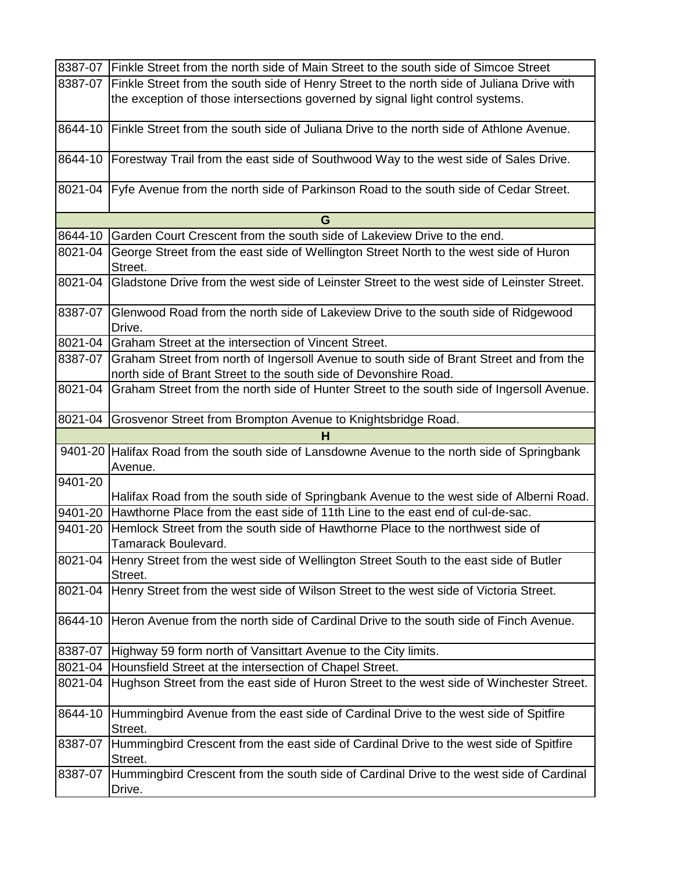|             | 8387-07 Finkle Street from the north side of Main Street to the south side of Simcoe Street                  |  |  |
|-------------|--------------------------------------------------------------------------------------------------------------|--|--|
| 8387-07     | Finkle Street from the south side of Henry Street to the north side of Juliana Drive with                    |  |  |
|             | the exception of those intersections governed by signal light control systems.                               |  |  |
| 8644-10     | Finkle Street from the south side of Juliana Drive to the north side of Athlone Avenue.                      |  |  |
| 8644-10     | Forestway Trail from the east side of Southwood Way to the west side of Sales Drive.                         |  |  |
| 8021-04     | Fyfe Avenue from the north side of Parkinson Road to the south side of Cedar Street.                         |  |  |
|             | G                                                                                                            |  |  |
| 8644-10     | Garden Court Crescent from the south side of Lakeview Drive to the end.                                      |  |  |
| 8021-04     | George Street from the east side of Wellington Street North to the west side of Huron<br>Street.             |  |  |
| 8021-04     | Gladstone Drive from the west side of Leinster Street to the west side of Leinster Street.                   |  |  |
| 8387-07     | Glenwood Road from the north side of Lakeview Drive to the south side of Ridgewood<br>Drive.                 |  |  |
| 8021-04     | Graham Street at the intersection of Vincent Street.                                                         |  |  |
| 8387-07     | Graham Street from north of Ingersoll Avenue to south side of Brant Street and from the                      |  |  |
|             | north side of Brant Street to the south side of Devonshire Road.                                             |  |  |
| 8021-04     | Graham Street from the north side of Hunter Street to the south side of Ingersoll Avenue.                    |  |  |
| 8021-04     | Grosvenor Street from Brompton Avenue to Knightsbridge Road.                                                 |  |  |
| н           |                                                                                                              |  |  |
|             |                                                                                                              |  |  |
|             | 9401-20 Halifax Road from the south side of Lansdowne Avenue to the north side of Springbank<br>Avenue.      |  |  |
| 9401-20     |                                                                                                              |  |  |
|             | Halifax Road from the south side of Springbank Avenue to the west side of Alberni Road.                      |  |  |
| $9401 - 20$ | Hawthorne Place from the east side of 11th Line to the east end of cul-de-sac.                               |  |  |
| 9401-20     | Hemlock Street from the south side of Hawthorne Place to the northwest side of<br>Tamarack Boulevard.        |  |  |
|             | 8021-04 Henry Street from the west side of Wellington Street South to the east side of Butler<br>Street.     |  |  |
| 8021-04     | Henry Street from the west side of Wilson Street to the west side of Victoria Street.                        |  |  |
| 8644-10     | Heron Avenue from the north side of Cardinal Drive to the south side of Finch Avenue.                        |  |  |
|             | 8387-07 Highway 59 form north of Vansittart Avenue to the City limits.                                       |  |  |
| 8021-04     | Hounsfield Street at the intersection of Chapel Street.                                                      |  |  |
| 8021-04     | Hughson Street from the east side of Huron Street to the west side of Winchester Street.                     |  |  |
| 8644-10     | Hummingbird Avenue from the east side of Cardinal Drive to the west side of Spitfire                         |  |  |
| 8387-07     | Street.<br>Hummingbird Crescent from the east side of Cardinal Drive to the west side of Spitfire<br>Street. |  |  |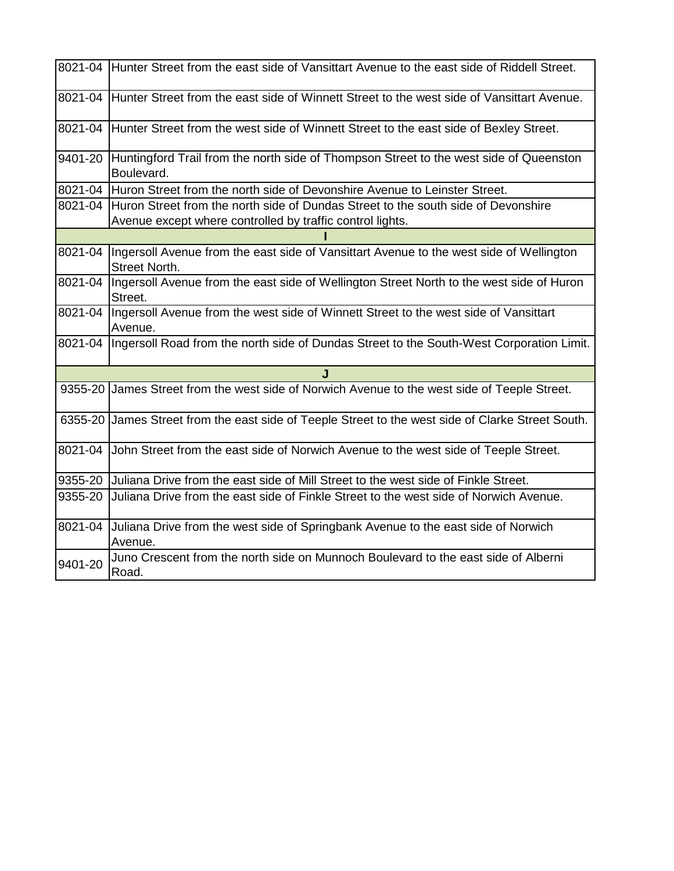|         | 8021-04 Hunter Street from the east side of Vansittart Avenue to the east side of Riddell Street.                                              |  |  |
|---------|------------------------------------------------------------------------------------------------------------------------------------------------|--|--|
| 8021-04 | Hunter Street from the east side of Winnett Street to the west side of Vansittart Avenue.                                                      |  |  |
| 8021-04 | Hunter Street from the west side of Winnett Street to the east side of Bexley Street.                                                          |  |  |
| 9401-20 | Huntingford Trail from the north side of Thompson Street to the west side of Queenston<br>Boulevard.                                           |  |  |
|         | 8021-04 Huron Street from the north side of Devonshire Avenue to Leinster Street.                                                              |  |  |
| 8021-04 | Huron Street from the north side of Dundas Street to the south side of Devonshire<br>Avenue except where controlled by traffic control lights. |  |  |
|         |                                                                                                                                                |  |  |
| 8021-04 | Ingersoll Avenue from the east side of Vansittart Avenue to the west side of Wellington<br>Street North.                                       |  |  |
| 8021-04 | Ingersoll Avenue from the east side of Wellington Street North to the west side of Huron<br>Street.                                            |  |  |
| 8021-04 | Ingersoll Avenue from the west side of Winnett Street to the west side of Vansittart<br>Avenue.                                                |  |  |
| 8021-04 | Ingersoll Road from the north side of Dundas Street to the South-West Corporation Limit.                                                       |  |  |
|         | . I                                                                                                                                            |  |  |
|         | 9355-20 James Street from the west side of Norwich Avenue to the west side of Teeple Street.                                                   |  |  |
|         | 6355-20 James Street from the east side of Teeple Street to the west side of Clarke Street South.                                              |  |  |
| 8021-04 | John Street from the east side of Norwich Avenue to the west side of Teeple Street.                                                            |  |  |
| 9355-20 | Juliana Drive from the east side of Mill Street to the west side of Finkle Street.                                                             |  |  |
| 9355-20 | Juliana Drive from the east side of Finkle Street to the west side of Norwich Avenue.                                                          |  |  |
| 8021-04 | Juliana Drive from the west side of Springbank Avenue to the east side of Norwich<br>Avenue.                                                   |  |  |
| 9401-20 | Juno Crescent from the north side on Munnoch Boulevard to the east side of Alberni<br>Road.                                                    |  |  |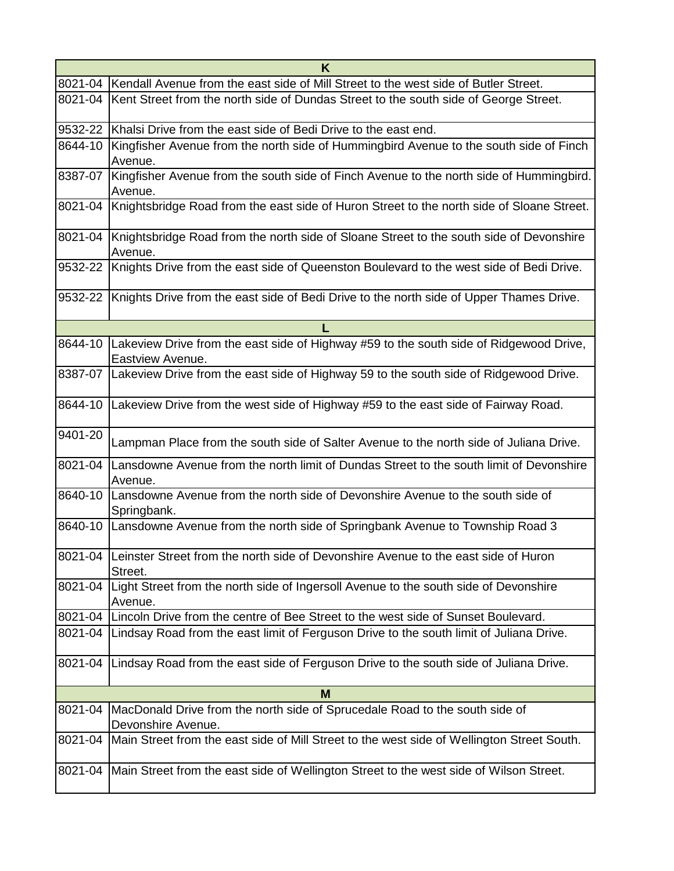| K       |                                                                                                                    |  |  |
|---------|--------------------------------------------------------------------------------------------------------------------|--|--|
| 8021-04 | Kendall Avenue from the east side of Mill Street to the west side of Butler Street.                                |  |  |
| 8021-04 | Kent Street from the north side of Dundas Street to the south side of George Street.                               |  |  |
| 9532-22 | Khalsi Drive from the east side of Bedi Drive to the east end.                                                     |  |  |
| 8644-10 | Kingfisher Avenue from the north side of Hummingbird Avenue to the south side of Finch<br>Avenue.                  |  |  |
| 8387-07 | Kingfisher Avenue from the south side of Finch Avenue to the north side of Hummingbird.<br>Avenue.                 |  |  |
| 8021-04 | Knightsbridge Road from the east side of Huron Street to the north side of Sloane Street.                          |  |  |
| 8021-04 | Knightsbridge Road from the north side of Sloane Street to the south side of Devonshire<br>Avenue.                 |  |  |
| 9532-22 | Knights Drive from the east side of Queenston Boulevard to the west side of Bedi Drive.                            |  |  |
| 9532-22 | Knights Drive from the east side of Bedi Drive to the north side of Upper Thames Drive.                            |  |  |
|         | L                                                                                                                  |  |  |
|         | 8644-10 Lakeview Drive from the east side of Highway #59 to the south side of Ridgewood Drive,<br>Eastview Avenue. |  |  |
|         | 8387-07 Lakeview Drive from the east side of Highway 59 to the south side of Ridgewood Drive.                      |  |  |
| 8644-10 | Lakeview Drive from the west side of Highway #59 to the east side of Fairway Road.                                 |  |  |
| 9401-20 | Lampman Place from the south side of Salter Avenue to the north side of Juliana Drive.                             |  |  |
| 8021-04 | Lansdowne Avenue from the north limit of Dundas Street to the south limit of Devonshire<br>Avenue.                 |  |  |
| 8640-10 | Lansdowne Avenue from the north side of Devonshire Avenue to the south side of<br>Springbank.                      |  |  |
|         | 8640-10 Lansdowne Avenue from the north side of Springbank Avenue to Township Road 3                               |  |  |
|         | 8021-04 Leinster Street from the north side of Devonshire Avenue to the east side of Huron<br>Street.              |  |  |
| 8021-04 | Light Street from the north side of Ingersoll Avenue to the south side of Devonshire<br>Avenue.                    |  |  |
| 8021-04 | Lincoln Drive from the centre of Bee Street to the west side of Sunset Boulevard.                                  |  |  |
| 8021-04 | Lindsay Road from the east limit of Ferguson Drive to the south limit of Juliana Drive.                            |  |  |
| 8021-04 | Lindsay Road from the east side of Ferguson Drive to the south side of Juliana Drive.                              |  |  |
|         | M                                                                                                                  |  |  |
| 8021-04 | MacDonald Drive from the north side of Sprucedale Road to the south side of<br>Devonshire Avenue.                  |  |  |
| 8021-04 | Main Street from the east side of Mill Street to the west side of Wellington Street South.                         |  |  |
| 8021-04 | Main Street from the east side of Wellington Street to the west side of Wilson Street.                             |  |  |
|         |                                                                                                                    |  |  |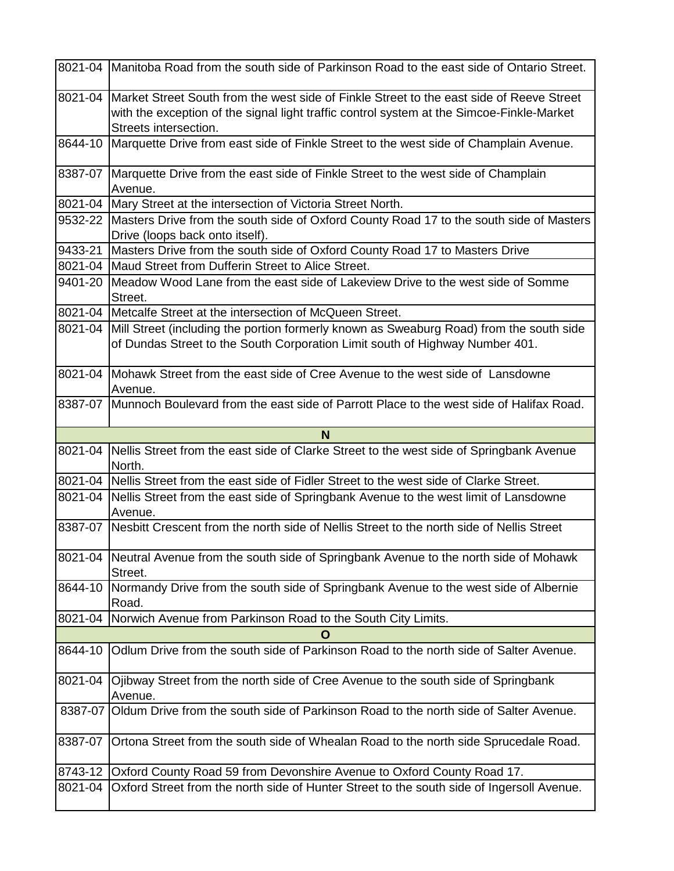|         | 8021-04 Manitoba Road from the south side of Parkinson Road to the east side of Ontario Street.                                                                                                                |  |  |  |
|---------|----------------------------------------------------------------------------------------------------------------------------------------------------------------------------------------------------------------|--|--|--|
| 8021-04 | Market Street South from the west side of Finkle Street to the east side of Reeve Street<br>with the exception of the signal light traffic control system at the Simcoe-Finkle-Market<br>Streets intersection. |  |  |  |
| 8644-10 | Marquette Drive from east side of Finkle Street to the west side of Champlain Avenue.                                                                                                                          |  |  |  |
| 8387-07 | Marquette Drive from the east side of Finkle Street to the west side of Champlain<br>Avenue.                                                                                                                   |  |  |  |
|         | 8021-04   Mary Street at the intersection of Victoria Street North.                                                                                                                                            |  |  |  |
|         | 9532-22 Masters Drive from the south side of Oxford County Road 17 to the south side of Masters<br>Drive (loops back onto itself).                                                                             |  |  |  |
| 9433-21 | Masters Drive from the south side of Oxford County Road 17 to Masters Drive                                                                                                                                    |  |  |  |
|         | 8021-04   Maud Street from Dufferin Street to Alice Street.                                                                                                                                                    |  |  |  |
| 9401-20 | Meadow Wood Lane from the east side of Lakeview Drive to the west side of Somme<br>Street.                                                                                                                     |  |  |  |
|         | 8021-04   Metcalfe Street at the intersection of McQueen Street.                                                                                                                                               |  |  |  |
|         | 8021-04 Mill Street (including the portion formerly known as Sweaburg Road) from the south side<br>of Dundas Street to the South Corporation Limit south of Highway Number 401.                                |  |  |  |
| 8021-04 | Mohawk Street from the east side of Cree Avenue to the west side of Lansdowne<br>Avenue.                                                                                                                       |  |  |  |
|         | 8387-07 Munnoch Boulevard from the east side of Parrott Place to the west side of Halifax Road.                                                                                                                |  |  |  |
|         | N                                                                                                                                                                                                              |  |  |  |
|         | 8021-04 Nellis Street from the east side of Clarke Street to the west side of Springbank Avenue<br>North.                                                                                                      |  |  |  |
|         | 8021-04 Nellis Street from the east side of Fidler Street to the west side of Clarke Street.                                                                                                                   |  |  |  |
| 8021-04 | Nellis Street from the east side of Springbank Avenue to the west limit of Lansdowne<br>Avenue.                                                                                                                |  |  |  |
| 8387-07 | Nesbitt Crescent from the north side of Nellis Street to the north side of Nellis Street                                                                                                                       |  |  |  |
|         | 8021-04 Neutral Avenue from the south side of Springbank Avenue to the north side of Mohawk<br>Street.                                                                                                         |  |  |  |
| 8644-10 | Normandy Drive from the south side of Springbank Avenue to the west side of Albernie<br>Road.                                                                                                                  |  |  |  |
| 8021-04 | Norwich Avenue from Parkinson Road to the South City Limits.                                                                                                                                                   |  |  |  |
|         | O                                                                                                                                                                                                              |  |  |  |
| 8644-10 | Odlum Drive from the south side of Parkinson Road to the north side of Salter Avenue.                                                                                                                          |  |  |  |
| 8021-04 | Ojibway Street from the north side of Cree Avenue to the south side of Springbank<br>Avenue.                                                                                                                   |  |  |  |
|         | 8387-07 Oldum Drive from the south side of Parkinson Road to the north side of Salter Avenue.                                                                                                                  |  |  |  |
| 8387-07 | Ortona Street from the south side of Whealan Road to the north side Sprucedale Road.                                                                                                                           |  |  |  |
| 8743-12 | Oxford County Road 59 from Devonshire Avenue to Oxford County Road 17.                                                                                                                                         |  |  |  |
| 8021-04 | Oxford Street from the north side of Hunter Street to the south side of Ingersoll Avenue.                                                                                                                      |  |  |  |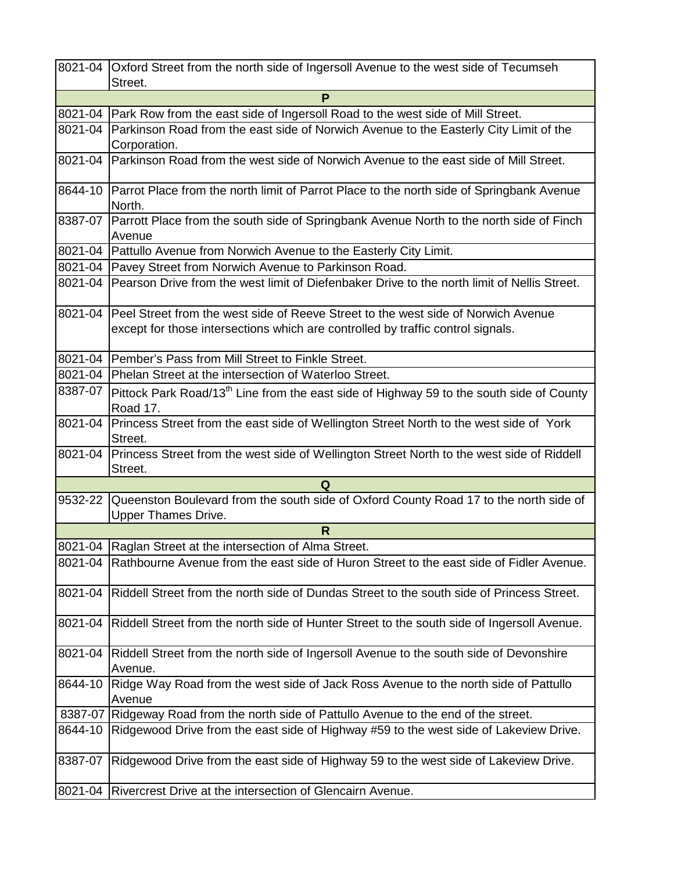|         | 8021-04 Oxford Street from the north side of Ingersoll Avenue to the west side of Tecumseh                                                                           |  |  |  |
|---------|----------------------------------------------------------------------------------------------------------------------------------------------------------------------|--|--|--|
|         | Street.                                                                                                                                                              |  |  |  |
|         | P                                                                                                                                                                    |  |  |  |
|         | 8021-04   Park Row from the east side of Ingersoll Road to the west side of Mill Street.                                                                             |  |  |  |
| 8021-04 | Parkinson Road from the east side of Norwich Avenue to the Easterly City Limit of the<br>Corporation.                                                                |  |  |  |
| 8021-04 | Parkinson Road from the west side of Norwich Avenue to the east side of Mill Street.                                                                                 |  |  |  |
| 8644-10 | Parrot Place from the north limit of Parrot Place to the north side of Springbank Avenue<br>North.                                                                   |  |  |  |
| 8387-07 | Parrott Place from the south side of Springbank Avenue North to the north side of Finch<br>Avenue                                                                    |  |  |  |
|         | 8021-04   Pattullo Avenue from Norwich Avenue to the Easterly City Limit.                                                                                            |  |  |  |
| 8021-04 | Pavey Street from Norwich Avenue to Parkinson Road.                                                                                                                  |  |  |  |
| 8021-04 | Pearson Drive from the west limit of Diefenbaker Drive to the north limit of Nellis Street.                                                                          |  |  |  |
| 8021-04 | Peel Street from the west side of Reeve Street to the west side of Norwich Avenue<br>except for those intersections which are controlled by traffic control signals. |  |  |  |
| 8021-04 | Pember's Pass from Mill Street to Finkle Street.                                                                                                                     |  |  |  |
| 8021-04 | Phelan Street at the intersection of Waterloo Street.                                                                                                                |  |  |  |
| 8387-07 | Pittock Park Road/13 <sup>th</sup> Line from the east side of Highway 59 to the south side of County                                                                 |  |  |  |
|         | Road 17.                                                                                                                                                             |  |  |  |
| 8021-04 | Princess Street from the east side of Wellington Street North to the west side of York                                                                               |  |  |  |
|         | Street.                                                                                                                                                              |  |  |  |
| 8021-04 | Princess Street from the west side of Wellington Street North to the west side of Riddell                                                                            |  |  |  |
|         | Street.<br>Q                                                                                                                                                         |  |  |  |
| 9532-22 | Queenston Boulevard from the south side of Oxford County Road 17 to the north side of                                                                                |  |  |  |
|         | <b>Upper Thames Drive.</b>                                                                                                                                           |  |  |  |
|         | R.                                                                                                                                                                   |  |  |  |
|         | 8021-04 Raglan Street at the intersection of Alma Street.                                                                                                            |  |  |  |
| 8021-04 | Rathbourne Avenue from the east side of Huron Street to the east side of Fidler Avenue.                                                                              |  |  |  |
| 8021-04 | Riddell Street from the north side of Dundas Street to the south side of Princess Street.                                                                            |  |  |  |
| 8021-04 | Riddell Street from the north side of Hunter Street to the south side of Ingersoll Avenue.                                                                           |  |  |  |
| 8021-04 | Riddell Street from the north side of Ingersoll Avenue to the south side of Devonshire                                                                               |  |  |  |
| 8644-10 | Avenue.<br>Ridge Way Road from the west side of Jack Ross Avenue to the north side of Pattullo                                                                       |  |  |  |
|         | Avenue                                                                                                                                                               |  |  |  |
|         | 8387-07 Ridgeway Road from the north side of Pattullo Avenue to the end of the street.                                                                               |  |  |  |
| 8644-10 | Ridgewood Drive from the east side of Highway #59 to the west side of Lakeview Drive.                                                                                |  |  |  |
| 8387-07 | Ridgewood Drive from the east side of Highway 59 to the west side of Lakeview Drive.                                                                                 |  |  |  |
| 8021-04 | Rivercrest Drive at the intersection of Glencairn Avenue.                                                                                                            |  |  |  |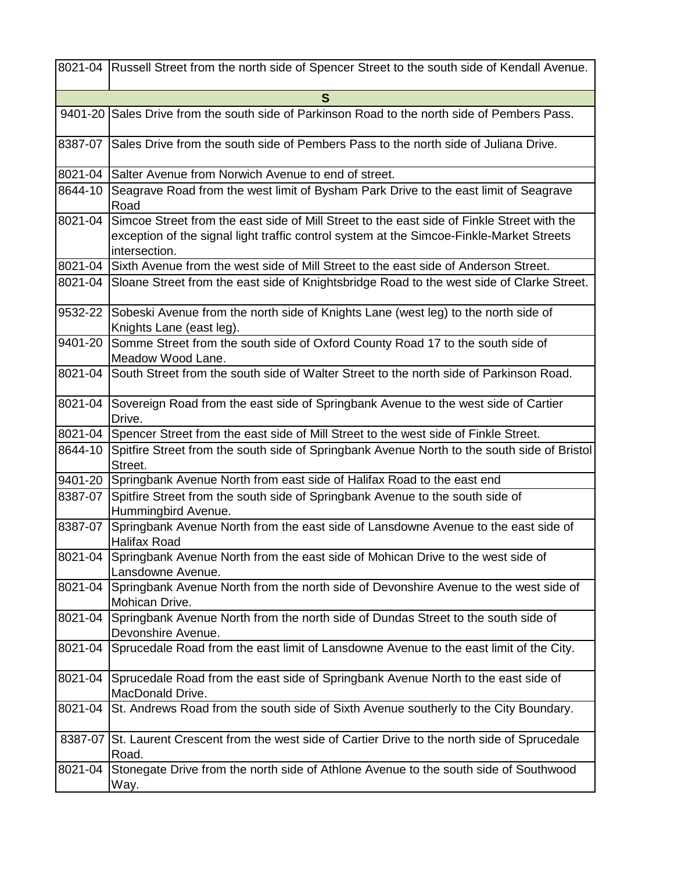|         | 8021-04 Russell Street from the north side of Spencer Street to the south side of Kendall Avenue.                                                                                                       |  |  |  |
|---------|---------------------------------------------------------------------------------------------------------------------------------------------------------------------------------------------------------|--|--|--|
| S       |                                                                                                                                                                                                         |  |  |  |
|         | 9401-20 Sales Drive from the south side of Parkinson Road to the north side of Pembers Pass.                                                                                                            |  |  |  |
| 8387-07 | Sales Drive from the south side of Pembers Pass to the north side of Juliana Drive.                                                                                                                     |  |  |  |
| 8021-04 | Salter Avenue from Norwich Avenue to end of street.                                                                                                                                                     |  |  |  |
| 8644-10 | Seagrave Road from the west limit of Bysham Park Drive to the east limit of Seagrave<br>Road                                                                                                            |  |  |  |
| 8021-04 | Simcoe Street from the east side of Mill Street to the east side of Finkle Street with the<br>exception of the signal light traffic control system at the Simcoe-Finkle-Market Streets<br>intersection. |  |  |  |
|         | 8021-04 Sixth Avenue from the west side of Mill Street to the east side of Anderson Street.                                                                                                             |  |  |  |
| 8021-04 | Sloane Street from the east side of Knightsbridge Road to the west side of Clarke Street.                                                                                                               |  |  |  |
|         | 9532-22 Sobeski Avenue from the north side of Knights Lane (west leg) to the north side of<br>Knights Lane (east leg).                                                                                  |  |  |  |
| 9401-20 | Somme Street from the south side of Oxford County Road 17 to the south side of<br>Meadow Wood Lane.                                                                                                     |  |  |  |
| 8021-04 | South Street from the south side of Walter Street to the north side of Parkinson Road.                                                                                                                  |  |  |  |
|         | 8021-04 Sovereign Road from the east side of Springbank Avenue to the west side of Cartier<br>Drive.                                                                                                    |  |  |  |
| 8021-04 | Spencer Street from the east side of Mill Street to the west side of Finkle Street.                                                                                                                     |  |  |  |
| 8644-10 | Spitfire Street from the south side of Springbank Avenue North to the south side of Bristol<br>Street.                                                                                                  |  |  |  |
| 9401-20 | Springbank Avenue North from east side of Halifax Road to the east end                                                                                                                                  |  |  |  |
| 8387-07 | Spitfire Street from the south side of Springbank Avenue to the south side of<br>Hummingbird Avenue.                                                                                                    |  |  |  |
| 8387-07 | Springbank Avenue North from the east side of Lansdowne Avenue to the east side of<br><b>Halifax Road</b>                                                                                               |  |  |  |
| 8021-04 | Springbank Avenue North from the east side of Mohican Drive to the west side of<br>Lansdowne Avenue.                                                                                                    |  |  |  |
| 8021-04 | Springbank Avenue North from the north side of Devonshire Avenue to the west side of<br>Mohican Drive.                                                                                                  |  |  |  |
| 8021-04 | Springbank Avenue North from the north side of Dundas Street to the south side of<br>Devonshire Avenue.                                                                                                 |  |  |  |
| 8021-04 | Sprucedale Road from the east limit of Lansdowne Avenue to the east limit of the City.                                                                                                                  |  |  |  |
| 8021-04 | Sprucedale Road from the east side of Springbank Avenue North to the east side of<br>MacDonald Drive.                                                                                                   |  |  |  |
| 8021-04 | St. Andrews Road from the south side of Sixth Avenue southerly to the City Boundary.                                                                                                                    |  |  |  |
|         | 8387-07 St. Laurent Crescent from the west side of Cartier Drive to the north side of Sprucedale<br>Road.                                                                                               |  |  |  |
| 8021-04 | Stonegate Drive from the north side of Athlone Avenue to the south side of Southwood<br>Way.                                                                                                            |  |  |  |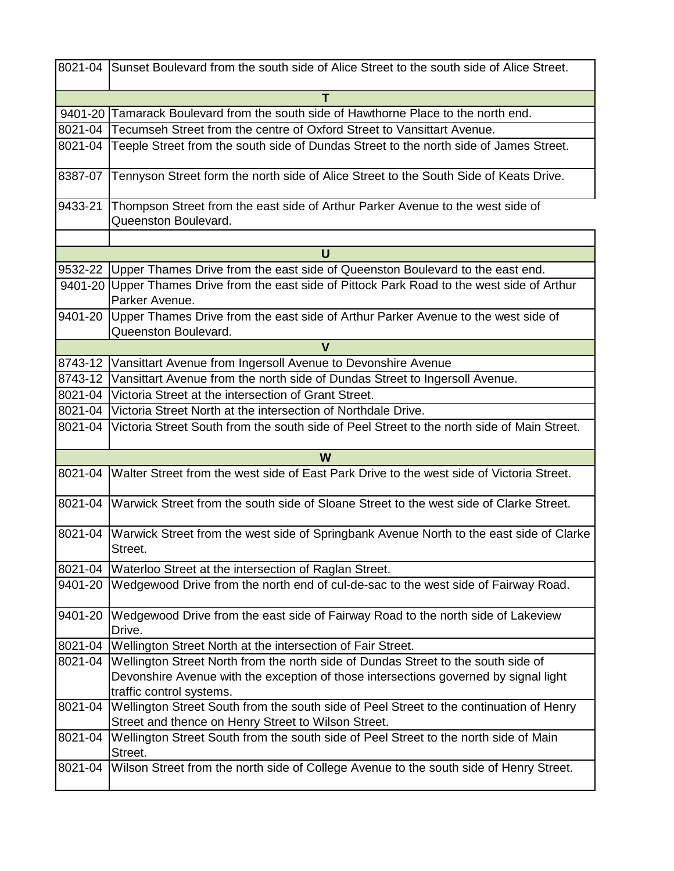|             | 8021-04 Sunset Boulevard from the south side of Alice Street to the south side of Alice Street.                                                |  |  |  |
|-------------|------------------------------------------------------------------------------------------------------------------------------------------------|--|--|--|
|             |                                                                                                                                                |  |  |  |
|             | 9401-20 Tamarack Boulevard from the south side of Hawthorne Place to the north end.                                                            |  |  |  |
|             | 8021-04 Tecumseh Street from the centre of Oxford Street to Vansittart Avenue.                                                                 |  |  |  |
| 8021-04     | Teeple Street from the south side of Dundas Street to the north side of James Street.                                                          |  |  |  |
| 8387-07     | Tennyson Street form the north side of Alice Street to the South Side of Keats Drive.                                                          |  |  |  |
| 9433-21     | Thompson Street from the east side of Arthur Parker Avenue to the west side of<br>Queenston Boulevard.                                         |  |  |  |
|             | U                                                                                                                                              |  |  |  |
| 9532-22     | Upper Thames Drive from the east side of Queenston Boulevard to the east end.                                                                  |  |  |  |
|             | 9401-20 Upper Thames Drive from the east side of Pittock Park Road to the west side of Arthur                                                  |  |  |  |
|             | Parker Avenue.                                                                                                                                 |  |  |  |
| 9401-20     | Upper Thames Drive from the east side of Arthur Parker Avenue to the west side of<br>Queenston Boulevard.                                      |  |  |  |
| $\mathbf v$ |                                                                                                                                                |  |  |  |
| 8743-12     | Vansittart Avenue from Ingersoll Avenue to Devonshire Avenue                                                                                   |  |  |  |
|             | 8743-12 Vansittart Avenue from the north side of Dundas Street to Ingersoll Avenue.                                                            |  |  |  |
| 8021-04     | Victoria Street at the intersection of Grant Street.                                                                                           |  |  |  |
|             | 8021-04 Victoria Street North at the intersection of Northdale Drive.                                                                          |  |  |  |
| 8021-04     | Victoria Street South from the south side of Peel Street to the north side of Main Street.                                                     |  |  |  |
|             | W                                                                                                                                              |  |  |  |
|             | 8021-04 Walter Street from the west side of East Park Drive to the west side of Victoria Street.                                               |  |  |  |
| 8021-04     | Warwick Street from the south side of Sloane Street to the west side of Clarke Street.                                                         |  |  |  |
| 8021-04     | Warwick Street from the west side of Springbank Avenue North to the east side of Clarke<br>Street.                                             |  |  |  |
| 8021-04     | Waterloo Street at the intersection of Raglan Street.                                                                                          |  |  |  |
| 9401-20     | Wedgewood Drive from the north end of cul-de-sac to the west side of Fairway Road.                                                             |  |  |  |
| 9401-20     | Wedgewood Drive from the east side of Fairway Road to the north side of Lakeview<br>Drive.                                                     |  |  |  |
| 8021-04     | Wellington Street North at the intersection of Fair Street.                                                                                    |  |  |  |
| 8021-04     | Wellington Street North from the north side of Dundas Street to the south side of                                                              |  |  |  |
|             | Devonshire Avenue with the exception of those intersections governed by signal light                                                           |  |  |  |
|             | traffic control systems.                                                                                                                       |  |  |  |
| 8021-04     | Wellington Street South from the south side of Peel Street to the continuation of Henry<br>Street and thence on Henry Street to Wilson Street. |  |  |  |
| 8021-04     |                                                                                                                                                |  |  |  |
|             | Wellington Street South from the south side of Peel Street to the north side of Main<br>Street.                                                |  |  |  |
| 8021-04     | Wilson Street from the north side of College Avenue to the south side of Henry Street.                                                         |  |  |  |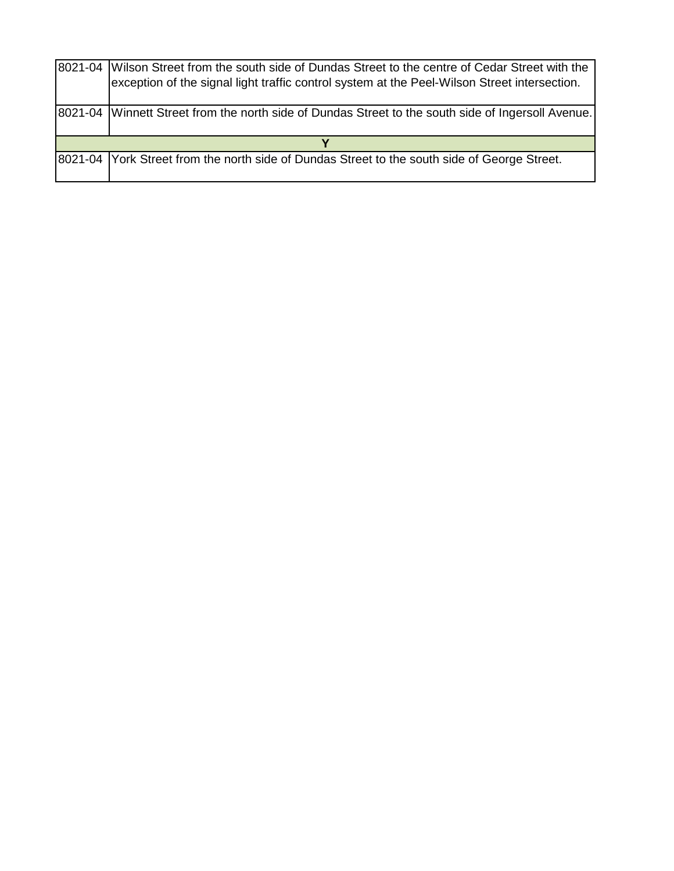|  | 8021-04 Wilson Street from the south side of Dundas Street to the centre of Cedar Street with the<br>exception of the signal light traffic control system at the Peel-Wilson Street intersection. |  |  |
|--|---------------------------------------------------------------------------------------------------------------------------------------------------------------------------------------------------|--|--|
|  | 8021-04 Winnett Street from the north side of Dundas Street to the south side of Ingersoll Avenue.                                                                                                |  |  |
|  |                                                                                                                                                                                                   |  |  |
|  | 8021-04 York Street from the north side of Dundas Street to the south side of George Street.                                                                                                      |  |  |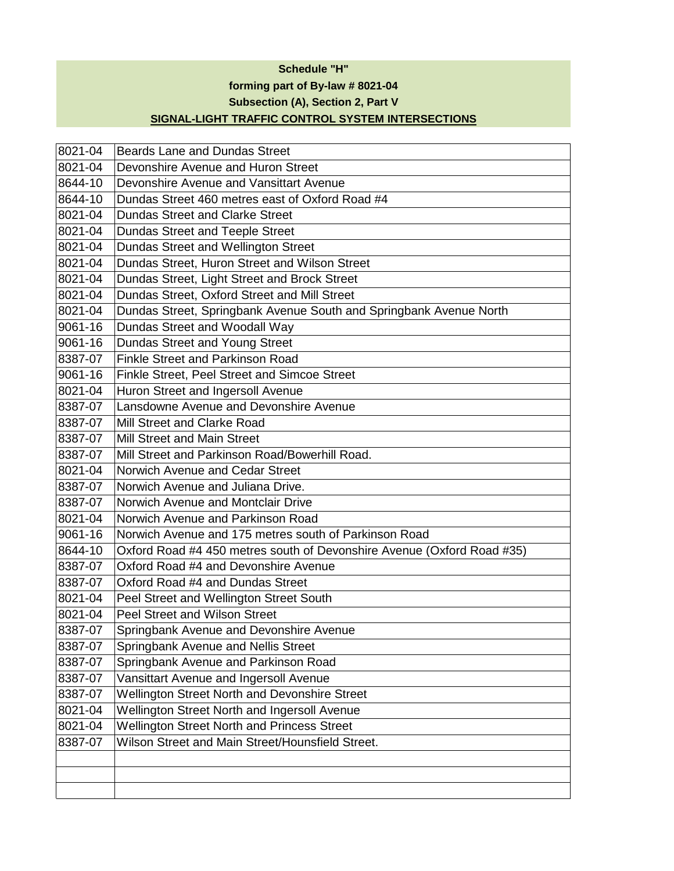#### **Schedule "H"**

**forming part of By-law # 8021-04**

**Subsection (A), Section 2, Part V**

### **SIGNAL-LIGHT TRAFFIC CONTROL SYSTEM INTERSECTIONS**

| 8021-04 | <b>Beards Lane and Dundas Street</b>                                   |  |  |  |
|---------|------------------------------------------------------------------------|--|--|--|
| 8021-04 | Devonshire Avenue and Huron Street                                     |  |  |  |
| 8644-10 | Devonshire Avenue and Vansittart Avenue                                |  |  |  |
| 8644-10 | Dundas Street 460 metres east of Oxford Road #4                        |  |  |  |
| 8021-04 | <b>Dundas Street and Clarke Street</b>                                 |  |  |  |
| 8021-04 | <b>Dundas Street and Teeple Street</b>                                 |  |  |  |
| 8021-04 | Dundas Street and Wellington Street                                    |  |  |  |
| 8021-04 | Dundas Street, Huron Street and Wilson Street                          |  |  |  |
| 8021-04 | Dundas Street, Light Street and Brock Street                           |  |  |  |
| 8021-04 | Dundas Street, Oxford Street and Mill Street                           |  |  |  |
| 8021-04 | Dundas Street, Springbank Avenue South and Springbank Avenue North     |  |  |  |
| 9061-16 | Dundas Street and Woodall Way                                          |  |  |  |
| 9061-16 | Dundas Street and Young Street                                         |  |  |  |
| 8387-07 | <b>Finkle Street and Parkinson Road</b>                                |  |  |  |
| 9061-16 | Finkle Street, Peel Street and Simcoe Street                           |  |  |  |
| 8021-04 | Huron Street and Ingersoll Avenue                                      |  |  |  |
| 8387-07 | Lansdowne Avenue and Devonshire Avenue                                 |  |  |  |
| 8387-07 | Mill Street and Clarke Road                                            |  |  |  |
| 8387-07 | Mill Street and Main Street                                            |  |  |  |
| 8387-07 | Mill Street and Parkinson Road/Bowerhill Road.                         |  |  |  |
| 8021-04 | Norwich Avenue and Cedar Street                                        |  |  |  |
| 8387-07 | Norwich Avenue and Juliana Drive.                                      |  |  |  |
| 8387-07 | Norwich Avenue and Montclair Drive                                     |  |  |  |
| 8021-04 | Norwich Avenue and Parkinson Road                                      |  |  |  |
| 9061-16 | Norwich Avenue and 175 metres south of Parkinson Road                  |  |  |  |
| 8644-10 | Oxford Road #4 450 metres south of Devonshire Avenue (Oxford Road #35) |  |  |  |
| 8387-07 | Oxford Road #4 and Devonshire Avenue                                   |  |  |  |
| 8387-07 | Oxford Road #4 and Dundas Street                                       |  |  |  |
| 8021-04 | Peel Street and Wellington Street South                                |  |  |  |
| 8021-04 | <b>Peel Street and Wilson Street</b>                                   |  |  |  |
| 8387-07 | Springbank Avenue and Devonshire Avenue                                |  |  |  |
| 8387-07 | Springbank Avenue and Nellis Street                                    |  |  |  |
| 8387-07 | Springbank Avenue and Parkinson Road                                   |  |  |  |
| 8387-07 | Vansittart Avenue and Ingersoll Avenue                                 |  |  |  |
| 8387-07 | <b>Wellington Street North and Devonshire Street</b>                   |  |  |  |
| 8021-04 | Wellington Street North and Ingersoll Avenue                           |  |  |  |
| 8021-04 | <b>Wellington Street North and Princess Street</b>                     |  |  |  |
| 8387-07 | Wilson Street and Main Street/Hounsfield Street.                       |  |  |  |
|         |                                                                        |  |  |  |
|         |                                                                        |  |  |  |
|         |                                                                        |  |  |  |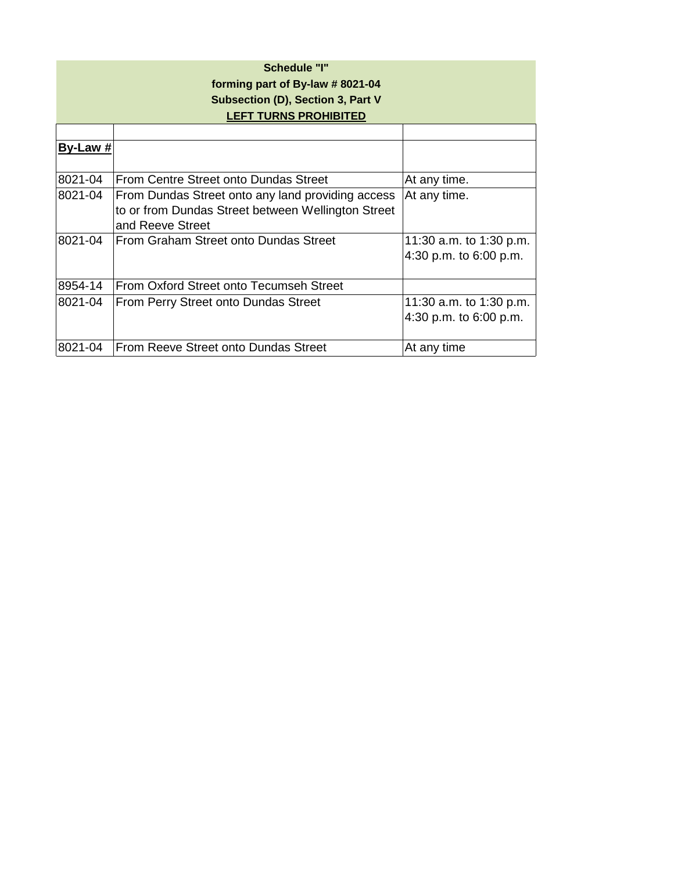| Schedule "I"<br>forming part of By-law # 8021-04<br>Subsection (D), Section 3, Part V<br><b>LEFT TURNS PROHIBITED</b> |                                                                                                                             |                                                     |
|-----------------------------------------------------------------------------------------------------------------------|-----------------------------------------------------------------------------------------------------------------------------|-----------------------------------------------------|
|                                                                                                                       |                                                                                                                             |                                                     |
| By-Law #                                                                                                              |                                                                                                                             |                                                     |
| 8021-04                                                                                                               | From Centre Street onto Dundas Street                                                                                       | At any time.                                        |
| 8021-04                                                                                                               | From Dundas Street onto any land providing access<br>to or from Dundas Street between Wellington Street<br>and Reeve Street | At any time.                                        |
| 8021-04                                                                                                               | From Graham Street onto Dundas Street                                                                                       | 11:30 a.m. to 1:30 p.m.<br>4:30 p.m. to $6:00$ p.m. |
| 8954-14                                                                                                               | From Oxford Street onto Tecumseh Street                                                                                     |                                                     |
| 8021-04                                                                                                               | From Perry Street onto Dundas Street                                                                                        | 11:30 a.m. to 1:30 p.m.<br>4:30 p.m. to $6:00$ p.m. |
| 8021-04                                                                                                               | From Reeve Street onto Dundas Street                                                                                        | At any time                                         |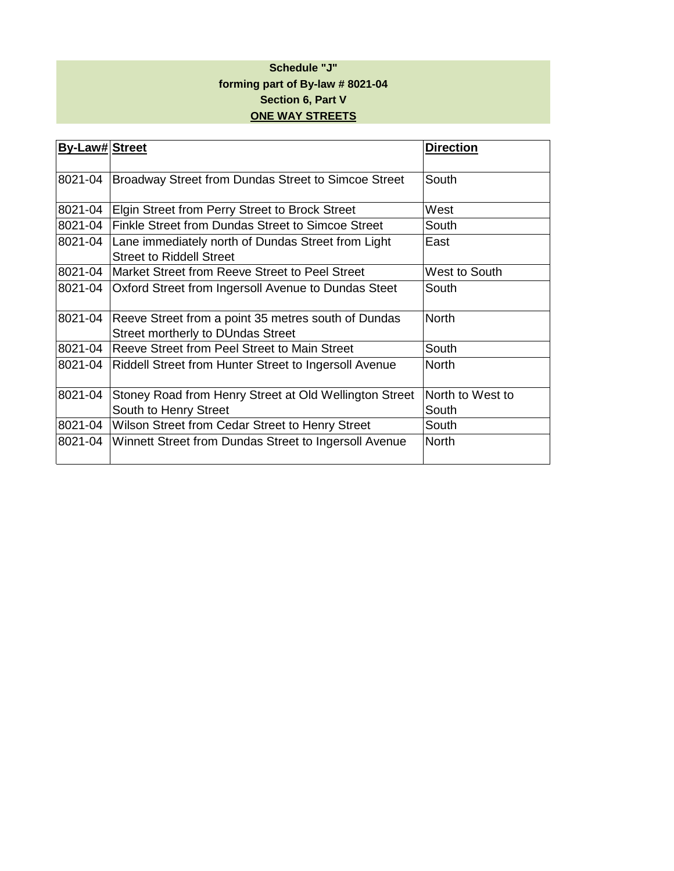#### **Schedule "J" forming part of By-law # 8021-04 Section 6, Part V ONE WAY STREETS**

| <b>By-Law# Street</b> |                                                                                                 | <b>Direction</b>          |
|-----------------------|-------------------------------------------------------------------------------------------------|---------------------------|
| 8021-04               | Broadway Street from Dundas Street to Simcoe Street                                             | South                     |
| 8021-04               | Elgin Street from Perry Street to Brock Street                                                  | West                      |
| 8021-04               | Finkle Street from Dundas Street to Simcoe Street                                               | South                     |
| 8021-04               | Lane immediately north of Dundas Street from Light<br><b>Street to Riddell Street</b>           | East                      |
| 8021-04               | Market Street from Reeve Street to Peel Street                                                  | West to South             |
| 8021-04               | Oxford Street from Ingersoll Avenue to Dundas Steet                                             | South                     |
| 8021-04               | Reeve Street from a point 35 metres south of Dundas<br><b>Street mortherly to DUndas Street</b> | <b>North</b>              |
| 8021-04               | Reeve Street from Peel Street to Main Street                                                    | South                     |
| 8021-04               | Riddell Street from Hunter Street to Ingersoll Avenue                                           | <b>North</b>              |
| 8021-04               | Stoney Road from Henry Street at Old Wellington Street<br>South to Henry Street                 | North to West to<br>South |
| 8021-04               | Wilson Street from Cedar Street to Henry Street                                                 | South                     |
| 8021-04               | Winnett Street from Dundas Street to Ingersoll Avenue                                           | <b>North</b>              |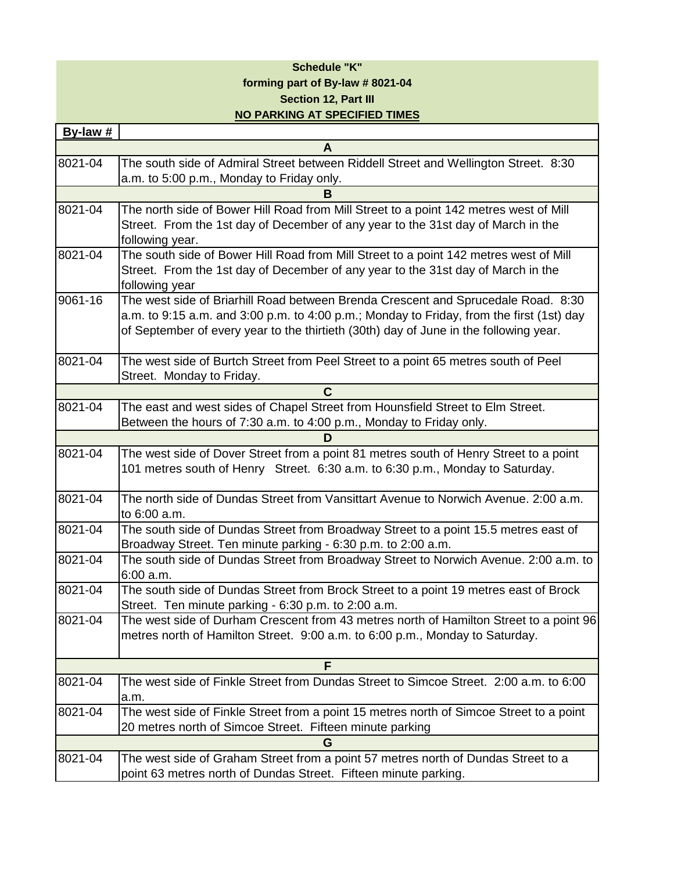#### **Schedule "K" forming part of By-law # 8021-04 Section 12, Part III NO PARKING AT SPECIFIED TIMES**

| By-law #    |                                                                                          |
|-------------|------------------------------------------------------------------------------------------|
|             | A                                                                                        |
| 8021-04     | The south side of Admiral Street between Riddell Street and Wellington Street. 8:30      |
|             | a.m. to 5:00 p.m., Monday to Friday only.                                                |
|             | в                                                                                        |
| 8021-04     | The north side of Bower Hill Road from Mill Street to a point 142 metres west of Mill    |
|             | Street. From the 1st day of December of any year to the 31st day of March in the         |
|             | following year.                                                                          |
| $8021 - 04$ | The south side of Bower Hill Road from Mill Street to a point 142 metres west of Mill    |
|             | Street. From the 1st day of December of any year to the 31st day of March in the         |
|             | following year                                                                           |
| 9061-16     | The west side of Briarhill Road between Brenda Crescent and Sprucedale Road. 8:30        |
|             | a.m. to 9:15 a.m. and 3:00 p.m. to 4:00 p.m.; Monday to Friday, from the first (1st) day |
|             | of September of every year to the thirtieth (30th) day of June in the following year.    |
| 8021-04     | The west side of Burtch Street from Peel Street to a point 65 metres south of Peel       |
|             | Street. Monday to Friday.                                                                |
|             | C                                                                                        |
| 8021-04     | The east and west sides of Chapel Street from Hounsfield Street to Elm Street.           |
|             | Between the hours of 7:30 a.m. to 4:00 p.m., Monday to Friday only.                      |
|             | D                                                                                        |
| 8021-04     | The west side of Dover Street from a point 81 metres south of Henry Street to a point    |
|             | 101 metres south of Henry Street. 6:30 a.m. to 6:30 p.m., Monday to Saturday.            |
| 8021-04     | The north side of Dundas Street from Vansittart Avenue to Norwich Avenue. 2:00 a.m.      |
|             | to 6:00 a.m.                                                                             |
| 8021-04     | The south side of Dundas Street from Broadway Street to a point 15.5 metres east of      |
|             | Broadway Street. Ten minute parking - 6:30 p.m. to 2:00 a.m.                             |
| 8021-04     | The south side of Dundas Street from Broadway Street to Norwich Avenue. 2:00 a.m. to     |
|             | 6:00 a.m.                                                                                |
| 8021-04     | The south side of Dundas Street from Brock Street to a point 19 metres east of Brock     |
|             | Street. Ten minute parking - 6:30 p.m. to 2:00 a.m.                                      |
| 8021-04     | The west side of Durham Crescent from 43 metres north of Hamilton Street to a point 96   |
|             | metres north of Hamilton Street. 9:00 a.m. to 6:00 p.m., Monday to Saturday.             |
|             | F                                                                                        |
| 8021-04     | The west side of Finkle Street from Dundas Street to Simcoe Street. 2:00 a.m. to 6:00    |
|             | a.m.                                                                                     |
| 8021-04     | The west side of Finkle Street from a point 15 metres north of Simcoe Street to a point  |
|             | 20 metres north of Simcoe Street. Fifteen minute parking                                 |
|             | G                                                                                        |
| 8021-04     | The west side of Graham Street from a point 57 metres north of Dundas Street to a        |
|             | point 63 metres north of Dundas Street. Fifteen minute parking.                          |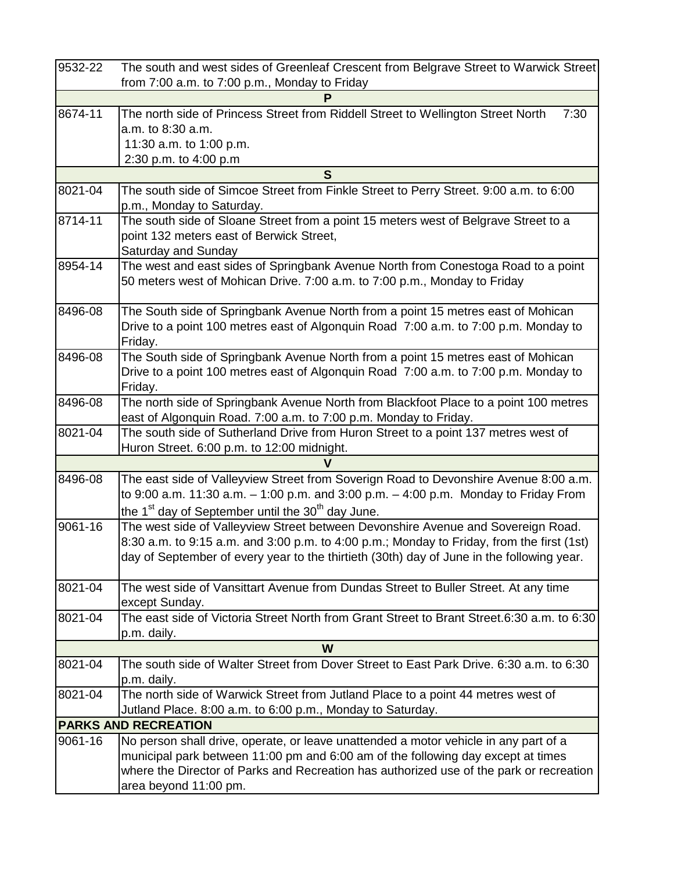| 9532-22 | The south and west sides of Greenleaf Crescent from Belgrave Street to Warwick Street                        |
|---------|--------------------------------------------------------------------------------------------------------------|
|         | from 7:00 a.m. to 7:00 p.m., Monday to Friday                                                                |
|         | P                                                                                                            |
| 8674-11 | The north side of Princess Street from Riddell Street to Wellington Street North<br>7:30                     |
|         | a.m. to 8:30 a.m.                                                                                            |
|         | 11:30 a.m. to 1:00 p.m.                                                                                      |
|         | 2:30 p.m. to 4:00 p.m                                                                                        |
|         | S                                                                                                            |
| 8021-04 | The south side of Simcoe Street from Finkle Street to Perry Street. 9:00 a.m. to 6:00                        |
|         | p.m., Monday to Saturday.                                                                                    |
| 8714-11 | The south side of Sloane Street from a point 15 meters west of Belgrave Street to a                          |
|         | point 132 meters east of Berwick Street,                                                                     |
|         | Saturday and Sunday                                                                                          |
| 8954-14 | The west and east sides of Springbank Avenue North from Conestoga Road to a point                            |
|         | 50 meters west of Mohican Drive. 7:00 a.m. to 7:00 p.m., Monday to Friday                                    |
|         |                                                                                                              |
| 8496-08 | The South side of Springbank Avenue North from a point 15 metres east of Mohican                             |
|         | Drive to a point 100 metres east of Algonquin Road 7:00 a.m. to 7:00 p.m. Monday to<br>Friday.               |
| 8496-08 | The South side of Springbank Avenue North from a point 15 metres east of Mohican                             |
|         | Drive to a point 100 metres east of Algonquin Road 7:00 a.m. to 7:00 p.m. Monday to                          |
|         | Friday.                                                                                                      |
| 8496-08 | The north side of Springbank Avenue North from Blackfoot Place to a point 100 metres                         |
|         | east of Algonquin Road. 7:00 a.m. to 7:00 p.m. Monday to Friday.                                             |
| 8021-04 | The south side of Sutherland Drive from Huron Street to a point 137 metres west of                           |
|         | Huron Street. 6:00 p.m. to 12:00 midnight.                                                                   |
|         |                                                                                                              |
| 8496-08 | The east side of Valleyview Street from Soverign Road to Devonshire Avenue 8:00 a.m.                         |
|         | to 9:00 a.m. 11:30 a.m. $-$ 1:00 p.m. and 3:00 p.m. $-$ 4:00 p.m. Monday to Friday From                      |
|         | the 1 <sup>st</sup> day of September until the 30 <sup>th</sup> day June.                                    |
| 9061-16 | The west side of Valleyview Street between Devonshire Avenue and Sovereign Road.                             |
|         | 8:30 a.m. to 9:15 a.m. and 3:00 p.m. to 4:00 p.m.; Monday to Friday, from the first (1st)                    |
|         | day of September of every year to the thirtieth (30th) day of June in the following year.                    |
|         |                                                                                                              |
| 8021-04 | The west side of Vansittart Avenue from Dundas Street to Buller Street. At any time                          |
|         | except Sunday.<br>The east side of Victoria Street North from Grant Street to Brant Street.6:30 a.m. to 6:30 |
| 8021-04 |                                                                                                              |
|         | p.m. daily.<br>W                                                                                             |
| 8021-04 | The south side of Walter Street from Dover Street to East Park Drive. 6:30 a.m. to 6:30                      |
|         | p.m. daily.                                                                                                  |
| 8021-04 | The north side of Warwick Street from Jutland Place to a point 44 metres west of                             |
|         | Jutland Place. 8:00 a.m. to 6:00 p.m., Monday to Saturday.                                                   |
|         | <b>PARKS AND RECREATION</b>                                                                                  |
| 9061-16 | No person shall drive, operate, or leave unattended a motor vehicle in any part of a                         |
|         | municipal park between 11:00 pm and 6:00 am of the following day except at times                             |
|         | where the Director of Parks and Recreation has authorized use of the park or recreation                      |
|         | area beyond 11:00 pm.                                                                                        |
|         |                                                                                                              |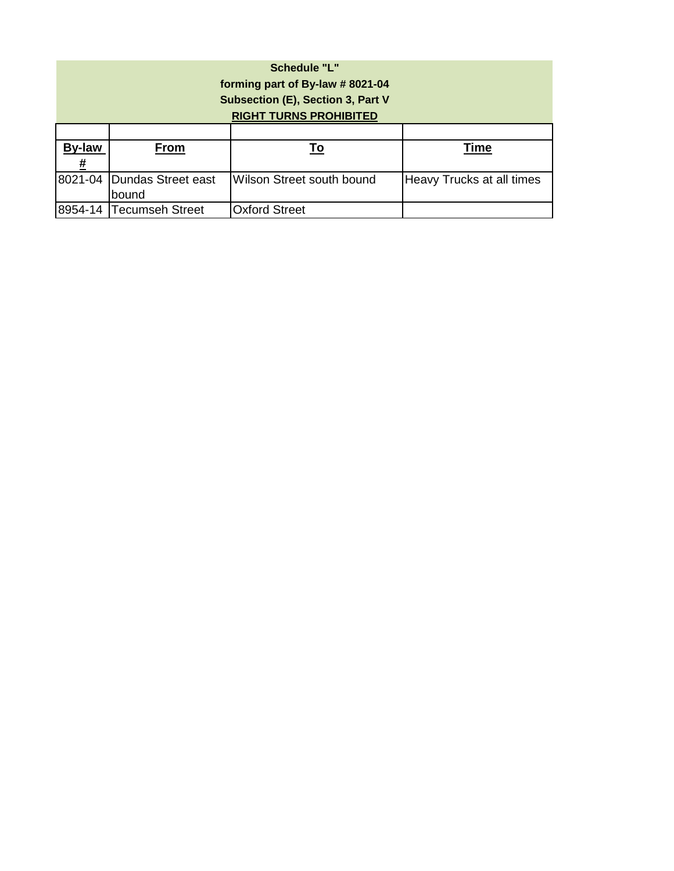| <b>Schedule "L"</b><br>forming part of By-law #8021-04<br>Subsection (E), Section 3, Part V<br><b>RIGHT TURNS PROHIBITED</b> |                            |                           |                           |
|------------------------------------------------------------------------------------------------------------------------------|----------------------------|---------------------------|---------------------------|
|                                                                                                                              |                            |                           |                           |
| <b>By-law</b>                                                                                                                | From                       | To                        | Time                      |
| #                                                                                                                            |                            |                           |                           |
|                                                                                                                              | 8021-04 Dundas Street east | Wilson Street south bound | Heavy Trucks at all times |
|                                                                                                                              | bound                      |                           |                           |
|                                                                                                                              | 8954-14 Tecumseh Street    | <b>Oxford Street</b>      |                           |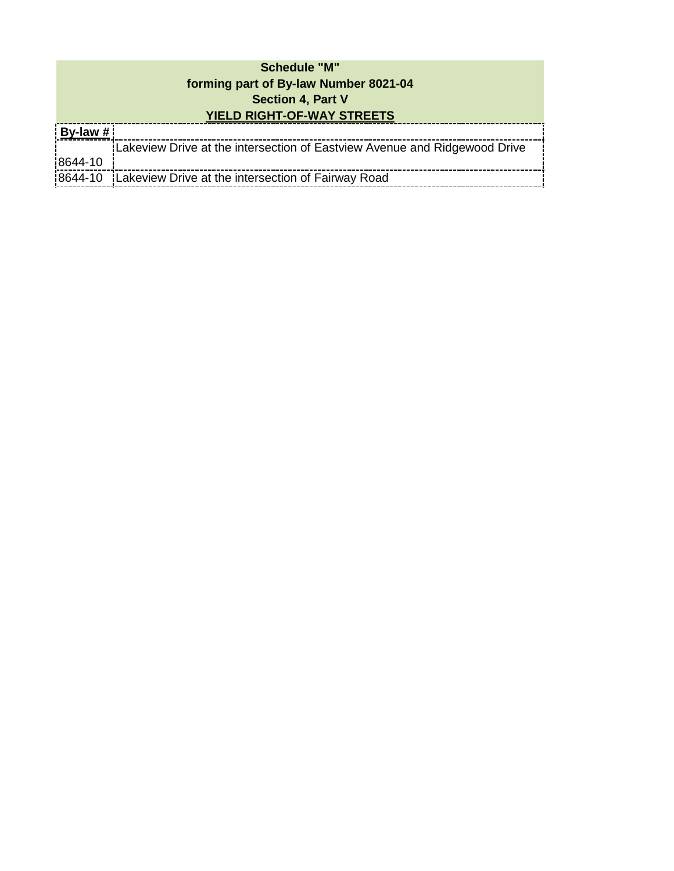## **Schedule "M" forming part of By-law Number 8021-04 Section 4, Part V YIELD RIGHT-OF-WAY STREETS**

| <u>  By-law #</u> |                                                                           |
|-------------------|---------------------------------------------------------------------------|
|                   | Lakeview Drive at the intersection of Eastylew Avenue and Ridgewood Drive |
| 8644-10           |                                                                           |
|                   | 18644-10 Lakeview Drive at the intersection of Fairway Road               |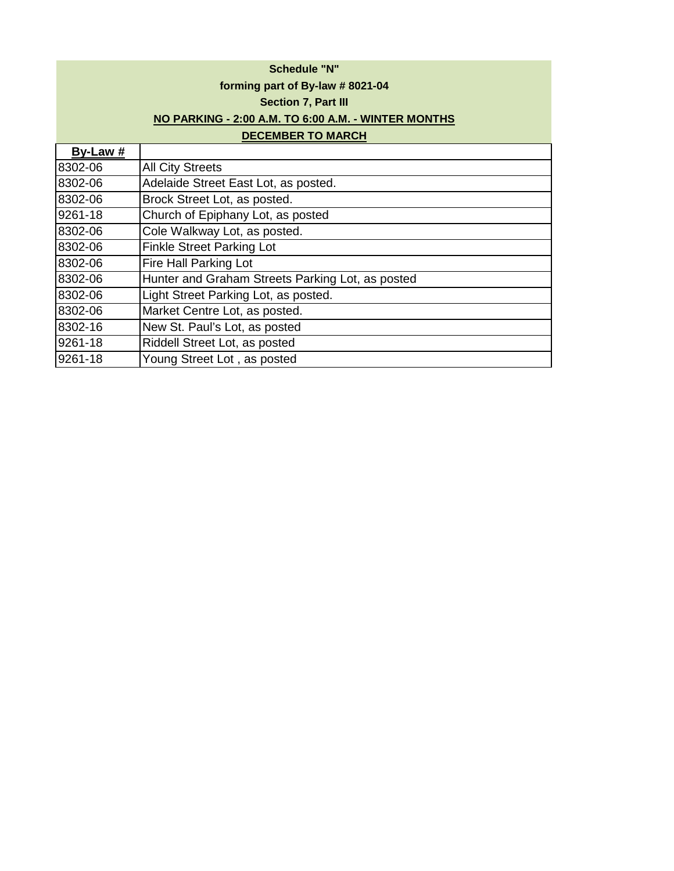|          | <b>Schedule "N"</b>                                 |
|----------|-----------------------------------------------------|
|          | forming part of By-law #8021-04                     |
|          | Section 7, Part III                                 |
|          | NO PARKING - 2:00 A.M. TO 6:00 A.M. - WINTER MONTHS |
|          | <b>DECEMBER TO MARCH</b>                            |
| By-Law # |                                                     |
| 8302-06  | <b>All City Streets</b>                             |
| 8302-06  | Adelaide Street East Lot, as posted.                |
| 8302-06  | Brock Street Lot, as posted.                        |
| 9261-18  | Church of Epiphany Lot, as posted                   |
| 8302-06  | Cole Walkway Lot, as posted.                        |
| 8302-06  | <b>Finkle Street Parking Lot</b>                    |
| 8302-06  | Fire Hall Parking Lot                               |
| 8302-06  | Hunter and Graham Streets Parking Lot, as posted    |
| 8302-06  | Light Street Parking Lot, as posted.                |

8302-06 Market Centre Lot, as posted.

8302-16 New St. Paul's Lot, as posted<br>9261-18 Riddell Street Lot, as posted

9261-18 Young Street Lot , as posted

Riddell Street Lot, as posted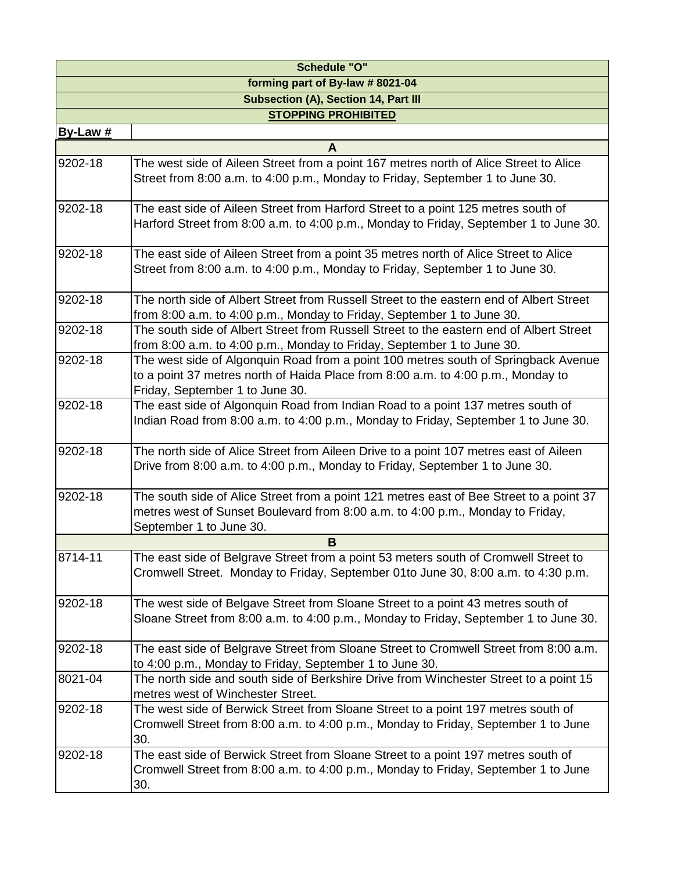| <b>Schedule "O"</b>              |                                                                                                                                                                                                           |  |
|----------------------------------|-----------------------------------------------------------------------------------------------------------------------------------------------------------------------------------------------------------|--|
| forming part of By-law # 8021-04 |                                                                                                                                                                                                           |  |
|                                  | <b>Subsection (A), Section 14, Part III</b>                                                                                                                                                               |  |
|                                  | <b>STOPPING PROHIBITED</b>                                                                                                                                                                                |  |
| By-Law $#$                       |                                                                                                                                                                                                           |  |
|                                  | A                                                                                                                                                                                                         |  |
| 9202-18                          | The west side of Aileen Street from a point 167 metres north of Alice Street to Alice<br>Street from 8:00 a.m. to 4:00 p.m., Monday to Friday, September 1 to June 30.                                    |  |
| 9202-18                          | The east side of Aileen Street from Harford Street to a point 125 metres south of<br>Harford Street from 8:00 a.m. to 4:00 p.m., Monday to Friday, September 1 to June 30.                                |  |
| 9202-18                          | The east side of Aileen Street from a point 35 metres north of Alice Street to Alice<br>Street from 8:00 a.m. to 4:00 p.m., Monday to Friday, September 1 to June 30.                                     |  |
| 9202-18                          | The north side of Albert Street from Russell Street to the eastern end of Albert Street<br>from 8:00 a.m. to 4:00 p.m., Monday to Friday, September 1 to June 30.                                         |  |
| 9202-18                          | The south side of Albert Street from Russell Street to the eastern end of Albert Street<br>from 8:00 a.m. to 4:00 p.m., Monday to Friday, September 1 to June 30.                                         |  |
| 9202-18                          | The west side of Algonquin Road from a point 100 metres south of Springback Avenue<br>to a point 37 metres north of Haida Place from 8:00 a.m. to 4:00 p.m., Monday to<br>Friday, September 1 to June 30. |  |
| 9202-18                          | The east side of Algonquin Road from Indian Road to a point 137 metres south of<br>Indian Road from 8:00 a.m. to 4:00 p.m., Monday to Friday, September 1 to June 30.                                     |  |
| 9202-18                          | The north side of Alice Street from Aileen Drive to a point 107 metres east of Aileen<br>Drive from 8:00 a.m. to 4:00 p.m., Monday to Friday, September 1 to June 30.                                     |  |
| 9202-18                          | The south side of Alice Street from a point 121 metres east of Bee Street to a point 37<br>metres west of Sunset Boulevard from 8:00 a.m. to 4:00 p.m., Monday to Friday,<br>September 1 to June 30.      |  |
|                                  | B                                                                                                                                                                                                         |  |
| 8714-11                          | The east side of Belgrave Street from a point 53 meters south of Cromwell Street to<br>Cromwell Street. Monday to Friday, September 01to June 30, 8:00 a.m. to 4:30 p.m.                                  |  |
| 9202-18                          | The west side of Belgave Street from Sloane Street to a point 43 metres south of<br>Sloane Street from 8:00 a.m. to 4:00 p.m., Monday to Friday, September 1 to June 30.                                  |  |
| 9202-18                          | The east side of Belgrave Street from Sloane Street to Cromwell Street from 8:00 a.m.<br>to 4:00 p.m., Monday to Friday, September 1 to June 30.                                                          |  |
| 8021-04                          | The north side and south side of Berkshire Drive from Winchester Street to a point 15<br>metres west of Winchester Street.                                                                                |  |
| 9202-18                          | The west side of Berwick Street from Sloane Street to a point 197 metres south of<br>Cromwell Street from 8:00 a.m. to 4:00 p.m., Monday to Friday, September 1 to June<br>30.                            |  |
| 9202-18                          | The east side of Berwick Street from Sloane Street to a point 197 metres south of<br>Cromwell Street from 8:00 a.m. to 4:00 p.m., Monday to Friday, September 1 to June<br>30.                            |  |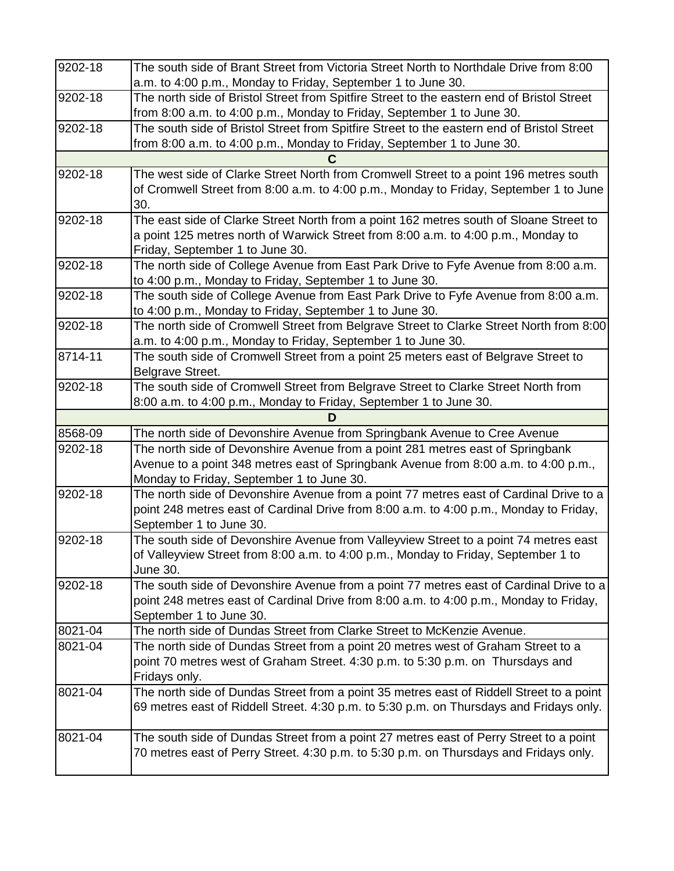| 9202-18 | The south side of Brant Street from Victoria Street North to Northdale Drive from 8:00                                                                                          |
|---------|---------------------------------------------------------------------------------------------------------------------------------------------------------------------------------|
|         | a.m. to 4:00 p.m., Monday to Friday, September 1 to June 30.                                                                                                                    |
| 9202-18 | The north side of Bristol Street from Spitfire Street to the eastern end of Bristol Street                                                                                      |
|         | from 8:00 a.m. to 4:00 p.m., Monday to Friday, September 1 to June 30.                                                                                                          |
| 9202-18 | The south side of Bristol Street from Spitfire Street to the eastern end of Bristol Street                                                                                      |
|         | from 8:00 a.m. to 4:00 p.m., Monday to Friday, September 1 to June 30.                                                                                                          |
|         |                                                                                                                                                                                 |
| 9202-18 | The west side of Clarke Street North from Cromwell Street to a point 196 metres south                                                                                           |
|         | of Cromwell Street from 8:00 a.m. to 4:00 p.m., Monday to Friday, September 1 to June                                                                                           |
|         | 30.                                                                                                                                                                             |
| 9202-18 | The east side of Clarke Street North from a point 162 metres south of Sloane Street to                                                                                          |
|         | a point 125 metres north of Warwick Street from 8:00 a.m. to 4:00 p.m., Monday to                                                                                               |
|         | Friday, September 1 to June 30.                                                                                                                                                 |
| 9202-18 | The north side of College Avenue from East Park Drive to Fyfe Avenue from 8:00 a.m.                                                                                             |
|         | to 4:00 p.m., Monday to Friday, September 1 to June 30.                                                                                                                         |
| 9202-18 | The south side of College Avenue from East Park Drive to Fyfe Avenue from 8:00 a.m.                                                                                             |
|         | to 4:00 p.m., Monday to Friday, September 1 to June 30.                                                                                                                         |
| 9202-18 | The north side of Cromwell Street from Belgrave Street to Clarke Street North from 8:00                                                                                         |
|         | a.m. to 4:00 p.m., Monday to Friday, September 1 to June 30.                                                                                                                    |
| 8714-11 | The south side of Cromwell Street from a point 25 meters east of Belgrave Street to                                                                                             |
|         | Belgrave Street.                                                                                                                                                                |
| 9202-18 | The south side of Cromwell Street from Belgrave Street to Clarke Street North from                                                                                              |
|         | 8:00 a.m. to 4:00 p.m., Monday to Friday, September 1 to June 30.                                                                                                               |
|         | D                                                                                                                                                                               |
| 8568-09 | The north side of Devonshire Avenue from Springbank Avenue to Cree Avenue                                                                                                       |
| 9202-18 | The north side of Devonshire Avenue from a point 281 metres east of Springbank                                                                                                  |
|         | Avenue to a point 348 metres east of Springbank Avenue from 8:00 a.m. to 4:00 p.m.,                                                                                             |
|         | Monday to Friday, September 1 to June 30.                                                                                                                                       |
| 9202-18 | The north side of Devonshire Avenue from a point 77 metres east of Cardinal Drive to a                                                                                          |
|         | point 248 metres east of Cardinal Drive from 8:00 a.m. to 4:00 p.m., Monday to Friday,                                                                                          |
|         | September 1 to June 30.                                                                                                                                                         |
| 9202-18 | The south side of Devonshire Avenue from Valleyview Street to a point 74 metres east<br>of Valleyview Street from 8:00 a.m. to 4:00 p.m., Monday to Friday, September 1 to      |
|         | June 30.                                                                                                                                                                        |
| 9202-18 | The south side of Devonshire Avenue from a point 77 metres east of Cardinal Drive to a                                                                                          |
|         | point 248 metres east of Cardinal Drive from 8:00 a.m. to 4:00 p.m., Monday to Friday,                                                                                          |
|         | September 1 to June 30.                                                                                                                                                         |
| 8021-04 | The north side of Dundas Street from Clarke Street to McKenzie Avenue.                                                                                                          |
| 8021-04 | The north side of Dundas Street from a point 20 metres west of Graham Street to a                                                                                               |
|         | point 70 metres west of Graham Street. 4:30 p.m. to 5:30 p.m. on Thursdays and                                                                                                  |
|         | Fridays only.                                                                                                                                                                   |
| 8021-04 | The north side of Dundas Street from a point 35 metres east of Riddell Street to a point                                                                                        |
|         | 69 metres east of Riddell Street. 4:30 p.m. to 5:30 p.m. on Thursdays and Fridays only.                                                                                         |
|         |                                                                                                                                                                                 |
|         |                                                                                                                                                                                 |
| 8021-04 |                                                                                                                                                                                 |
|         | The south side of Dundas Street from a point 27 metres east of Perry Street to a point<br>70 metres east of Perry Street. 4:30 p.m. to 5:30 p.m. on Thursdays and Fridays only. |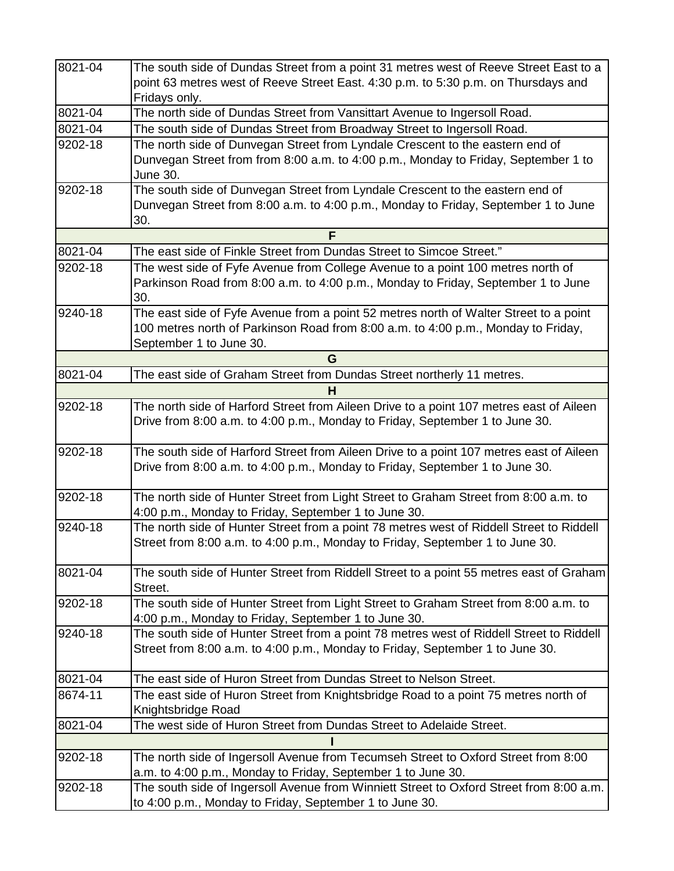| 8021-04     | The south side of Dundas Street from a point 31 metres west of Reeve Street East to a    |
|-------------|------------------------------------------------------------------------------------------|
|             | point 63 metres west of Reeve Street East. 4:30 p.m. to 5:30 p.m. on Thursdays and       |
|             | Fridays only.                                                                            |
| 8021-04     | The north side of Dundas Street from Vansittart Avenue to Ingersoll Road.                |
| 8021-04     | The south side of Dundas Street from Broadway Street to Ingersoll Road.                  |
| 9202-18     | The north side of Dunvegan Street from Lyndale Crescent to the eastern end of            |
|             | Dunvegan Street from from 8:00 a.m. to 4:00 p.m., Monday to Friday, September 1 to       |
|             | June 30.                                                                                 |
| 9202-18     | The south side of Dunvegan Street from Lyndale Crescent to the eastern end of            |
|             | Dunvegan Street from 8:00 a.m. to 4:00 p.m., Monday to Friday, September 1 to June       |
|             | 30.                                                                                      |
|             | F                                                                                        |
| 8021-04     | The east side of Finkle Street from Dundas Street to Simcoe Street."                     |
| 9202-18     | The west side of Fyfe Avenue from College Avenue to a point 100 metres north of          |
|             | Parkinson Road from 8:00 a.m. to 4:00 p.m., Monday to Friday, September 1 to June        |
|             | 30.                                                                                      |
| $9240 - 18$ | The east side of Fyfe Avenue from a point 52 metres north of Walter Street to a point    |
|             | 100 metres north of Parkinson Road from 8:00 a.m. to 4:00 p.m., Monday to Friday,        |
|             | September 1 to June 30.                                                                  |
|             | G                                                                                        |
| 8021-04     | The east side of Graham Street from Dundas Street northerly 11 metres.                   |
|             | н                                                                                        |
| 9202-18     | The north side of Harford Street from Aileen Drive to a point 107 metres east of Aileen  |
|             | Drive from 8:00 a.m. to 4:00 p.m., Monday to Friday, September 1 to June 30.             |
|             |                                                                                          |
| 9202-18     | The south side of Harford Street from Aileen Drive to a point 107 metres east of Aileen  |
|             | Drive from 8:00 a.m. to 4:00 p.m., Monday to Friday, September 1 to June 30.             |
|             |                                                                                          |
| 9202-18     | The north side of Hunter Street from Light Street to Graham Street from 8:00 a.m. to     |
|             | 4:00 p.m., Monday to Friday, September 1 to June 30.                                     |
| 9240-18     | The north side of Hunter Street from a point 78 metres west of Riddell Street to Riddell |
|             | Street from 8:00 a.m. to 4:00 p.m., Monday to Friday, September 1 to June 30.            |
|             |                                                                                          |
| 8021-04     | The south side of Hunter Street from Riddell Street to a point 55 metres east of Graham  |
|             | Street.                                                                                  |
| 9202-18     | The south side of Hunter Street from Light Street to Graham Street from 8:00 a.m. to     |
|             | 4:00 p.m., Monday to Friday, September 1 to June 30.                                     |
| 9240-18     | The south side of Hunter Street from a point 78 metres west of Riddell Street to Riddell |
|             | Street from 8:00 a.m. to 4:00 p.m., Monday to Friday, September 1 to June 30.            |
|             |                                                                                          |
| 8021-04     | The east side of Huron Street from Dundas Street to Nelson Street.                       |
| 8674-11     | The east side of Huron Street from Knightsbridge Road to a point 75 metres north of      |
|             | Knightsbridge Road                                                                       |
| 8021-04     | The west side of Huron Street from Dundas Street to Adelaide Street.                     |
|             |                                                                                          |
| 9202-18     | The north side of Ingersoll Avenue from Tecumseh Street to Oxford Street from 8:00       |
|             | a.m. to 4:00 p.m., Monday to Friday, September 1 to June 30.                             |
| 9202-18     | The south side of Ingersoll Avenue from Winniett Street to Oxford Street from 8:00 a.m.  |
|             | to 4:00 p.m., Monday to Friday, September 1 to June 30.                                  |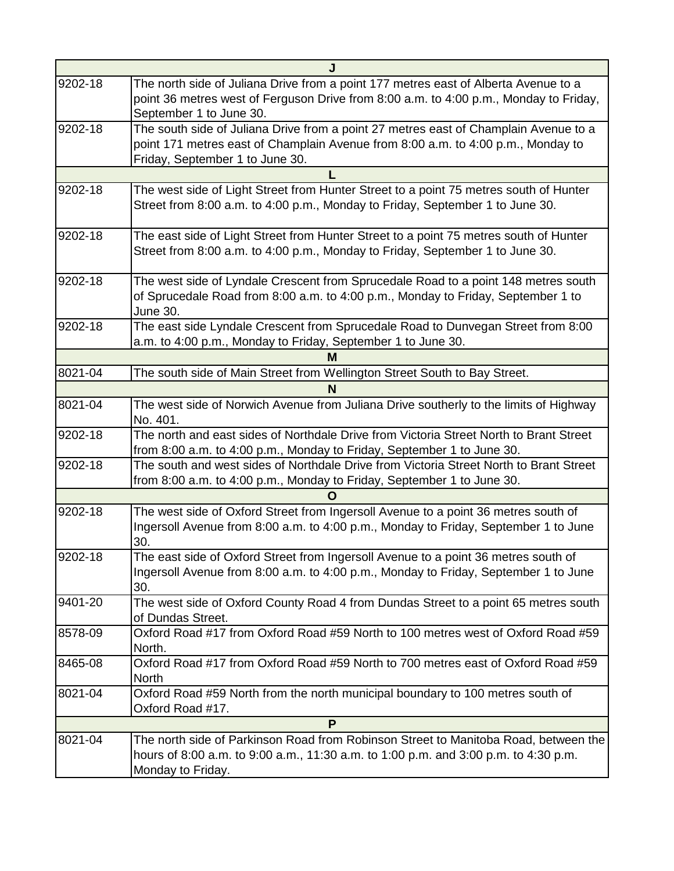|         | J                                                                                                                                                                                                           |
|---------|-------------------------------------------------------------------------------------------------------------------------------------------------------------------------------------------------------------|
| 9202-18 | The north side of Juliana Drive from a point 177 metres east of Alberta Avenue to a<br>point 36 metres west of Ferguson Drive from 8:00 a.m. to 4:00 p.m., Monday to Friday,<br>September 1 to June 30.     |
| 9202-18 | The south side of Juliana Drive from a point 27 metres east of Champlain Avenue to a<br>point 171 metres east of Champlain Avenue from 8:00 a.m. to 4:00 p.m., Monday to<br>Friday, September 1 to June 30. |
|         |                                                                                                                                                                                                             |
| 9202-18 | The west side of Light Street from Hunter Street to a point 75 metres south of Hunter<br>Street from 8:00 a.m. to 4:00 p.m., Monday to Friday, September 1 to June 30.                                      |
| 9202-18 | The east side of Light Street from Hunter Street to a point 75 metres south of Hunter<br>Street from 8:00 a.m. to 4:00 p.m., Monday to Friday, September 1 to June 30.                                      |
| 9202-18 | The west side of Lyndale Crescent from Sprucedale Road to a point 148 metres south<br>of Sprucedale Road from 8:00 a.m. to 4:00 p.m., Monday to Friday, September 1 to<br>June 30.                          |
| 9202-18 | The east side Lyndale Crescent from Sprucedale Road to Dunvegan Street from 8:00<br>a.m. to 4:00 p.m., Monday to Friday, September 1 to June 30.                                                            |
|         | м                                                                                                                                                                                                           |
| 8021-04 | The south side of Main Street from Wellington Street South to Bay Street.                                                                                                                                   |
|         | N                                                                                                                                                                                                           |
| 8021-04 | The west side of Norwich Avenue from Juliana Drive southerly to the limits of Highway<br>No. 401.                                                                                                           |
| 9202-18 | The north and east sides of Northdale Drive from Victoria Street North to Brant Street<br>from 8:00 a.m. to 4:00 p.m., Monday to Friday, September 1 to June 30.                                            |
| 9202-18 | The south and west sides of Northdale Drive from Victoria Street North to Brant Street<br>from 8:00 a.m. to 4:00 p.m., Monday to Friday, September 1 to June 30.                                            |
|         |                                                                                                                                                                                                             |
| 9202-18 | The west side of Oxford Street from Ingersoll Avenue to a point 36 metres south of<br>Ingersoll Avenue from 8:00 a.m. to 4:00 p.m., Monday to Friday, September 1 to June<br>30.                            |
| 9202-18 | The east side of Oxford Street from Ingersoll Avenue to a point 36 metres south of<br>Ingersoll Avenue from 8:00 a.m. to 4:00 p.m., Monday to Friday, September 1 to June<br>30.                            |
| 9401-20 | The west side of Oxford County Road 4 from Dundas Street to a point 65 metres south<br>of Dundas Street.                                                                                                    |
| 8578-09 | Oxford Road #17 from Oxford Road #59 North to 100 metres west of Oxford Road #59<br>North.                                                                                                                  |
| 8465-08 | Oxford Road #17 from Oxford Road #59 North to 700 metres east of Oxford Road #59<br><b>North</b>                                                                                                            |
| 8021-04 | Oxford Road #59 North from the north municipal boundary to 100 metres south of<br>Oxford Road #17.                                                                                                          |
|         | P                                                                                                                                                                                                           |
| 8021-04 | The north side of Parkinson Road from Robinson Street to Manitoba Road, between the<br>hours of 8:00 a.m. to 9:00 a.m., 11:30 a.m. to 1:00 p.m. and 3:00 p.m. to 4:30 p.m.<br>Monday to Friday.             |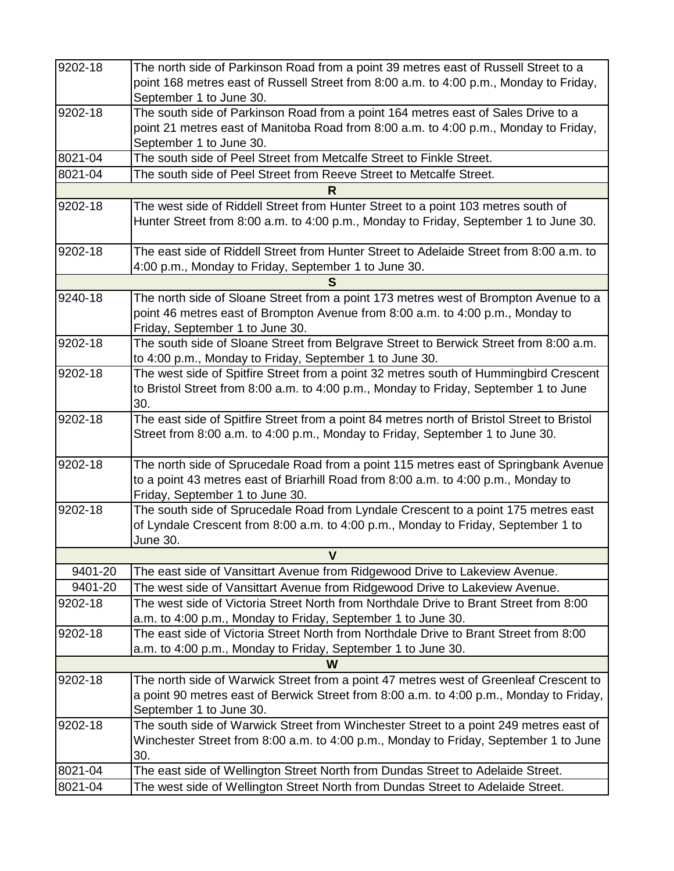| 9202-18 | The north side of Parkinson Road from a point 39 metres east of Russell Street to a                                                                                  |
|---------|----------------------------------------------------------------------------------------------------------------------------------------------------------------------|
|         | point 168 metres east of Russell Street from 8:00 a.m. to 4:00 p.m., Monday to Friday,                                                                               |
|         |                                                                                                                                                                      |
|         | September 1 to June 30.                                                                                                                                              |
| 9202-18 | The south side of Parkinson Road from a point 164 metres east of Sales Drive to a                                                                                    |
|         | point 21 metres east of Manitoba Road from 8:00 a.m. to 4:00 p.m., Monday to Friday,                                                                                 |
|         | September 1 to June 30.                                                                                                                                              |
| 8021-04 | The south side of Peel Street from Metcalfe Street to Finkle Street.                                                                                                 |
| 8021-04 | The south side of Peel Street from Reeve Street to Metcalfe Street.                                                                                                  |
|         | R                                                                                                                                                                    |
| 9202-18 | The west side of Riddell Street from Hunter Street to a point 103 metres south of                                                                                    |
|         | Hunter Street from 8:00 a.m. to 4:00 p.m., Monday to Friday, September 1 to June 30.                                                                                 |
|         |                                                                                                                                                                      |
| 9202-18 | The east side of Riddell Street from Hunter Street to Adelaide Street from 8:00 a.m. to                                                                              |
|         | 4:00 p.m., Monday to Friday, September 1 to June 30.                                                                                                                 |
|         |                                                                                                                                                                      |
| 9240-18 | The north side of Sloane Street from a point 173 metres west of Brompton Avenue to a                                                                                 |
|         | point 46 metres east of Brompton Avenue from 8:00 a.m. to 4:00 p.m., Monday to                                                                                       |
|         | Friday, September 1 to June 30.                                                                                                                                      |
| 9202-18 | The south side of Sloane Street from Belgrave Street to Berwick Street from 8:00 a.m.                                                                                |
|         | to 4:00 p.m., Monday to Friday, September 1 to June 30.                                                                                                              |
| 9202-18 | The west side of Spitfire Street from a point 32 metres south of Hummingbird Crescent                                                                                |
|         |                                                                                                                                                                      |
|         | to Bristol Street from 8:00 a.m. to 4:00 p.m., Monday to Friday, September 1 to June                                                                                 |
|         | 30.                                                                                                                                                                  |
| 9202-18 | The east side of Spitfire Street from a point 84 metres north of Bristol Street to Bristol                                                                           |
|         | Street from 8:00 a.m. to 4:00 p.m., Monday to Friday, September 1 to June 30.                                                                                        |
| 9202-18 | The north side of Sprucedale Road from a point 115 metres east of Springbank Avenue                                                                                  |
|         | to a point 43 metres east of Briarhill Road from 8:00 a.m. to 4:00 p.m., Monday to                                                                                   |
|         | Friday, September 1 to June 30.                                                                                                                                      |
| 9202-18 | The south side of Sprucedale Road from Lyndale Crescent to a point 175 metres east                                                                                   |
|         | of Lyndale Crescent from 8:00 a.m. to 4:00 p.m., Monday to Friday, September 1 to                                                                                    |
|         | June 30.                                                                                                                                                             |
|         | V                                                                                                                                                                    |
| 9401-20 | The east side of Vansittart Avenue from Ridgewood Drive to Lakeview Avenue.                                                                                          |
| 9401-20 |                                                                                                                                                                      |
|         | The west side of Vansittart Avenue from Ridgewood Drive to Lakeview Avenue.<br>The west side of Victoria Street North from Northdale Drive to Brant Street from 8:00 |
| 9202-18 |                                                                                                                                                                      |
|         | a.m. to 4:00 p.m., Monday to Friday, September 1 to June 30.                                                                                                         |
| 9202-18 | The east side of Victoria Street North from Northdale Drive to Brant Street from 8:00                                                                                |
|         | a.m. to 4:00 p.m., Monday to Friday, September 1 to June 30.                                                                                                         |
|         | W                                                                                                                                                                    |
| 9202-18 | The north side of Warwick Street from a point 47 metres west of Greenleaf Crescent to                                                                                |
|         | a point 90 metres east of Berwick Street from 8:00 a.m. to 4:00 p.m., Monday to Friday,                                                                              |
|         | September 1 to June 30.                                                                                                                                              |
| 9202-18 | The south side of Warwick Street from Winchester Street to a point 249 metres east of                                                                                |
|         | Winchester Street from 8:00 a.m. to 4:00 p.m., Monday to Friday, September 1 to June                                                                                 |
|         | 30.                                                                                                                                                                  |
| 8021-04 | The east side of Wellington Street North from Dundas Street to Adelaide Street.                                                                                      |
| 8021-04 | The west side of Wellington Street North from Dundas Street to Adelaide Street.                                                                                      |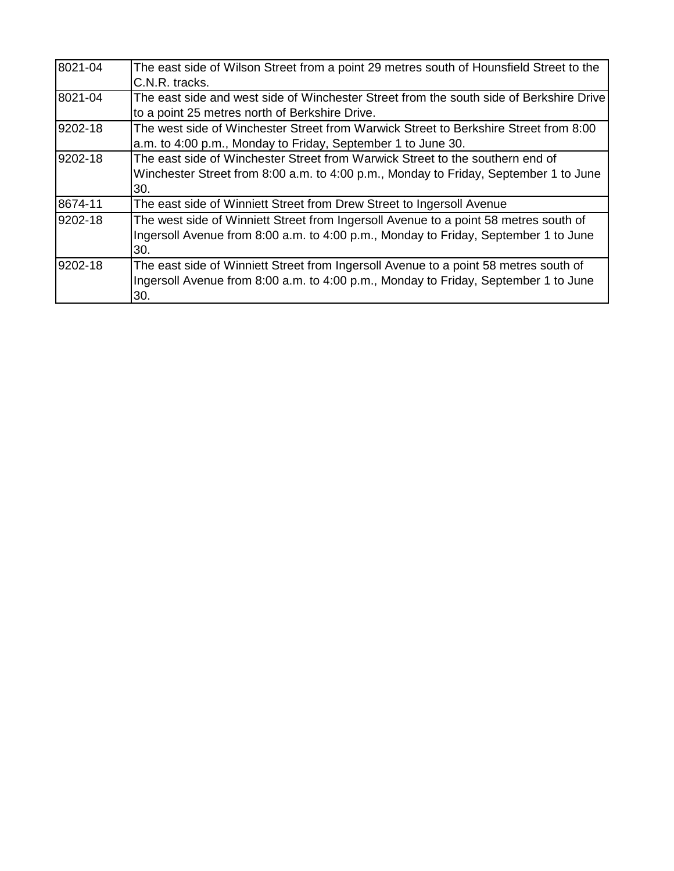| 8021-04 | The east side of Wilson Street from a point 29 metres south of Hounsfield Street to the |
|---------|-----------------------------------------------------------------------------------------|
|         | C.N.R. tracks.                                                                          |
| 8021-04 | The east side and west side of Winchester Street from the south side of Berkshire Drive |
|         | to a point 25 metres north of Berkshire Drive.                                          |
| 9202-18 | The west side of Winchester Street from Warwick Street to Berkshire Street from 8:00    |
|         | a.m. to 4:00 p.m., Monday to Friday, September 1 to June 30.                            |
| 9202-18 | The east side of Winchester Street from Warwick Street to the southern end of           |
|         | Winchester Street from 8:00 a.m. to 4:00 p.m., Monday to Friday, September 1 to June    |
|         | 30.                                                                                     |
| 8674-11 | The east side of Winniett Street from Drew Street to Ingersoll Avenue                   |
| 9202-18 | The west side of Winniett Street from Ingersoll Avenue to a point 58 metres south of    |
|         | Ingersoll Avenue from 8:00 a.m. to 4:00 p.m., Monday to Friday, September 1 to June     |
|         | 30.                                                                                     |
| 9202-18 | The east side of Winniett Street from Ingersoll Avenue to a point 58 metres south of    |
|         | Ingersoll Avenue from 8:00 a.m. to 4:00 p.m., Monday to Friday, September 1 to June     |
|         | 30.                                                                                     |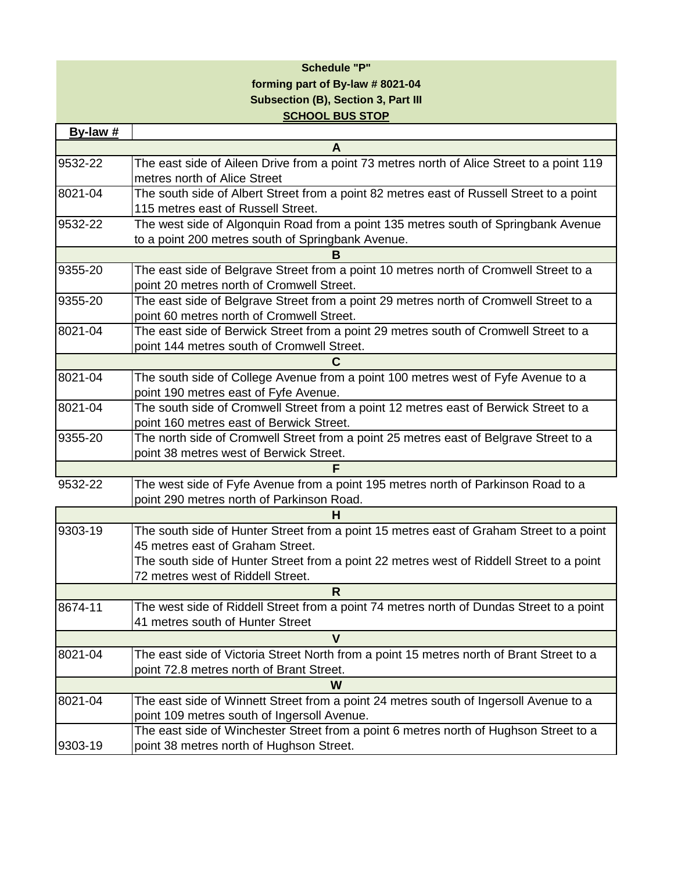## **Schedule "P" forming part of By-law # 8021-04 Subsection (B), Section 3, Part III SCHOOL BUS STOP**

| By-law #    |                                                                                                                                      |  |
|-------------|--------------------------------------------------------------------------------------------------------------------------------------|--|
|             | A                                                                                                                                    |  |
| 9532-22     | The east side of Aileen Drive from a point 73 metres north of Alice Street to a point 119                                            |  |
|             | metres north of Alice Street                                                                                                         |  |
| 8021-04     | The south side of Albert Street from a point 82 metres east of Russell Street to a point                                             |  |
|             | 115 metres east of Russell Street.                                                                                                   |  |
| 9532-22     | The west side of Algonquin Road from a point 135 metres south of Springbank Avenue                                                   |  |
|             | to a point 200 metres south of Springbank Avenue.                                                                                    |  |
|             | в                                                                                                                                    |  |
| 9355-20     | The east side of Belgrave Street from a point 10 metres north of Cromwell Street to a                                                |  |
|             | point 20 metres north of Cromwell Street.                                                                                            |  |
| $9355 - 20$ | The east side of Belgrave Street from a point 29 metres north of Cromwell Street to a                                                |  |
|             | point 60 metres north of Cromwell Street.                                                                                            |  |
| 8021-04     | The east side of Berwick Street from a point 29 metres south of Cromwell Street to a                                                 |  |
|             | point 144 metres south of Cromwell Street.                                                                                           |  |
|             |                                                                                                                                      |  |
| 8021-04     | The south side of College Avenue from a point 100 metres west of Fyfe Avenue to a                                                    |  |
|             | point 190 metres east of Fyfe Avenue.                                                                                                |  |
| 8021-04     | The south side of Cromwell Street from a point 12 metres east of Berwick Street to a                                                 |  |
|             | point 160 metres east of Berwick Street.                                                                                             |  |
| 9355-20     | The north side of Cromwell Street from a point 25 metres east of Belgrave Street to a                                                |  |
|             | point 38 metres west of Berwick Street.                                                                                              |  |
|             | F                                                                                                                                    |  |
| $9532 - 22$ | The west side of Fyfe Avenue from a point 195 metres north of Parkinson Road to a                                                    |  |
|             | point 290 metres north of Parkinson Road.                                                                                            |  |
|             | н                                                                                                                                    |  |
| 9303-19     | The south side of Hunter Street from a point 15 metres east of Graham Street to a point                                              |  |
|             | 45 metres east of Graham Street.                                                                                                     |  |
|             | The south side of Hunter Street from a point 22 metres west of Riddell Street to a point                                             |  |
|             | 72 metres west of Riddell Street.                                                                                                    |  |
|             | R                                                                                                                                    |  |
| 8674-11     | The west side of Riddell Street from a point 74 metres north of Dundas Street to a point                                             |  |
|             | 41 metres south of Hunter Street                                                                                                     |  |
|             | $\mathbf v$                                                                                                                          |  |
| 8021-04     | The east side of Victoria Street North from a point 15 metres north of Brant Street to a                                             |  |
|             | point 72.8 metres north of Brant Street.                                                                                             |  |
|             | W                                                                                                                                    |  |
| 8021-04     | The east side of Winnett Street from a point 24 metres south of Ingersoll Avenue to a                                                |  |
|             | point 109 metres south of Ingersoll Avenue.<br>The east side of Winchester Street from a point 6 metres north of Hughson Street to a |  |
| 9303-19     | point 38 metres north of Hughson Street.                                                                                             |  |
|             |                                                                                                                                      |  |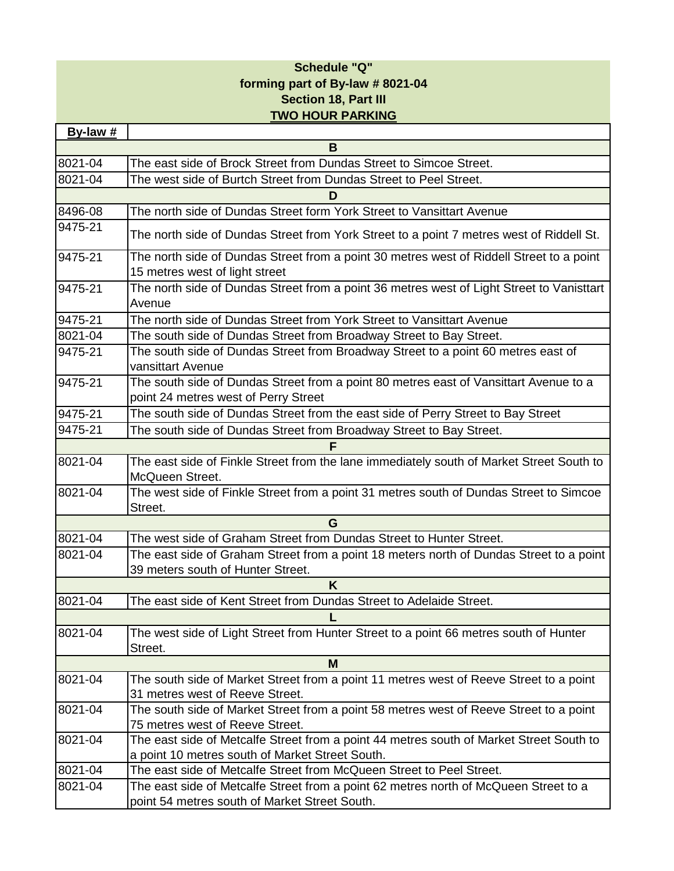# **Schedule "Q" forming part of By-law # 8021-04 Section 18, Part III TWO HOUR PARKING**

| By-law # |                                                                                                                                            |  |  |
|----------|--------------------------------------------------------------------------------------------------------------------------------------------|--|--|
|          | в                                                                                                                                          |  |  |
| 8021-04  | The east side of Brock Street from Dundas Street to Simcoe Street.                                                                         |  |  |
| 8021-04  | The west side of Burtch Street from Dundas Street to Peel Street.                                                                          |  |  |
|          | D                                                                                                                                          |  |  |
| 8496-08  | The north side of Dundas Street form York Street to Vansittart Avenue                                                                      |  |  |
| 9475-21  | The north side of Dundas Street from York Street to a point 7 metres west of Riddell St.                                                   |  |  |
| 9475-21  | The north side of Dundas Street from a point 30 metres west of Riddell Street to a point<br>15 metres west of light street                 |  |  |
| 9475-21  | The north side of Dundas Street from a point 36 metres west of Light Street to Vanisttart<br>Avenue                                        |  |  |
| 9475-21  | The north side of Dundas Street from York Street to Vansittart Avenue                                                                      |  |  |
| 8021-04  | The south side of Dundas Street from Broadway Street to Bay Street.                                                                        |  |  |
| 9475-21  | The south side of Dundas Street from Broadway Street to a point 60 metres east of<br>vansittart Avenue                                     |  |  |
| 9475-21  | The south side of Dundas Street from a point 80 metres east of Vansittart Avenue to a<br>point 24 metres west of Perry Street              |  |  |
| 9475-21  | The south side of Dundas Street from the east side of Perry Street to Bay Street                                                           |  |  |
| 9475-21  | The south side of Dundas Street from Broadway Street to Bay Street.                                                                        |  |  |
|          | F                                                                                                                                          |  |  |
| 8021-04  | The east side of Finkle Street from the lane immediately south of Market Street South to<br>McQueen Street.                                |  |  |
| 8021-04  | The west side of Finkle Street from a point 31 metres south of Dundas Street to Simcoe<br>Street.                                          |  |  |
|          | G                                                                                                                                          |  |  |
| 8021-04  | The west side of Graham Street from Dundas Street to Hunter Street.                                                                        |  |  |
| 8021-04  | The east side of Graham Street from a point 18 meters north of Dundas Street to a point<br>39 meters south of Hunter Street.               |  |  |
|          | K                                                                                                                                          |  |  |
| 8021-04  | The east side of Kent Street from Dundas Street to Adelaide Street.                                                                        |  |  |
|          |                                                                                                                                            |  |  |
| 8021-04  | The west side of Light Street from Hunter Street to a point 66 metres south of Hunter<br>Street.                                           |  |  |
|          | M                                                                                                                                          |  |  |
| 8021-04  | The south side of Market Street from a point 11 metres west of Reeve Street to a point<br>31 metres west of Reeve Street.                  |  |  |
| 8021-04  | The south side of Market Street from a point 58 metres west of Reeve Street to a point<br>75 metres west of Reeve Street.                  |  |  |
| 8021-04  | The east side of Metcalfe Street from a point 44 metres south of Market Street South to<br>a point 10 metres south of Market Street South. |  |  |
| 8021-04  | The east side of Metcalfe Street from McQueen Street to Peel Street.                                                                       |  |  |
| 8021-04  | The east side of Metcalfe Street from a point 62 metres north of McQueen Street to a<br>point 54 metres south of Market Street South.      |  |  |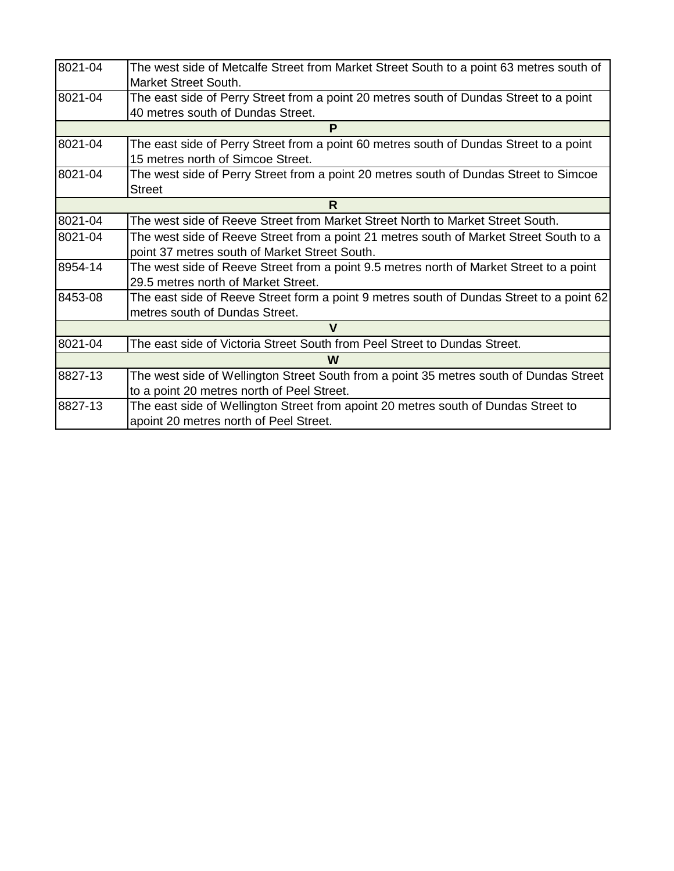| 8021-04 | The west side of Metcalfe Street from Market Street South to a point 63 metres south of<br>Market Street South.                         |  |  |
|---------|-----------------------------------------------------------------------------------------------------------------------------------------|--|--|
| 8021-04 | The east side of Perry Street from a point 20 metres south of Dundas Street to a point<br>40 metres south of Dundas Street.             |  |  |
|         | P                                                                                                                                       |  |  |
| 8021-04 | The east side of Perry Street from a point 60 metres south of Dundas Street to a point<br>15 metres north of Simcoe Street.             |  |  |
| 8021-04 | The west side of Perry Street from a point 20 metres south of Dundas Street to Simcoe<br><b>Street</b>                                  |  |  |
|         | R                                                                                                                                       |  |  |
| 8021-04 | The west side of Reeve Street from Market Street North to Market Street South.                                                          |  |  |
| 8021-04 | The west side of Reeve Street from a point 21 metres south of Market Street South to a<br>point 37 metres south of Market Street South. |  |  |
| 8954-14 | The west side of Reeve Street from a point 9.5 metres north of Market Street to a point<br>29.5 metres north of Market Street.          |  |  |
| 8453-08 | The east side of Reeve Street form a point 9 metres south of Dundas Street to a point 62<br>metres south of Dundas Street.              |  |  |
|         | v                                                                                                                                       |  |  |
| 8021-04 | The east side of Victoria Street South from Peel Street to Dundas Street.                                                               |  |  |
|         | W                                                                                                                                       |  |  |
| 8827-13 | The west side of Wellington Street South from a point 35 metres south of Dundas Street<br>to a point 20 metres north of Peel Street.    |  |  |
| 8827-13 | The east side of Wellington Street from apoint 20 metres south of Dundas Street to<br>apoint 20 metres north of Peel Street.            |  |  |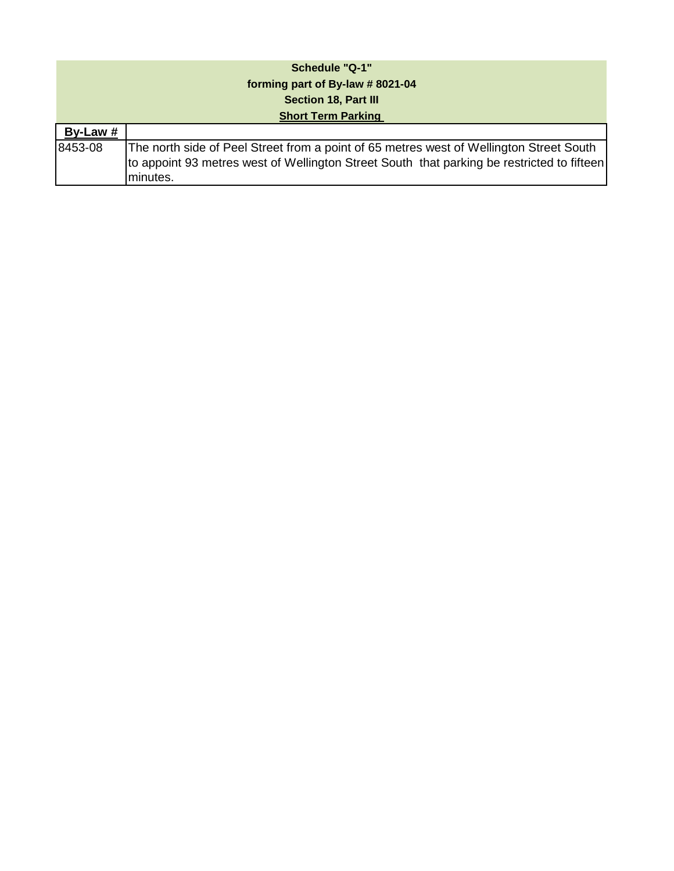| <b>Schedule "Q-1"</b>           |                                                                                                                                                                                                   |  |  |
|---------------------------------|---------------------------------------------------------------------------------------------------------------------------------------------------------------------------------------------------|--|--|
| forming part of By-law #8021-04 |                                                                                                                                                                                                   |  |  |
|                                 | <b>Section 18, Part III</b>                                                                                                                                                                       |  |  |
| <b>Short Term Parking</b>       |                                                                                                                                                                                                   |  |  |
| By-Law #                        |                                                                                                                                                                                                   |  |  |
| 8453-08                         | The north side of Peel Street from a point of 65 metres west of Wellington Street South<br>to appoint 93 metres west of Wellington Street South that parking be restricted to fifteen<br>minutes. |  |  |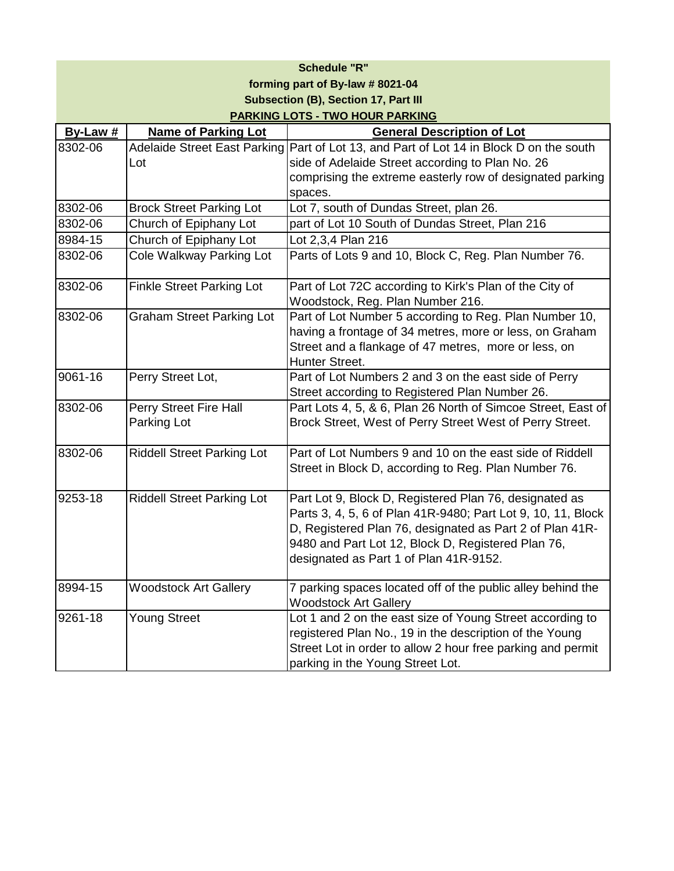| <b>Schedule "R"</b>                         |                                     |                                                              |  |
|---------------------------------------------|-------------------------------------|--------------------------------------------------------------|--|
| forming part of By-law # 8021-04            |                                     |                                                              |  |
| <b>Subsection (B), Section 17, Part III</b> |                                     |                                                              |  |
|                                             |                                     | <b>PARKING LOTS - TWO HOUR PARKING</b>                       |  |
| By-Law #                                    | <b>Name of Parking Lot</b>          | <b>General Description of Lot</b>                            |  |
| 8302-06                                     | <b>Adelaide Street East Parking</b> | Part of Lot 13, and Part of Lot 14 in Block D on the south   |  |
|                                             | Lot                                 | side of Adelaide Street according to Plan No. 26             |  |
|                                             |                                     | comprising the extreme easterly row of designated parking    |  |
|                                             |                                     | spaces.                                                      |  |
| 8302-06                                     | <b>Brock Street Parking Lot</b>     | Lot 7, south of Dundas Street, plan 26.                      |  |
| 8302-06                                     | Church of Epiphany Lot              | part of Lot 10 South of Dundas Street, Plan 216              |  |
| 8984-15                                     | Church of Epiphany Lot              | Lot 2,3,4 Plan 216                                           |  |
| 8302-06                                     | Cole Walkway Parking Lot            | Parts of Lots 9 and 10, Block C, Reg. Plan Number 76.        |  |
| 8302-06                                     | <b>Finkle Street Parking Lot</b>    | Part of Lot 72C according to Kirk's Plan of the City of      |  |
|                                             |                                     | Woodstock, Reg. Plan Number 216.                             |  |
| 8302-06                                     | <b>Graham Street Parking Lot</b>    | Part of Lot Number 5 according to Reg. Plan Number 10,       |  |
|                                             |                                     | having a frontage of 34 metres, more or less, on Graham      |  |
|                                             |                                     | Street and a flankage of 47 metres, more or less, on         |  |
|                                             |                                     | Hunter Street.                                               |  |
| 9061-16                                     | Perry Street Lot,                   | Part of Lot Numbers 2 and 3 on the east side of Perry        |  |
|                                             |                                     | Street according to Registered Plan Number 26.               |  |
| 8302-06                                     | Perry Street Fire Hall              | Part Lots 4, 5, & 6, Plan 26 North of Simcoe Street, East of |  |
|                                             | Parking Lot                         | Brock Street, West of Perry Street West of Perry Street.     |  |
|                                             |                                     |                                                              |  |
| 8302-06                                     | <b>Riddell Street Parking Lot</b>   | Part of Lot Numbers 9 and 10 on the east side of Riddell     |  |
|                                             |                                     | Street in Block D, according to Reg. Plan Number 76.         |  |
| 9253-18                                     | <b>Riddell Street Parking Lot</b>   | Part Lot 9, Block D, Registered Plan 76, designated as       |  |
|                                             |                                     | Parts 3, 4, 5, 6 of Plan 41R-9480; Part Lot 9, 10, 11, Block |  |
|                                             |                                     | D, Registered Plan 76, designated as Part 2 of Plan 41R-     |  |
|                                             |                                     | 9480 and Part Lot 12, Block D, Registered Plan 76,           |  |
|                                             |                                     | designated as Part 1 of Plan 41R-9152.                       |  |
|                                             |                                     |                                                              |  |
| 8994-15                                     | <b>Woodstock Art Gallery</b>        | 7 parking spaces located off of the public alley behind the  |  |
|                                             |                                     | <b>Woodstock Art Gallery</b>                                 |  |
| 9261-18                                     | Young Street                        | Lot 1 and 2 on the east size of Young Street according to    |  |
|                                             |                                     | registered Plan No., 19 in the description of the Young      |  |
|                                             |                                     | Street Lot in order to allow 2 hour free parking and permit  |  |
|                                             |                                     | parking in the Young Street Lot.                             |  |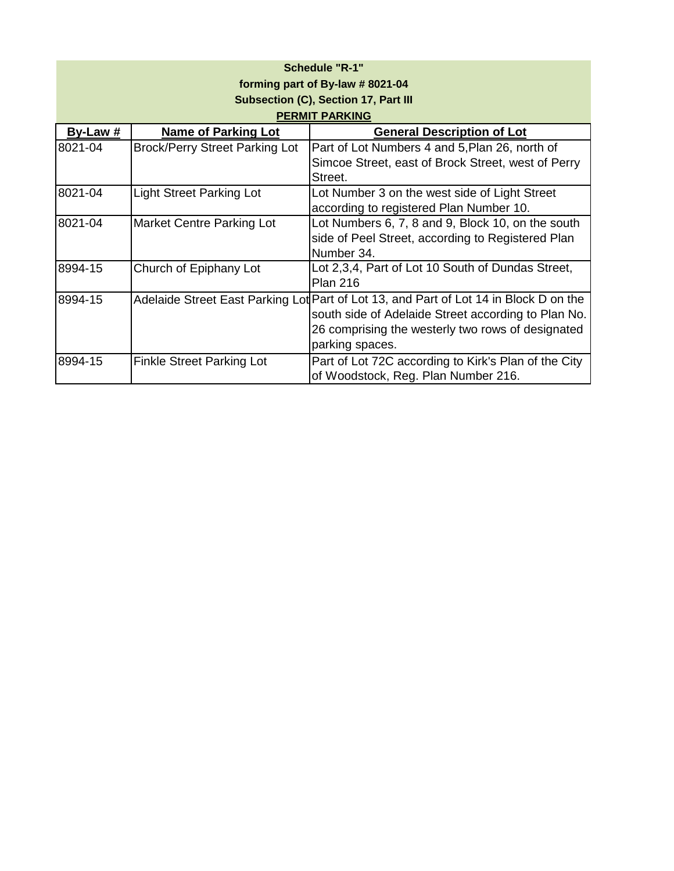| <b>Schedule "R-1"</b>            |                                       |                                                                                       |  |  |
|----------------------------------|---------------------------------------|---------------------------------------------------------------------------------------|--|--|
| forming part of By-law # 8021-04 |                                       |                                                                                       |  |  |
|                                  |                                       | Subsection (C), Section 17, Part III                                                  |  |  |
|                                  |                                       | <b>PERMIT PARKING</b>                                                                 |  |  |
| By-Law $#$                       | <b>Name of Parking Lot</b>            | <b>General Description of Lot</b>                                                     |  |  |
| 8021-04                          | <b>Brock/Perry Street Parking Lot</b> | Part of Lot Numbers 4 and 5, Plan 26, north of                                        |  |  |
|                                  |                                       | Simcoe Street, east of Brock Street, west of Perry                                    |  |  |
|                                  |                                       | Street.                                                                               |  |  |
| 8021-04                          | <b>Light Street Parking Lot</b>       | Lot Number 3 on the west side of Light Street                                         |  |  |
|                                  |                                       | according to registered Plan Number 10.                                               |  |  |
| 8021-04                          | <b>Market Centre Parking Lot</b>      | Lot Numbers 6, 7, 8 and 9, Block 10, on the south                                     |  |  |
|                                  |                                       | side of Peel Street, according to Registered Plan                                     |  |  |
|                                  |                                       | Number 34.                                                                            |  |  |
| 8994-15                          | Church of Epiphany Lot                | Lot 2,3,4, Part of Lot 10 South of Dundas Street,                                     |  |  |
|                                  |                                       | <b>Plan 216</b>                                                                       |  |  |
| 8994-15                          |                                       | Adelaide Street East Parking Lot Part of Lot 13, and Part of Lot 14 in Block D on the |  |  |
|                                  |                                       | south side of Adelaide Street according to Plan No.                                   |  |  |
|                                  |                                       | 26 comprising the westerly two rows of designated                                     |  |  |
|                                  |                                       | parking spaces.                                                                       |  |  |
| 8994-15                          | <b>Finkle Street Parking Lot</b>      | Part of Lot 72C according to Kirk's Plan of the City                                  |  |  |
|                                  |                                       | of Woodstock, Reg. Plan Number 216.                                                   |  |  |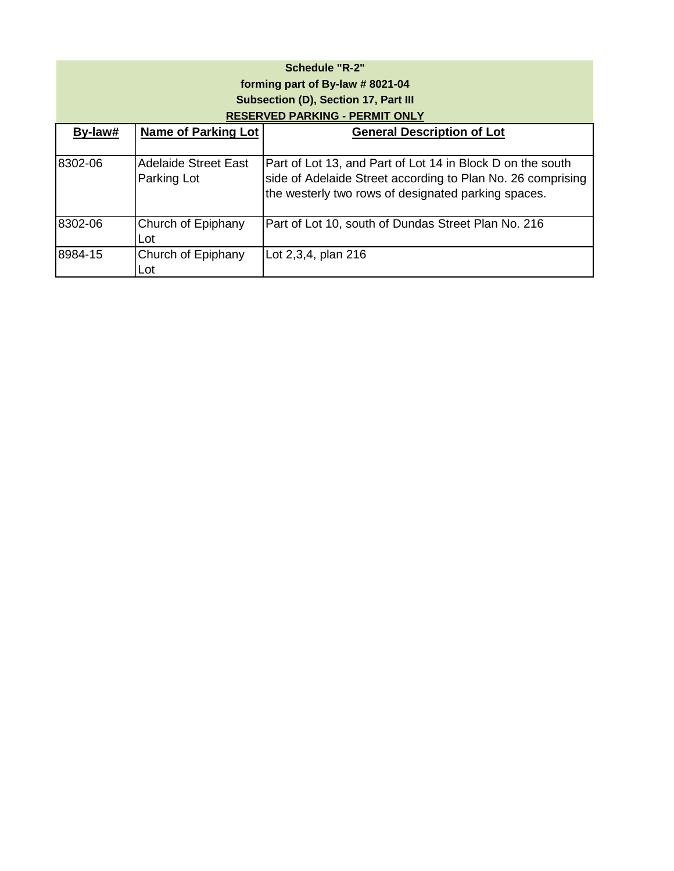| <b>Schedule "R-2"</b><br>forming part of By-law # 8021-04<br>Subsection (D), Section 17, Part III<br><b>RESERVED PARKING - PERMIT ONLY</b> |                                            |                                                                                                                                                                                  |  |
|--------------------------------------------------------------------------------------------------------------------------------------------|--------------------------------------------|----------------------------------------------------------------------------------------------------------------------------------------------------------------------------------|--|
| By-law#                                                                                                                                    | <b>Name of Parking Lot</b>                 | <b>General Description of Lot</b>                                                                                                                                                |  |
| 8302-06                                                                                                                                    | <b>Adelaide Street East</b><br>Parking Lot | Part of Lot 13, and Part of Lot 14 in Block D on the south<br>side of Adelaide Street according to Plan No. 26 comprising<br>the westerly two rows of designated parking spaces. |  |
| 8302-06                                                                                                                                    | Church of Epiphany<br>Lot                  | Part of Lot 10, south of Dundas Street Plan No. 216                                                                                                                              |  |
| 8984-15                                                                                                                                    | Church of Epiphany<br>Lot                  | Lot 2,3,4, plan 216                                                                                                                                                              |  |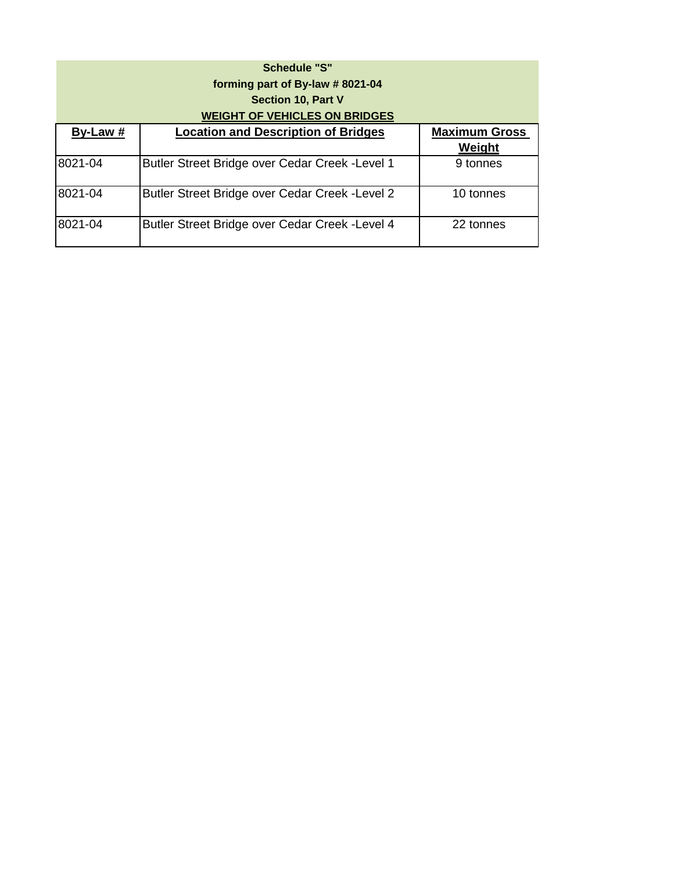|          | <b>Schedule "S"</b>                                          |                      |
|----------|--------------------------------------------------------------|----------------------|
|          | forming part of By-law #8021-04<br><b>Section 10, Part V</b> |                      |
|          | <b>WEIGHT OF VEHICLES ON BRIDGES</b>                         |                      |
| By-Law # | <b>Location and Description of Bridges</b>                   | <b>Maximum Gross</b> |
|          |                                                              | Weight               |
| 8021-04  | Butler Street Bridge over Cedar Creek - Level 1              | 9 tonnes             |
| 8021-04  | Butler Street Bridge over Cedar Creek - Level 2              | 10 tonnes            |
| 8021-04  | Butler Street Bridge over Cedar Creek - Level 4              | 22 tonnes            |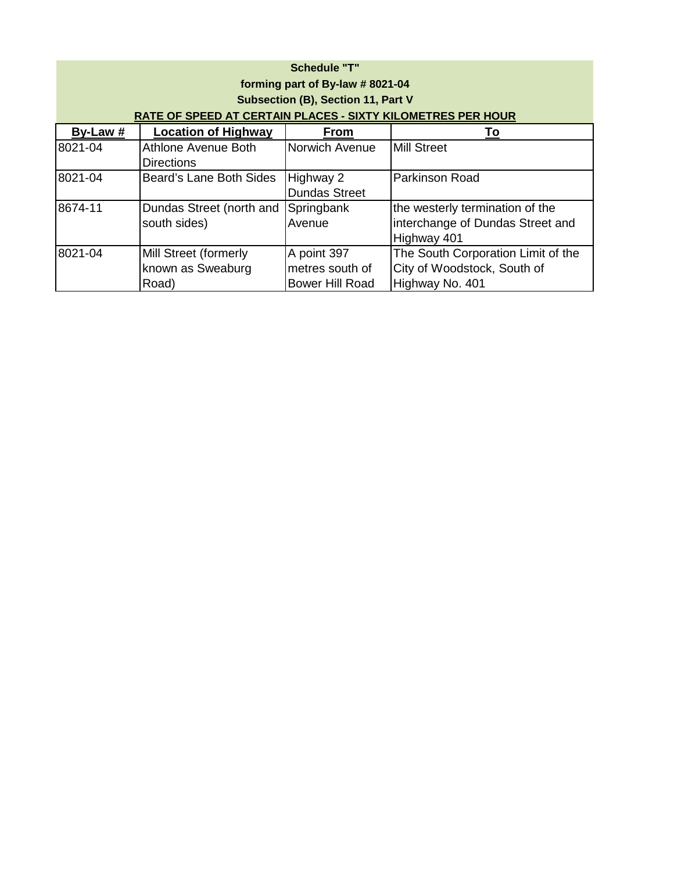| <b>Schedule "T"</b><br>forming part of By-law # 8021-04<br><b>Subsection (B), Section 11, Part V</b><br><b>RATE OF SPEED AT CERTAIN PLACES - SIXTY KILOMETRES PER HOUR</b> |                                                     |                                                          |                                                                                      |
|----------------------------------------------------------------------------------------------------------------------------------------------------------------------------|-----------------------------------------------------|----------------------------------------------------------|--------------------------------------------------------------------------------------|
| By-Law #                                                                                                                                                                   | <b>Location of Highway</b>                          | <b>From</b>                                              | Τo                                                                                   |
| 8021-04                                                                                                                                                                    | Athlone Avenue Both<br><b>Directions</b>            | Norwich Avenue                                           | <b>Mill Street</b>                                                                   |
| 8021-04                                                                                                                                                                    | Beard's Lane Both Sides                             | Highway 2<br><b>Dundas Street</b>                        | <b>Parkinson Road</b>                                                                |
| 8674-11                                                                                                                                                                    | Dundas Street (north and<br>south sides)            | Springbank<br>Avenue                                     | the westerly termination of the<br>interchange of Dundas Street and<br>Highway 401   |
| 8021-04                                                                                                                                                                    | Mill Street (formerly<br>known as Sweaburg<br>Road) | A point 397<br>metres south of<br><b>Bower Hill Road</b> | The South Corporation Limit of the<br>City of Woodstock, South of<br>Highway No. 401 |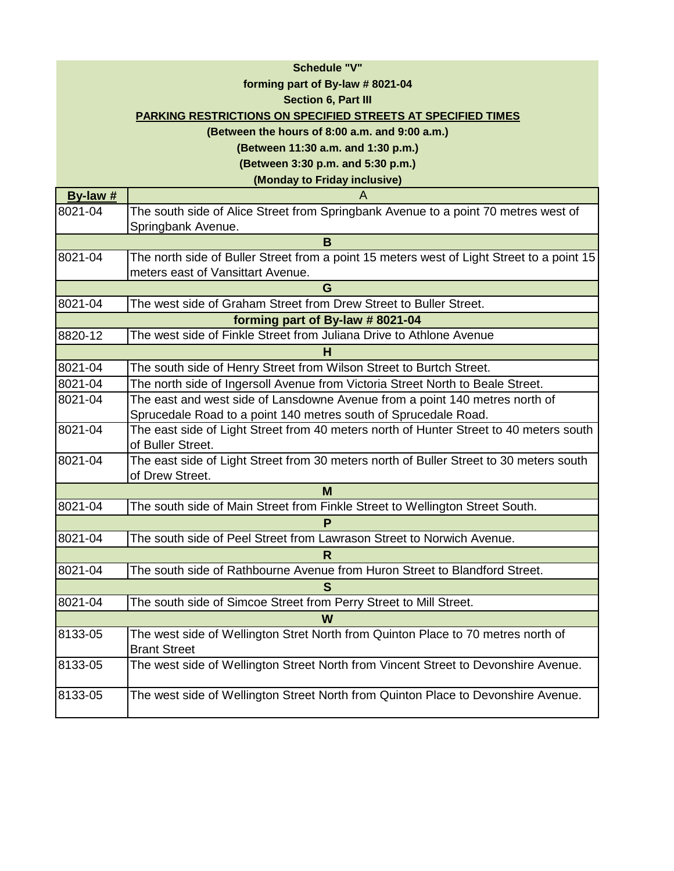## **Schedule "V"**

### **forming part of By-law # 8021-04**

#### **Section 6, Part III**

### **PARKING RESTRICTIONS ON SPECIFIED STREETS AT SPECIFIED TIMES**

#### **(Between the hours of 8:00 a.m. and 9:00 a.m.)**

**(Between 11:30 a.m. and 1:30 p.m.)**

**(Between 3:30 p.m. and 5:30 p.m.)**

**(Monday to Friday inclusive)**

| By-law $#$ | A                                                                                         |
|------------|-------------------------------------------------------------------------------------------|
| 8021-04    | The south side of Alice Street from Springbank Avenue to a point 70 metres west of        |
|            | Springbank Avenue.                                                                        |
|            | B                                                                                         |
| 8021-04    | The north side of Buller Street from a point 15 meters west of Light Street to a point 15 |
|            | meters east of Vansittart Avenue.                                                         |
|            | G                                                                                         |
| 8021-04    | The west side of Graham Street from Drew Street to Buller Street.                         |
|            | forming part of By-law # 8021-04                                                          |
| 8820-12    | The west side of Finkle Street from Juliana Drive to Athlone Avenue                       |
|            | н                                                                                         |
| 8021-04    | The south side of Henry Street from Wilson Street to Burtch Street.                       |
| 8021-04    | The north side of Ingersoll Avenue from Victoria Street North to Beale Street.            |
| 8021-04    | The east and west side of Lansdowne Avenue from a point 140 metres north of               |
|            | Sprucedale Road to a point 140 metres south of Sprucedale Road.                           |
| 8021-04    | The east side of Light Street from 40 meters north of Hunter Street to 40 meters south    |
|            | of Buller Street.                                                                         |
| 8021-04    | The east side of Light Street from 30 meters north of Buller Street to 30 meters south    |
|            | of Drew Street.                                                                           |
|            | M                                                                                         |
| 8021-04    | The south side of Main Street from Finkle Street to Wellington Street South.              |
|            | P                                                                                         |
| 8021-04    | The south side of Peel Street from Lawrason Street to Norwich Avenue.                     |
|            | R                                                                                         |
| 8021-04    | The south side of Rathbourne Avenue from Huron Street to Blandford Street.                |
|            | S                                                                                         |
| 8021-04    | The south side of Simcoe Street from Perry Street to Mill Street.                         |
|            | W                                                                                         |
| 8133-05    | The west side of Wellington Stret North from Quinton Place to 70 metres north of          |
|            | <b>Brant Street</b>                                                                       |
| 8133-05    | The west side of Wellington Street North from Vincent Street to Devonshire Avenue.        |
|            |                                                                                           |
| 8133-05    | The west side of Wellington Street North from Quinton Place to Devonshire Avenue.         |
|            |                                                                                           |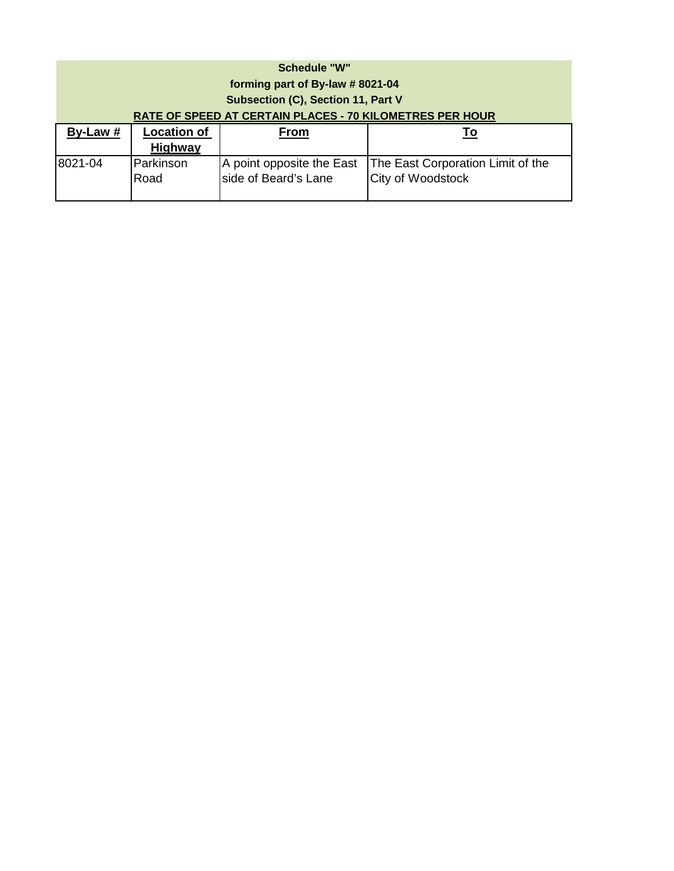| <b>Schedule "W"</b><br>forming part of By-law # 8021-04<br><b>Subsection (C), Section 11, Part V</b> |                                                                 |                                                   |                                                        |  |
|------------------------------------------------------------------------------------------------------|-----------------------------------------------------------------|---------------------------------------------------|--------------------------------------------------------|--|
|                                                                                                      | <b>RATE OF SPEED AT CERTAIN PLACES - 70 KILOMETRES PER HOUR</b> |                                                   |                                                        |  |
| $By-Law#$                                                                                            | <b>Location of</b><br><b>Highway</b>                            | <b>From</b>                                       | <u>To</u>                                              |  |
| 8021-04                                                                                              | Parkinson<br>Road                                               | A point opposite the East<br>side of Beard's Lane | The East Corporation Limit of the<br>City of Woodstock |  |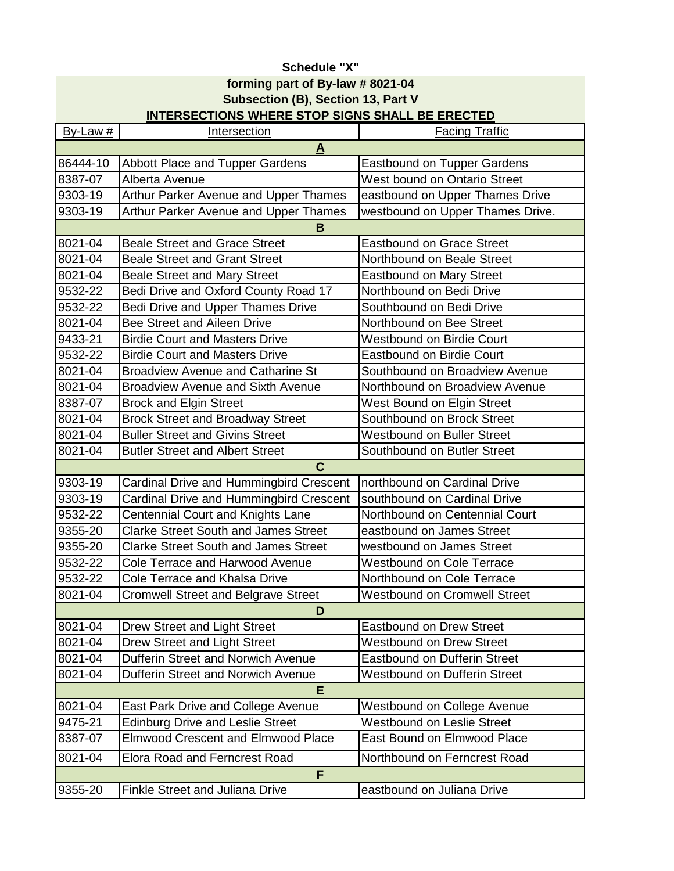# **Schedule "X" forming part of By-law # 8021-04 Subsection (B), Section 13, Part V INTERSECTIONS WHERE STOP SIGNS SHALL BE ERECTED**

| $By-Law#$    | Intersection                                | <b>Facing Traffic</b>               |  |  |
|--------------|---------------------------------------------|-------------------------------------|--|--|
| $\mathbf{A}$ |                                             |                                     |  |  |
| 86444-10     | Abbott Place and Tupper Gardens             | <b>Eastbound on Tupper Gardens</b>  |  |  |
| 8387-07      | Alberta Avenue                              | <b>West bound on Ontario Street</b> |  |  |
| 9303-19      | Arthur Parker Avenue and Upper Thames       | eastbound on Upper Thames Drive     |  |  |
| 9303-19      | Arthur Parker Avenue and Upper Thames       | westbound on Upper Thames Drive.    |  |  |
|              | B                                           |                                     |  |  |
| 8021-04      | <b>Beale Street and Grace Street</b>        | <b>Eastbound on Grace Street</b>    |  |  |
| 8021-04      | <b>Beale Street and Grant Street</b>        | Northbound on Beale Street          |  |  |
| 8021-04      | <b>Beale Street and Mary Street</b>         | <b>Eastbound on Mary Street</b>     |  |  |
| 9532-22      | Bedi Drive and Oxford County Road 17        | Northbound on Bedi Drive            |  |  |
| 9532-22      | Bedi Drive and Upper Thames Drive           | Southbound on Bedi Drive            |  |  |
| 8021-04      | Bee Street and Aileen Drive                 | Northbound on Bee Street            |  |  |
| 9433-21      | <b>Birdie Court and Masters Drive</b>       | <b>Westbound on Birdie Court</b>    |  |  |
| 9532-22      | <b>Birdie Court and Masters Drive</b>       | <b>Eastbound on Birdie Court</b>    |  |  |
| 8021-04      | <b>Broadview Avenue and Catharine St</b>    | Southbound on Broadview Avenue      |  |  |
| 8021-04      | <b>Broadview Avenue and Sixth Avenue</b>    | Northbound on Broadview Avenue      |  |  |
| 8387-07      | <b>Brock and Elgin Street</b>               | West Bound on Elgin Street          |  |  |
| 8021-04      | <b>Brock Street and Broadway Street</b>     | Southbound on Brock Street          |  |  |
| 8021-04      | <b>Buller Street and Givins Street</b>      | <b>Westbound on Buller Street</b>   |  |  |
| 8021-04      | <b>Butler Street and Albert Street</b>      | Southbound on Butler Street         |  |  |
|              | $\mathbf C$                                 |                                     |  |  |
| 9303-19      | Cardinal Drive and Hummingbird Crescent     | northbound on Cardinal Drive        |  |  |
| 9303-19      | Cardinal Drive and Hummingbird Crescent     | southbound on Cardinal Drive        |  |  |
| 9532-22      | <b>Centennial Court and Knights Lane</b>    | Northbound on Centennial Court      |  |  |
| 9355-20      | <b>Clarke Street South and James Street</b> | eastbound on James Street           |  |  |
| 9355-20      | <b>Clarke Street South and James Street</b> | westbound on James Street           |  |  |
| 9532-22      | <b>Cole Terrace and Harwood Avenue</b>      | <b>Westbound on Cole Terrace</b>    |  |  |
| 9532-22      | <b>Cole Terrace and Khalsa Drive</b>        | Northbound on Cole Terrace          |  |  |
| 8021-04      | <b>Cromwell Street and Belgrave Street</b>  | <b>Westbound on Cromwell Street</b> |  |  |
|              | D                                           |                                     |  |  |
| 8021-04      | Drew Street and Light Street                | <b>Eastbound on Drew Street</b>     |  |  |
| 8021-04      | Drew Street and Light Street                | <b>Westbound on Drew Street</b>     |  |  |
| 8021-04      | Dufferin Street and Norwich Avenue          | <b>Eastbound on Dufferin Street</b> |  |  |
| 8021-04      | Dufferin Street and Norwich Avenue          | Westbound on Dufferin Street        |  |  |
|              | Е                                           |                                     |  |  |
| 8021-04      | <b>East Park Drive and College Avenue</b>   | Westbound on College Avenue         |  |  |
| 9475-21      | <b>Edinburg Drive and Leslie Street</b>     | <b>Westbound on Leslie Street</b>   |  |  |
| 8387-07      | <b>Elmwood Crescent and Elmwood Place</b>   | <b>East Bound on Elmwood Place</b>  |  |  |
| 8021-04      | <b>Elora Road and Ferncrest Road</b>        | Northbound on Ferncrest Road        |  |  |
| F            |                                             |                                     |  |  |
| 9355-20      | Finkle Street and Juliana Drive             | eastbound on Juliana Drive          |  |  |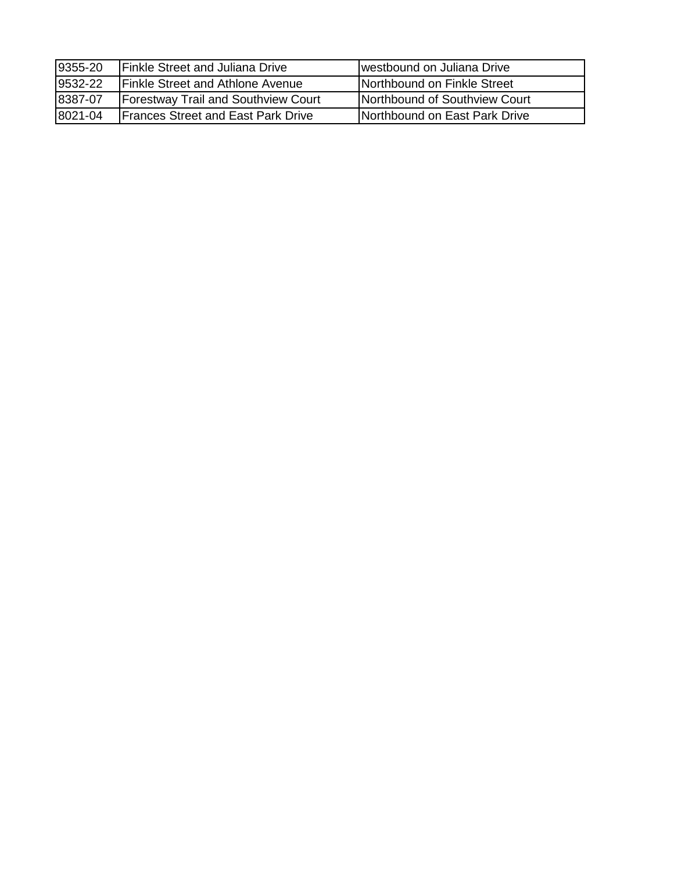| 9355-20 | <b>Finkle Street and Juliana Drive</b>     | westbound on Juliana Drive    |
|---------|--------------------------------------------|-------------------------------|
| 9532-22 | <b>Finkle Street and Athlone Avenue</b>    | Northbound on Finkle Street   |
| 8387-07 | <b>Forestway Trail and Southview Court</b> | Northbound of Southview Court |
| 8021-04 | <b>Frances Street and East Park Drive</b>  | Northbound on East Park Drive |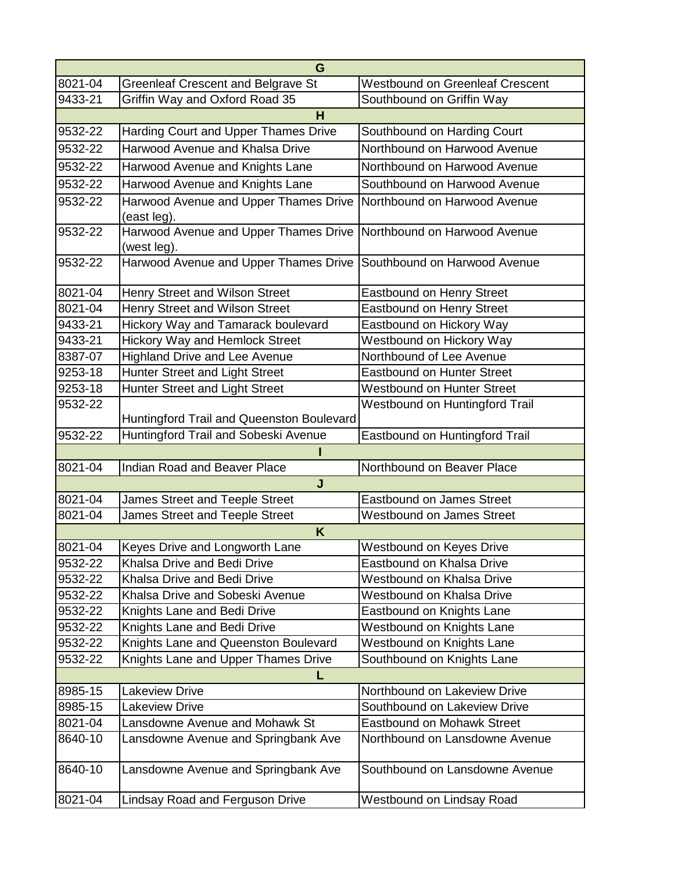| G       |                                                      |                                        |  |  |
|---------|------------------------------------------------------|----------------------------------------|--|--|
| 8021-04 | <b>Greenleaf Crescent and Belgrave St</b>            | <b>Westbound on Greenleaf Crescent</b> |  |  |
| 9433-21 | Griffin Way and Oxford Road 35                       | Southbound on Griffin Way              |  |  |
|         | н                                                    |                                        |  |  |
| 9532-22 | Harding Court and Upper Thames Drive                 | Southbound on Harding Court            |  |  |
| 9532-22 | Harwood Avenue and Khalsa Drive                      | Northbound on Harwood Avenue           |  |  |
| 9532-22 | Harwood Avenue and Knights Lane                      | Northbound on Harwood Avenue           |  |  |
| 9532-22 | Harwood Avenue and Knights Lane                      | Southbound on Harwood Avenue           |  |  |
| 9532-22 | Harwood Avenue and Upper Thames Drive<br>(east leg). | Northbound on Harwood Avenue           |  |  |
| 9532-22 | Harwood Avenue and Upper Thames Drive<br>(west leg). | Northbound on Harwood Avenue           |  |  |
| 9532-22 | Harwood Avenue and Upper Thames Drive                | Southbound on Harwood Avenue           |  |  |
| 8021-04 | Henry Street and Wilson Street                       | Eastbound on Henry Street              |  |  |
| 8021-04 | Henry Street and Wilson Street                       | Eastbound on Henry Street              |  |  |
| 9433-21 | Hickory Way and Tamarack boulevard                   | Eastbound on Hickory Way               |  |  |
| 9433-21 | <b>Hickory Way and Hemlock Street</b>                | Westbound on Hickory Way               |  |  |
| 8387-07 | <b>Highland Drive and Lee Avenue</b>                 | Northbound of Lee Avenue               |  |  |
| 9253-18 | Hunter Street and Light Street                       | Eastbound on Hunter Street             |  |  |
| 9253-18 | Hunter Street and Light Street                       | Westbound on Hunter Street             |  |  |
| 9532-22 | Huntingford Trail and Queenston Boulevard            | Westbound on Huntingford Trail         |  |  |
| 9532-22 | Huntingford Trail and Sobeski Avenue                 | Eastbound on Huntingford Trail         |  |  |
|         |                                                      |                                        |  |  |
| 8021-04 | Indian Road and Beaver Place                         | Northbound on Beaver Place             |  |  |
|         | J                                                    |                                        |  |  |
| 8021-04 | James Street and Teeple Street                       | Eastbound on James Street              |  |  |
| 8021-04 | James Street and Teeple Street                       | <b>Westbound on James Street</b>       |  |  |
|         | K                                                    |                                        |  |  |
| 8021-04 | Keyes Drive and Longworth Lane                       | Westbound on Keyes Drive               |  |  |
| 9532-22 | Khalsa Drive and Bedi Drive                          | Eastbound on Khalsa Drive              |  |  |
| 9532-22 | Khalsa Drive and Bedi Drive                          | <b>Westbound on Khalsa Drive</b>       |  |  |
| 9532-22 | Khalsa Drive and Sobeski Avenue                      | <b>Westbound on Khalsa Drive</b>       |  |  |
| 9532-22 | Knights Lane and Bedi Drive                          | Eastbound on Knights Lane              |  |  |
| 9532-22 | Knights Lane and Bedi Drive                          | Westbound on Knights Lane              |  |  |
| 9532-22 | Knights Lane and Queenston Boulevard                 | <b>Westbound on Knights Lane</b>       |  |  |
| 9532-22 | Knights Lane and Upper Thames Drive                  | Southbound on Knights Lane             |  |  |
| L       |                                                      |                                        |  |  |
| 8985-15 | Lakeview Drive                                       | Northbound on Lakeview Drive           |  |  |
| 8985-15 | <b>Lakeview Drive</b>                                | Southbound on Lakeview Drive           |  |  |
| 8021-04 | Lansdowne Avenue and Mohawk St                       | Eastbound on Mohawk Street             |  |  |
| 8640-10 | Lansdowne Avenue and Springbank Ave                  | Northbound on Lansdowne Avenue         |  |  |
| 8640-10 | Lansdowne Avenue and Springbank Ave                  | Southbound on Lansdowne Avenue         |  |  |
| 8021-04 | Lindsay Road and Ferguson Drive                      | Westbound on Lindsay Road              |  |  |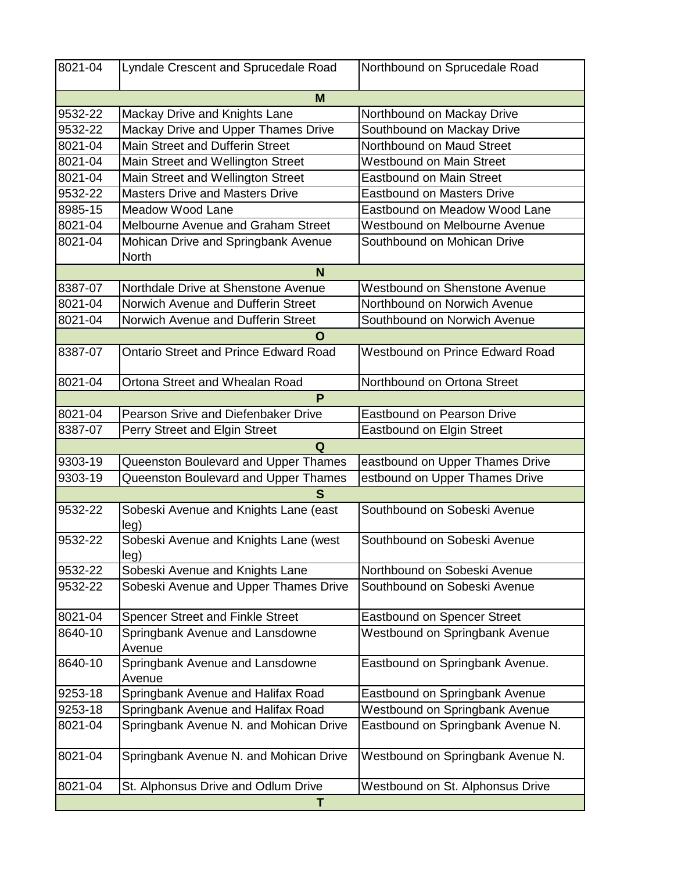| 8021-04 | Lyndale Crescent and Sprucedale Road                                 | Northbound on Sprucedale Road         |  |
|---------|----------------------------------------------------------------------|---------------------------------------|--|
| M       |                                                                      |                                       |  |
| 9532-22 | Mackay Drive and Knights Lane                                        | Northbound on Mackay Drive            |  |
| 9532-22 | Mackay Drive and Upper Thames Drive<br>Southbound on Mackay Drive    |                                       |  |
| 8021-04 | <b>Main Street and Dufferin Street</b>                               | Northbound on Maud Street             |  |
| 8021-04 | Main Street and Wellington Street<br><b>Westbound on Main Street</b> |                                       |  |
| 8021-04 | Main Street and Wellington Street                                    | <b>Eastbound on Main Street</b>       |  |
| 9532-22 | <b>Masters Drive and Masters Drive</b>                               | <b>Eastbound on Masters Drive</b>     |  |
| 8985-15 | Meadow Wood Lane                                                     | Eastbound on Meadow Wood Lane         |  |
| 8021-04 | Melbourne Avenue and Graham Street                                   | Westbound on Melbourne Avenue         |  |
| 8021-04 | Mohican Drive and Springbank Avenue<br><b>North</b>                  | Southbound on Mohican Drive           |  |
|         | N                                                                    |                                       |  |
| 8387-07 | Northdale Drive at Shenstone Avenue                                  | <b>Westbound on Shenstone Avenue</b>  |  |
| 8021-04 | Norwich Avenue and Dufferin Street                                   | Northbound on Norwich Avenue          |  |
| 8021-04 | Norwich Avenue and Dufferin Street                                   | Southbound on Norwich Avenue          |  |
|         | O                                                                    |                                       |  |
| 8387-07 | <b>Ontario Street and Prince Edward Road</b>                         | Westbound on Prince Edward Road       |  |
| 8021-04 | Ortona Street and Whealan Road                                       | Northbound on Ortona Street           |  |
|         | P                                                                    |                                       |  |
| 8021-04 | Pearson Srive and Diefenbaker Drive                                  | <b>Eastbound on Pearson Drive</b>     |  |
| 8387-07 | Perry Street and Elgin Street                                        | <b>Eastbound on Elgin Street</b>      |  |
|         | Q                                                                    |                                       |  |
| 9303-19 | Queenston Boulevard and Upper Thames                                 | eastbound on Upper Thames Drive       |  |
| 9303-19 | Queenston Boulevard and Upper Thames                                 | estbound on Upper Thames Drive        |  |
|         | S                                                                    |                                       |  |
| 9532-22 | Sobeski Avenue and Knights Lane (east<br>leg)                        | Southbound on Sobeski Avenue          |  |
| 9532-22 | Sobeski Avenue and Knights Lane (west<br>leg)                        | Southbound on Sobeski Avenue          |  |
| 9532-22 | Sobeski Avenue and Knights Lane                                      | Northbound on Sobeski Avenue          |  |
| 9532-22 | Sobeski Avenue and Upper Thames Drive                                | Southbound on Sobeski Avenue          |  |
| 8021-04 | Spencer Street and Finkle Street                                     | <b>Eastbound on Spencer Street</b>    |  |
| 8640-10 | Springbank Avenue and Lansdowne<br>Avenue                            | <b>Westbound on Springbank Avenue</b> |  |
| 8640-10 | Springbank Avenue and Lansdowne<br>Avenue                            | Eastbound on Springbank Avenue.       |  |
| 9253-18 | Springbank Avenue and Halifax Road                                   | Eastbound on Springbank Avenue        |  |
| 9253-18 | Springbank Avenue and Halifax Road                                   | Westbound on Springbank Avenue        |  |
| 8021-04 | Springbank Avenue N. and Mohican Drive                               | Eastbound on Springbank Avenue N.     |  |
|         |                                                                      |                                       |  |
| 8021-04 | Springbank Avenue N. and Mohican Drive                               | Westbound on Springbank Avenue N.     |  |
| 8021-04 | St. Alphonsus Drive and Odlum Drive                                  | Westbound on St. Alphonsus Drive      |  |
| T       |                                                                      |                                       |  |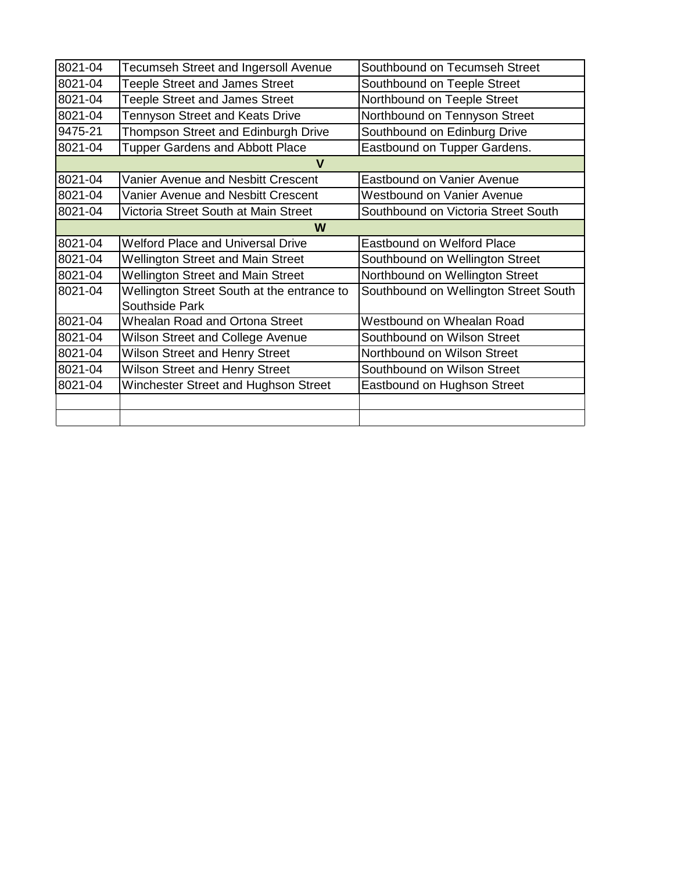| 8021-04 | Tecumseh Street and Ingersoll Avenue                                        | Southbound on Tecumseh Street         |  |
|---------|-----------------------------------------------------------------------------|---------------------------------------|--|
| 8021-04 | <b>Teeple Street and James Street</b>                                       | Southbound on Teeple Street           |  |
| 8021-04 | <b>Teeple Street and James Street</b>                                       | Northbound on Teeple Street           |  |
| 8021-04 | Tennyson Street and Keats Drive                                             | Northbound on Tennyson Street         |  |
| 9475-21 | Thompson Street and Edinburgh Drive                                         | Southbound on Edinburg Drive          |  |
| 8021-04 | <b>Tupper Gardens and Abbott Place</b><br>Eastbound on Tupper Gardens.      |                                       |  |
|         | V                                                                           |                                       |  |
| 8021-04 | Vanier Avenue and Nesbitt Crescent                                          | <b>Eastbound on Vanier Avenue</b>     |  |
| 8021-04 | Vanier Avenue and Nesbitt Crescent<br><b>Westbound on Vanier Avenue</b>     |                                       |  |
| 8021-04 | Southbound on Victoria Street South<br>Victoria Street South at Main Street |                                       |  |
| W       |                                                                             |                                       |  |
| 8021-04 | <b>Welford Place and Universal Drive</b>                                    | <b>Eastbound on Welford Place</b>     |  |
| 8021-04 | <b>Wellington Street and Main Street</b>                                    | Southbound on Wellington Street       |  |
| 8021-04 | <b>Wellington Street and Main Street</b>                                    | Northbound on Wellington Street       |  |
| 8021-04 | Wellington Street South at the entrance to                                  | Southbound on Wellington Street South |  |
|         | Southside Park                                                              |                                       |  |
| 8021-04 | <b>Whealan Road and Ortona Street</b>                                       | Westbound on Whealan Road             |  |
| 8021-04 | Wilson Street and College Avenue                                            | Southbound on Wilson Street           |  |
| 8021-04 | <b>Wilson Street and Henry Street</b>                                       | Northbound on Wilson Street           |  |
| 8021-04 | Wilson Street and Henry Street                                              | Southbound on Wilson Street           |  |
| 8021-04 | Winchester Street and Hughson Street                                        | Eastbound on Hughson Street           |  |
|         |                                                                             |                                       |  |
|         |                                                                             |                                       |  |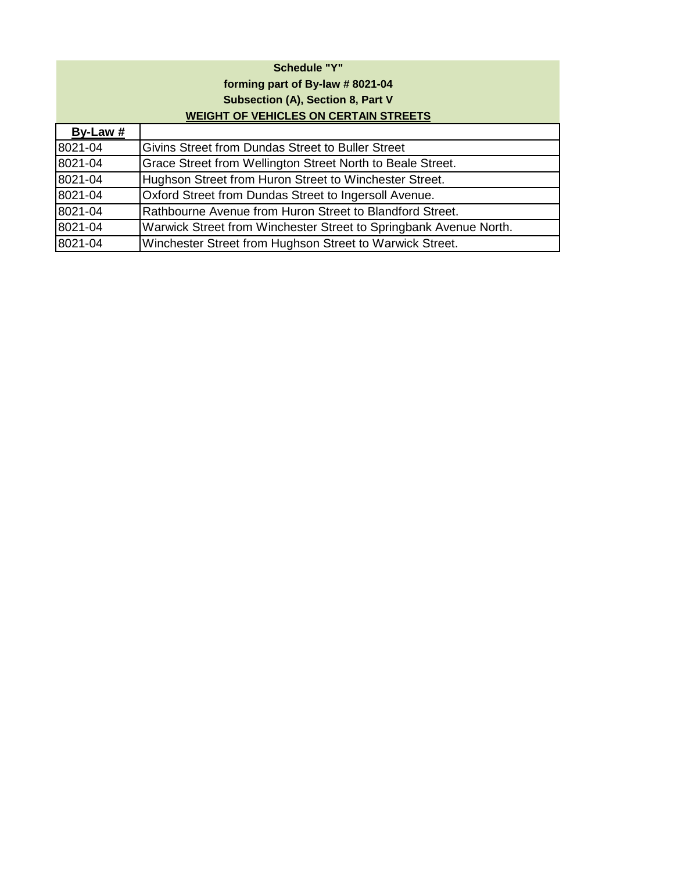## **Schedule "Y" forming part of By-law # 8021-04 Subsection (A), Section 8, Part V WEIGHT OF VEHICLES ON CERTAIN STREETS**

| By-Law # |                                                                   |
|----------|-------------------------------------------------------------------|
| 8021-04  | Givins Street from Dundas Street to Buller Street                 |
| 8021-04  | Grace Street from Wellington Street North to Beale Street.        |
| 8021-04  | Hughson Street from Huron Street to Winchester Street.            |
| 8021-04  | Oxford Street from Dundas Street to Ingersoll Avenue.             |
| 8021-04  | Rathbourne Avenue from Huron Street to Blandford Street.          |
| 8021-04  | Warwick Street from Winchester Street to Springbank Avenue North. |
| 8021-04  | Winchester Street from Hughson Street to Warwick Street.          |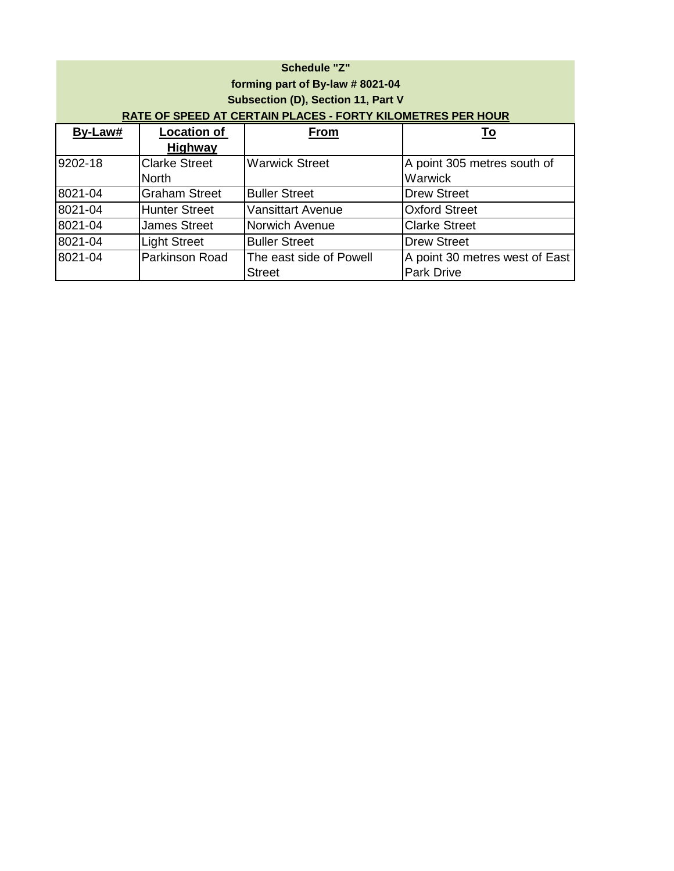| <b>Schedule "Z"</b><br>forming part of By-law # 8021-04<br>Subsection (D), Section 11, Part V<br>RATE OF SPEED AT CERTAIN PLACES - FORTY KILOMETRES PER HOUR |                      |                          |                                |  |
|--------------------------------------------------------------------------------------------------------------------------------------------------------------|----------------------|--------------------------|--------------------------------|--|
| By-Law#                                                                                                                                                      | <b>Location of</b>   | <b>From</b>              | <u>To</u>                      |  |
|                                                                                                                                                              | Highway              |                          |                                |  |
| 9202-18                                                                                                                                                      | <b>Clarke Street</b> | <b>Warwick Street</b>    | A point 305 metres south of    |  |
|                                                                                                                                                              | <b>North</b>         |                          | Warwick                        |  |
| 8021-04                                                                                                                                                      | <b>Graham Street</b> | <b>Buller Street</b>     | <b>Drew Street</b>             |  |
| 8021-04                                                                                                                                                      | <b>Hunter Street</b> | <b>Vansittart Avenue</b> | <b>Oxford Street</b>           |  |
| 8021-04                                                                                                                                                      | <b>James Street</b>  | <b>Norwich Avenue</b>    | <b>Clarke Street</b>           |  |
| 8021-04                                                                                                                                                      | <b>Light Street</b>  | <b>Buller Street</b>     | <b>Drew Street</b>             |  |
| 8021-04                                                                                                                                                      | Parkinson Road       | The east side of Powell  | A point 30 metres west of East |  |
|                                                                                                                                                              |                      | <b>Street</b>            | <b>Park Drive</b>              |  |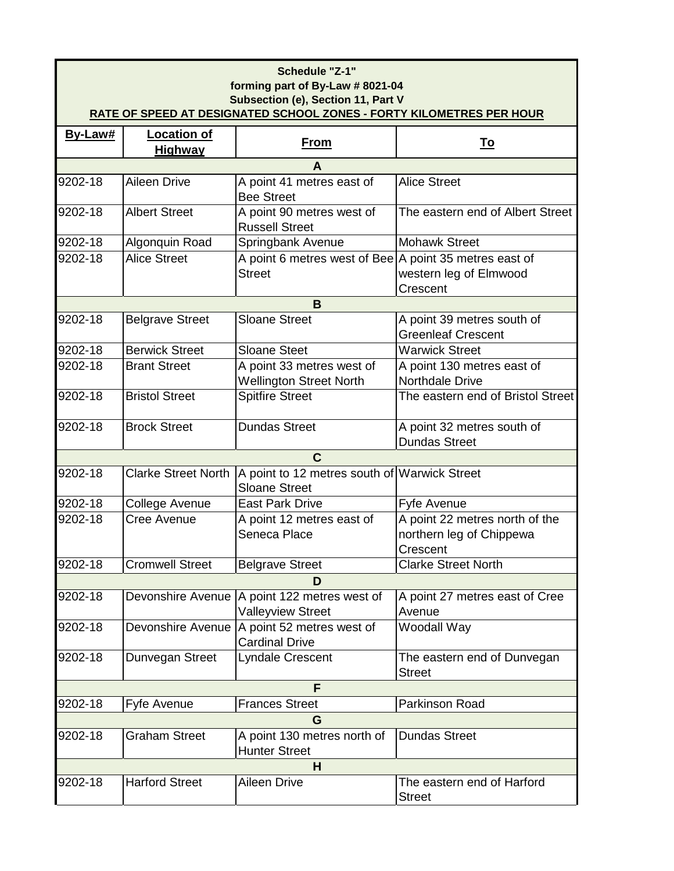| Schedule "Z-1"<br>forming part of By-Law # 8021-04<br>Subsection (e), Section 11, Part V<br><b>RATE OF SPEED AT DESIGNATED SCHOOL ZONES - FORTY KILOMETRES PER HOUR</b> |                                      |                                                                          |                                                                        |  |
|-------------------------------------------------------------------------------------------------------------------------------------------------------------------------|--------------------------------------|--------------------------------------------------------------------------|------------------------------------------------------------------------|--|
| By-Law#                                                                                                                                                                 | <b>Location of</b><br><u>Highway</u> | <b>From</b>                                                              | <u>To</u>                                                              |  |
|                                                                                                                                                                         |                                      | A                                                                        |                                                                        |  |
| 9202-18                                                                                                                                                                 | <b>Aileen Drive</b>                  | A point 41 metres east of<br><b>Bee Street</b>                           | <b>Alice Street</b>                                                    |  |
| 9202-18                                                                                                                                                                 | <b>Albert Street</b>                 | A point 90 metres west of<br><b>Russell Street</b>                       | The eastern end of Albert Street                                       |  |
| 9202-18                                                                                                                                                                 | Algonquin Road                       | Springbank Avenue                                                        | <b>Mohawk Street</b>                                                   |  |
| 9202-18                                                                                                                                                                 | <b>Alice Street</b>                  | A point 6 metres west of Bee A point 35 metres east of<br><b>Street</b>  | western leg of Elmwood<br>Crescent                                     |  |
|                                                                                                                                                                         |                                      | B                                                                        |                                                                        |  |
| 9202-18                                                                                                                                                                 | <b>Belgrave Street</b>               | <b>Sloane Street</b>                                                     | A point 39 metres south of<br><b>Greenleaf Crescent</b>                |  |
| 9202-18                                                                                                                                                                 | <b>Berwick Street</b>                | <b>Sloane Steet</b>                                                      | <b>Warwick Street</b>                                                  |  |
| 9202-18                                                                                                                                                                 | <b>Brant Street</b>                  | A point 33 metres west of                                                | A point 130 metres east of                                             |  |
|                                                                                                                                                                         |                                      | <b>Wellington Street North</b>                                           | Northdale Drive                                                        |  |
| 9202-18                                                                                                                                                                 | <b>Bristol Street</b>                | <b>Spitfire Street</b>                                                   | The eastern end of Bristol Street                                      |  |
| 9202-18                                                                                                                                                                 | <b>Brock Street</b>                  | <b>Dundas Street</b>                                                     | A point 32 metres south of<br><b>Dundas Street</b>                     |  |
|                                                                                                                                                                         |                                      | C                                                                        |                                                                        |  |
| 9202-18                                                                                                                                                                 | <b>Clarke Street North</b>           | A point to 12 metres south of Warwick Street<br><b>Sloane Street</b>     |                                                                        |  |
| 9202-18                                                                                                                                                                 | College Avenue                       | <b>East Park Drive</b>                                                   | Fyfe Avenue                                                            |  |
| 9202-18                                                                                                                                                                 | Cree Avenue                          | A point 12 metres east of<br>Seneca Place                                | A point 22 metres north of the<br>northern leg of Chippewa<br>Crescent |  |
| 9202-18                                                                                                                                                                 | <b>Cromwell Street</b>               | <b>Belgrave Street</b>                                                   | <b>Clarke Street North</b>                                             |  |
|                                                                                                                                                                         |                                      | D                                                                        |                                                                        |  |
| 9202-18                                                                                                                                                                 |                                      | Devonshire Avenue A point 122 metres west of<br><b>Valleyview Street</b> | A point 27 metres east of Cree<br>Avenue                               |  |
| 9202-18                                                                                                                                                                 | Devonshire Avenue                    | A point 52 metres west of<br><b>Cardinal Drive</b>                       | Woodall Way                                                            |  |
| 9202-18                                                                                                                                                                 | Dunvegan Street                      | Lyndale Crescent                                                         | The eastern end of Dunvegan<br><b>Street</b>                           |  |
| F                                                                                                                                                                       |                                      |                                                                          |                                                                        |  |
| 9202-18                                                                                                                                                                 | Fyfe Avenue                          | <b>Frances Street</b>                                                    | Parkinson Road                                                         |  |
|                                                                                                                                                                         |                                      | G                                                                        |                                                                        |  |
| 9202-18                                                                                                                                                                 | <b>Graham Street</b>                 | A point 130 metres north of<br><b>Hunter Street</b>                      | <b>Dundas Street</b>                                                   |  |
| н                                                                                                                                                                       |                                      |                                                                          |                                                                        |  |
| 9202-18                                                                                                                                                                 | <b>Harford Street</b>                | Aileen Drive                                                             | The eastern end of Harford<br><b>Street</b>                            |  |